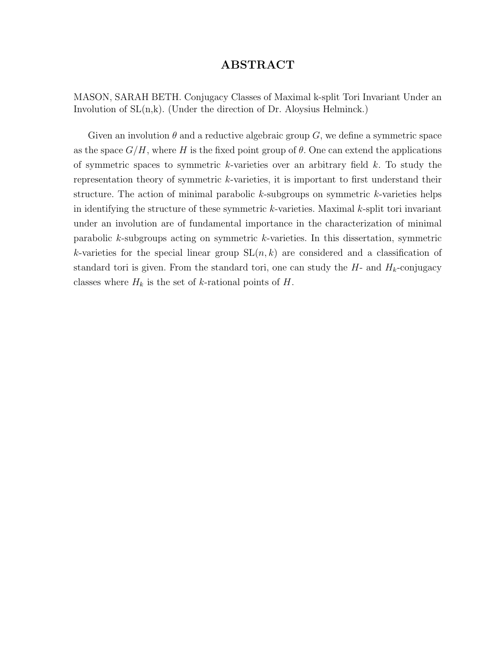#### ABSTRACT

MASON, SARAH BETH. Conjugacy Classes of Maximal k-split Tori Invariant Under an Involution of  $SL(n,k)$ . (Under the direction of Dr. Aloysius Helminck.)

Given an involution  $\theta$  and a reductive algebraic group G, we define a symmetric space as the space  $G/H$ , where H is the fixed point group of  $\theta$ . One can extend the applications of symmetric spaces to symmetric  $k$ -varieties over an arbitrary field  $k$ . To study the representation theory of symmetric k-varieties, it is important to first understand their structure. The action of minimal parabolic  $k$ -subgroups on symmetric  $k$ -varieties helps in identifying the structure of these symmetric  $k$ -varieties. Maximal  $k$ -split tori invariant under an involution are of fundamental importance in the characterization of minimal parabolic k-subgroups acting on symmetric k-varieties. In this dissertation, symmetric k-varieties for the special linear group  $SL(n, k)$  are considered and a classification of standard tori is given. From the standard tori, one can study the  $H$ - and  $H_k$ -conjugacy classes where  $H_k$  is the set of k-rational points of H.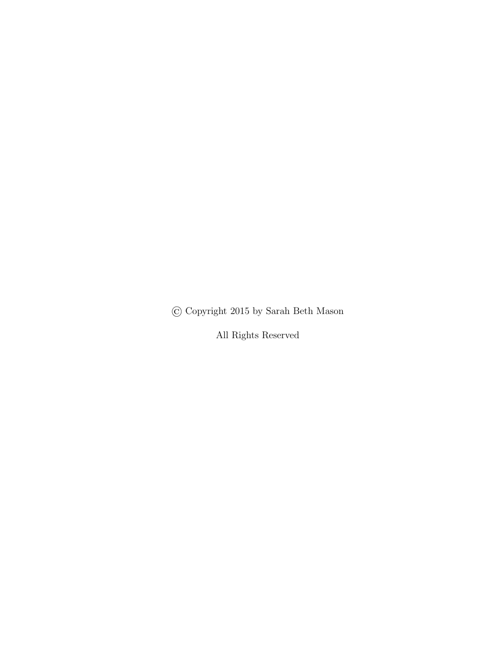© Copyright 2015 by Sarah Beth Mason

All Rights Reserved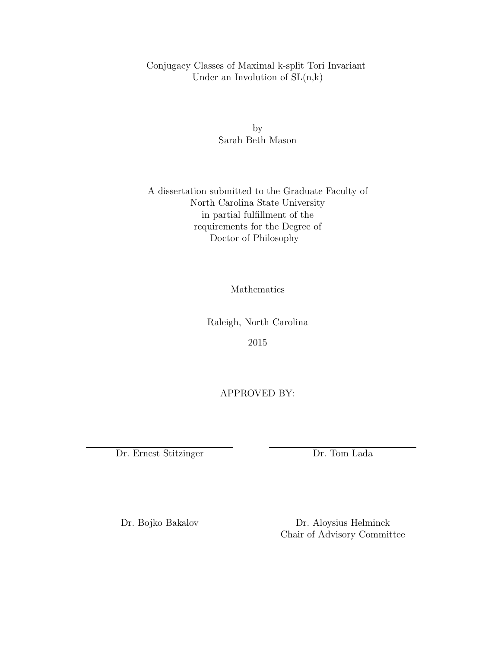Conjugacy Classes of Maximal k-split Tori Invariant Under an Involution of  $SL(n,k)$ 

> by Sarah Beth Mason

A dissertation submitted to the Graduate Faculty of North Carolina State University in partial fulfillment of the requirements for the Degree of Doctor of Philosophy

Mathematics

Raleigh, North Carolina

2015

APPROVED BY:

Dr. Ernest Stitzinger Dr. Tom Lada

Dr. Bojko Bakalov Dr. Aloysius Helminck Chair of Advisory Committee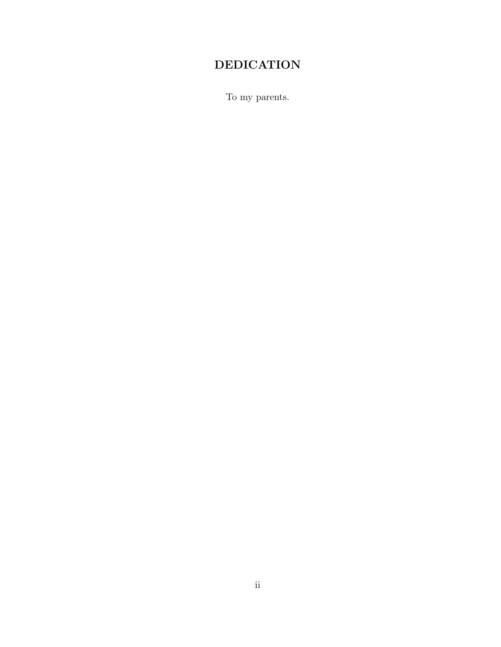## DEDICATION

To my parents.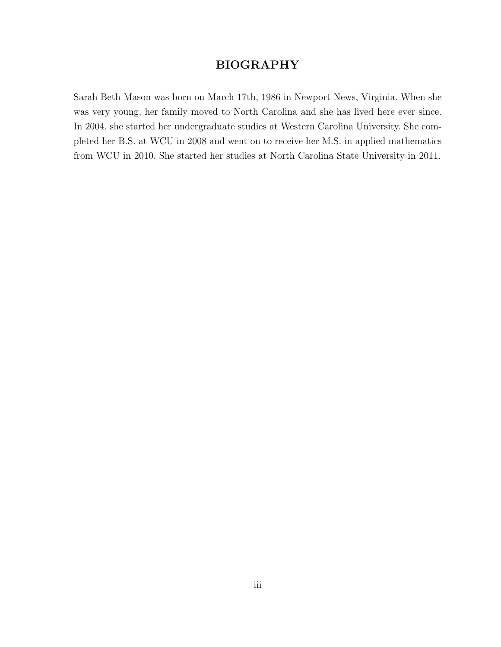### BIOGRAPHY

Sarah Beth Mason was born on March 17th, 1986 in Newport News, Virginia. When she was very young, her family moved to North Carolina and she has lived here ever since. In 2004, she started her undergraduate studies at Western Carolina University. She completed her B.S. at WCU in 2008 and went on to receive her M.S. in applied mathematics from WCU in 2010. She started her studies at North Carolina State University in 2011.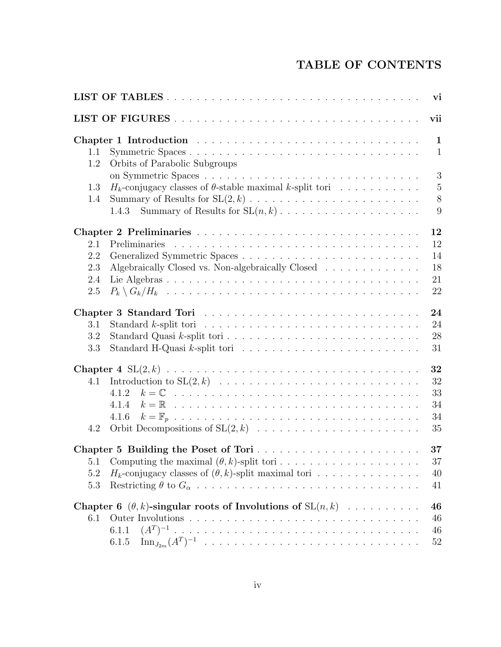## TABLE OF CONTENTS

|            | vi                                                                                                  |
|------------|-----------------------------------------------------------------------------------------------------|
|            | vii                                                                                                 |
|            | $\mathbf{1}$                                                                                        |
| 1.1<br>1.2 | Symmetric Spaces<br>$\mathbf{1}$<br>Orbits of Parabolic Subgroups                                   |
|            | 3                                                                                                   |
| 1.3        | $\mathbf 5$<br>$H_k$ -conjugacy classes of $\theta$ -stable maximal k-split tori                    |
| 1.4        | 8                                                                                                   |
|            | 9<br>1.4.3                                                                                          |
|            | 12                                                                                                  |
| 2.1        | 12                                                                                                  |
| 2.2        | 14                                                                                                  |
| 2.3        | Algebraically Closed vs. Non-algebraically Closed<br>18                                             |
| 2.4        | 21                                                                                                  |
| 2.5        | 22                                                                                                  |
|            | 24                                                                                                  |
| 3.1        | 24<br>Standard k-split tori $\ldots \ldots \ldots \ldots \ldots \ldots \ldots \ldots \ldots \ldots$ |
| 3.2        | 28                                                                                                  |
| 3.3        | 31                                                                                                  |
|            | 32                                                                                                  |
| 4.1        | 32                                                                                                  |
|            | 33<br>4.1.2                                                                                         |
|            | 34<br>4.1.4                                                                                         |
|            | 34<br>4.1.6                                                                                         |
| 4.2        | 35                                                                                                  |
|            | 37                                                                                                  |
|            | $37\,$                                                                                              |
| 5.2        | $H_k$ -conjugacy classes of $(\theta, k)$ -split maximal tori<br>40                                 |
| 5.3        | 41                                                                                                  |
|            | Chapter 6 $(\theta, k)$ -singular roots of Involutions of $SL(n, k)$<br>46                          |
| 6.1        | 46                                                                                                  |
|            | 6.1.1<br>46                                                                                         |
|            | 52<br>6.1.5                                                                                         |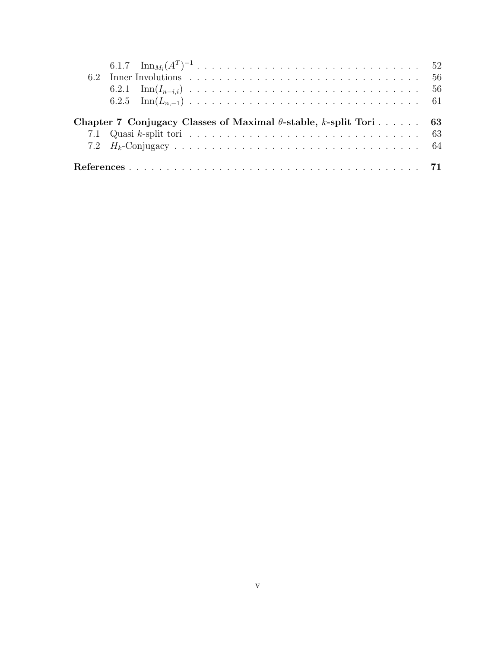| Chapter 7 Conjugacy Classes of Maximal $\theta$ -stable, k-split Tori 63 |                                                                                                                        |  |  |  |  |  |  |  |  |  |  |  |  |  |  |  |
|--------------------------------------------------------------------------|------------------------------------------------------------------------------------------------------------------------|--|--|--|--|--|--|--|--|--|--|--|--|--|--|--|
|                                                                          | 7.1 Quasi k-split tori $\ldots \ldots \ldots \ldots \ldots \ldots \ldots \ldots \ldots \ldots \ldots \ldots \ldots$ 63 |  |  |  |  |  |  |  |  |  |  |  |  |  |  |  |
|                                                                          |                                                                                                                        |  |  |  |  |  |  |  |  |  |  |  |  |  |  |  |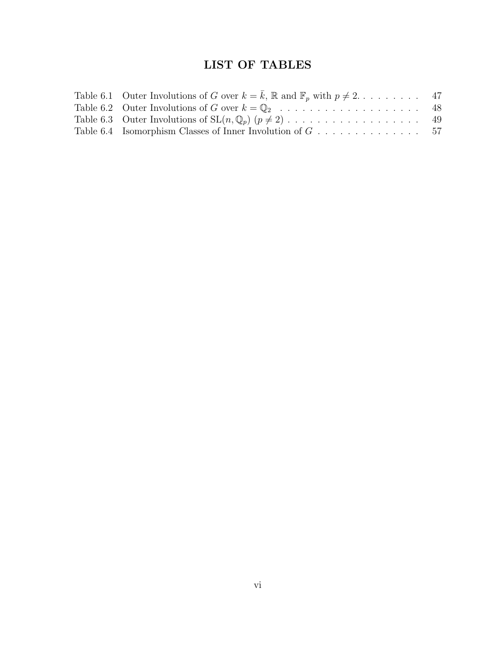## LIST OF TABLES

| Table 6.1 Outer Involutions of G over $k = \overline{k}$ , R and $\mathbb{F}_p$ with $p \neq 2$ 47 |  |
|----------------------------------------------------------------------------------------------------|--|
|                                                                                                    |  |
|                                                                                                    |  |
|                                                                                                    |  |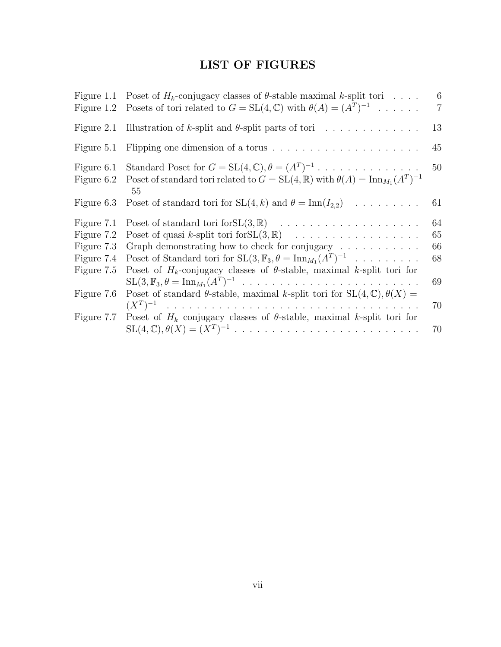## LIST OF FIGURES

| Figure 1.1<br>Figure 1.2                                           | Poset of $H_k$ -conjugacy classes of $\theta$ -stable maximal k-split tori<br>Posets of tori related to $G = SL(4, \mathbb{C})$ with $\theta(A) = (A^T)^{-1}$                                                                                           | 6<br>$\overline{7}$        |
|--------------------------------------------------------------------|---------------------------------------------------------------------------------------------------------------------------------------------------------------------------------------------------------------------------------------------------------|----------------------------|
| Figure 2.1                                                         | Illustration of k-split and $\theta$ -split parts of tori                                                                                                                                                                                               | 13                         |
| Figure 5.1                                                         | Flipping one dimension of a torus $\dots \dots \dots \dots \dots \dots \dots$                                                                                                                                                                           | 45                         |
| Figure 6.1<br>Figure 6.2                                           | Standard Poset for $G = SL(4, \mathbb{C}), \theta = (A^T)^{-1}$<br>Poset of standard tori related to $G = SL(4, \mathbb{R})$ with $\theta(A) = \text{Inn}_{M_1}(A^T)^{-1}$<br>55                                                                        | 50                         |
| Figure 6.3                                                         | Poset of standard tori for $SL(4, k)$ and $\theta = \text{Inn}(I_{2,2})$                                                                                                                                                                                | 61                         |
| Figure 7.1<br>Figure 7.2<br>Figure 7.3<br>Figure 7.4<br>Figure 7.5 | Graph demonstrating how to check for conjugacy $\ldots \ldots \ldots \ldots$<br>Poset of Standard tori for $SL(3, \mathbb{F}_3, \theta = \text{Inn}_{M_1}(A^T)^{-1}$<br>Poset of $H_k$ -conjugacy classes of $\theta$ -stable, maximal k-split tori for | 64<br>65<br>66<br>68<br>69 |
| Figure 7.6                                                         | Poset of standard $\theta$ -stable, maximal k-split tori for $SL(4,\mathbb{C}), \theta(X) =$                                                                                                                                                            | 70                         |
| Figure 7.7                                                         | Poset of $H_k$ conjugacy classes of $\theta$ -stable, maximal k-split tori for                                                                                                                                                                          | 70                         |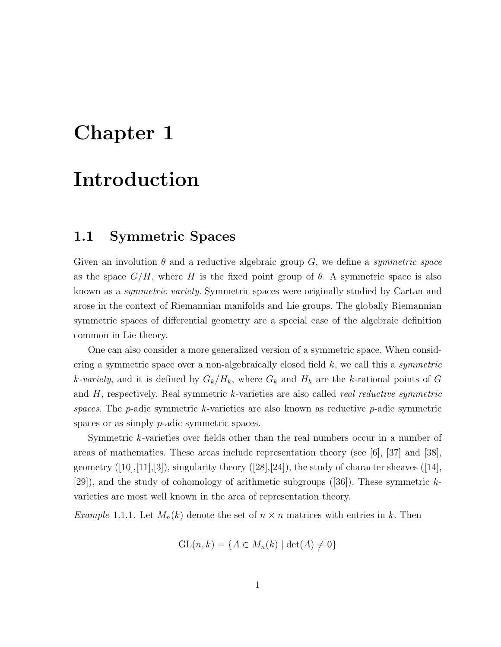# Chapter 1

# Introduction

### 1.1 Symmetric Spaces

Given an involution  $\theta$  and a reductive algebraic group G, we define a *symmetric space* as the space  $G/H$ , where H is the fixed point group of  $\theta$ . A symmetric space is also known as a *symmetric variety*. Symmetric spaces were originally studied by Cartan and arose in the context of Riemannian manifolds and Lie groups. The globally Riemannian symmetric spaces of differential geometry are a special case of the algebraic definition common in Lie theory.

One can also consider a more generalized version of a symmetric space. When considering a symmetric space over a non-algebraically closed field  $k$ , we call this a symmetric k-variety, and it is defined by  $G_k/H_k$ , where  $G_k$  and  $H_k$  are the k-rational points of G and  $H$ , respectively. Real symmetric k-varieties are also called *real reductive symmetric* spaces. The  $p$ -adic symmetric k-varieties are also known as reductive  $p$ -adic symmetric spaces or as simply *p*-adic symmetric spaces.

Symmetric k-varieties over fields other than the real numbers occur in a number of areas of mathematics. These areas include representation theory (see [6], [37] and [38], geometry  $([10],[11],[3])$ , singularity theory  $([28],[24])$ , the study of character sheaves  $([14],$ [29]), and the study of cohomology of arithmetic subgroups  $(36)$ . These symmetric kvarieties are most well known in the area of representation theory.

*Example* 1.1.1. Let  $M_n(k)$  denote the set of  $n \times n$  matrices with entries in k. Then

$$
GL(n,k) = \{A \in M_n(k) \mid \det(A) \neq 0\}
$$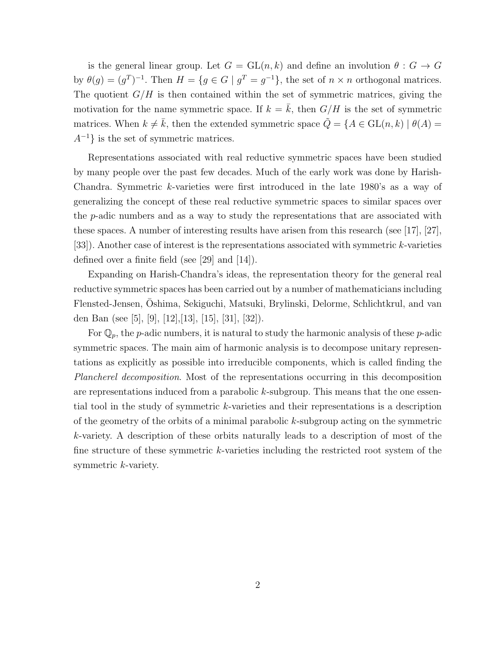is the general linear group. Let  $G = GL(n, k)$  and define an involution  $\theta : G \to G$ by  $\theta(g) = (g^T)^{-1}$ . Then  $H = \{g \in G \mid g^T = g^{-1}\}\$ , the set of  $n \times n$  orthogonal matrices. The quotient  $G/H$  is then contained within the set of symmetric matrices, giving the motivation for the name symmetric space. If  $k = k$ , then  $G/H$  is the set of symmetric matrices. When  $k \neq \bar{k}$ , then the extended symmetric space  $\hat{Q} = \{A \in GL(n,k) \mid \theta(A) =$  $A^{-1}$ } is the set of symmetric matrices.

Representations associated with real reductive symmetric spaces have been studied by many people over the past few decades. Much of the early work was done by Harish-Chandra. Symmetric k-varieties were first introduced in the late 1980's as a way of generalizing the concept of these real reductive symmetric spaces to similar spaces over the p-adic numbers and as a way to study the representations that are associated with these spaces. A number of interesting results have arisen from this research (see [17], [27], [33]). Another case of interest is the representations associated with symmetric k-varieties defined over a finite field (see [29] and [14]).

Expanding on Harish-Chandra's ideas, the representation theory for the general real reductive symmetric spaces has been carried out by a number of mathematicians including Flensted-Jensen, Oshima, Sekiguchi, Matsuki, Brylinski, Delorme, Schlichtkrul, and van ¯ den Ban (see [5], [9], [12],[13], [15], [31], [32]).

For  $\mathbb{Q}_p$ , the *p*-adic numbers, it is natural to study the harmonic analysis of these *p*-adic symmetric spaces. The main aim of harmonic analysis is to decompose unitary representations as explicitly as possible into irreducible components, which is called finding the Plancherel decomposition. Most of the representations occurring in this decomposition are representations induced from a parabolic k-subgroup. This means that the one essential tool in the study of symmetric k-varieties and their representations is a description of the geometry of the orbits of a minimal parabolic k-subgroup acting on the symmetric k-variety. A description of these orbits naturally leads to a description of most of the fine structure of these symmetric k-varieties including the restricted root system of the symmetric *k*-variety.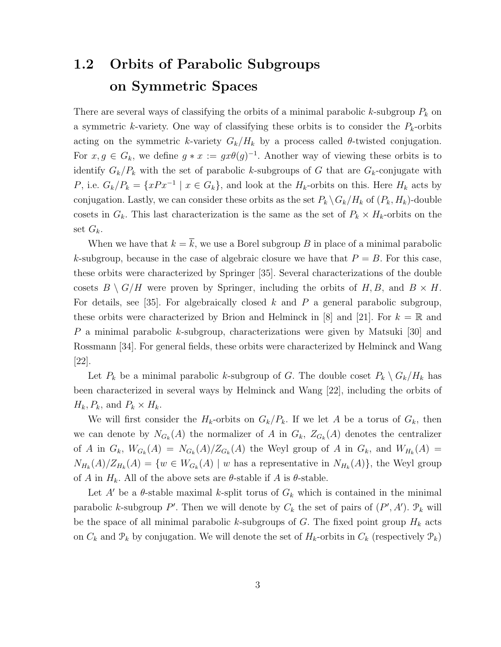## 1.2 Orbits of Parabolic Subgroups on Symmetric Spaces

There are several ways of classifying the orbits of a minimal parabolic k-subgroup  $P_k$  on a symmetric k-variety. One way of classifying these orbits is to consider the  $P_k$ -orbits acting on the symmetric k-variety  $G_k/H_k$  by a process called  $\theta$ -twisted conjugation. For  $x, g \in G_k$ , we define  $g * x := gx\theta(g)^{-1}$ . Another way of viewing these orbits is to identify  $G_k/P_k$  with the set of parabolic k-subgroups of G that are  $G_k$ -conjugate with P, i.e.  $G_k/P_k = \{xPx^{-1} \mid x \in G_k\}$ , and look at the  $H_k$ -orbits on this. Here  $H_k$  acts by conjugation. Lastly, we can consider these orbits as the set  $P_k \setminus G_k / H_k$  of  $(P_k, H_k)$ -double cosets in  $G_k$ . This last characterization is the same as the set of  $P_k \times H_k$ -orbits on the set  $G_k$ .

When we have that  $k = \overline{k}$ , we use a Borel subgroup B in place of a minimal parabolic k-subgroup, because in the case of algebraic closure we have that  $P = B$ . For this case, these orbits were characterized by Springer [35]. Several characterizations of the double cosets  $B \setminus G/H$  were proven by Springer, including the orbits of H, B, and  $B \times H$ . For details, see [35]. For algebraically closed  $k$  and  $P$  a general parabolic subgroup, these orbits were characterized by Brion and Helminck in [8] and [21]. For  $k = \mathbb{R}$  and P a minimal parabolic k-subgroup, characterizations were given by Matsuki [30] and Rossmann [34]. For general fields, these orbits were characterized by Helminck and Wang [22].

Let  $P_k$  be a minimal parabolic k-subgroup of G. The double coset  $P_k \setminus G_k / H_k$  has been characterized in several ways by Helminck and Wang [22], including the orbits of  $H_k, P_k$ , and  $P_k \times H_k$ .

We will first consider the  $H_k$ -orbits on  $G_k/P_k$ . If we let A be a torus of  $G_k$ , then we can denote by  $N_{G_k}(A)$  the normalizer of A in  $G_k$ ,  $Z_{G_k}(A)$  denotes the centralizer of A in  $G_k$ ,  $W_{G_k}(A) = N_{G_k}(A)/Z_{G_k}(A)$  the Weyl group of A in  $G_k$ , and  $W_{H_k}(A) =$  $N_{H_k}(A)/Z_{H_k}(A) = \{w \in W_{G_k}(A) \mid w$  has a representative in  $N_{H_k}(A)\}$ , the Weyl group of A in  $H_k$ . All of the above sets are  $\theta$ -stable if A is  $\theta$ -stable.

Let A' be a  $\theta$ -stable maximal k-split torus of  $G_k$  which is contained in the minimal parabolic k-subgroup P'. Then we will denote by  $C_k$  the set of pairs of  $(P', A')$ .  $\mathcal{P}_k$  will be the space of all minimal parabolic k-subgroups of G. The fixed point group  $H_k$  acts on  $C_k$  and  $\mathcal{P}_k$  by conjugation. We will denote the set of  $H_k$ -orbits in  $C_k$  (respectively  $\mathcal{P}_k$ )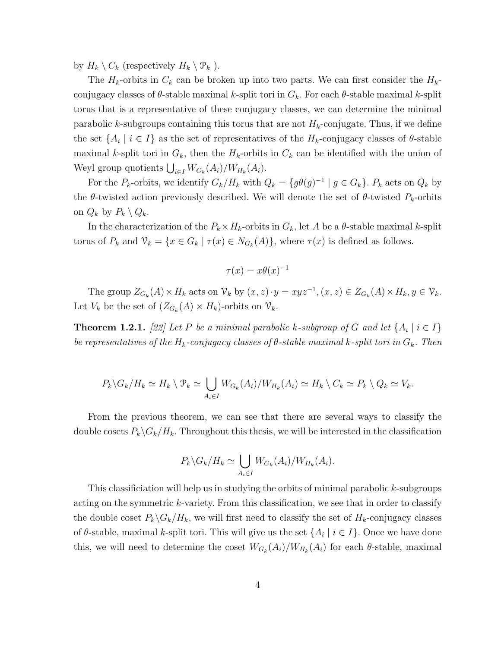by  $H_k \setminus C_k$  (respectively  $H_k \setminus \mathcal{P}_k$ ).

The  $H_k$ -orbits in  $C_k$  can be broken up into two parts. We can first consider the  $H_k$ conjugacy classes of  $\theta$ -stable maximal k-split tori in  $G_k$ . For each  $\theta$ -stable maximal k-split torus that is a representative of these conjugacy classes, we can determine the minimal parabolic k-subgroups containing this torus that are not  $H_k$ -conjugate. Thus, if we define the set  $\{A_i \mid i \in I\}$  as the set of representatives of the  $H_k$ -conjugacy classes of  $\theta$ -stable maximal k-split tori in  $G_k$ , then the  $H_k$ -orbits in  $C_k$  can be identified with the union of Weyl group quotients  $\bigcup_{i\in I} W_{G_k}(A_i)/W_{H_k}(A_i)$ .

For the  $P_k$ -orbits, we identify  $G_k/H_k$  with  $Q_k = \{g\theta(g)^{-1} \mid g \in G_k\}$ .  $P_k$  acts on  $Q_k$  by the  $\theta$ -twisted action previously described. We will denote the set of  $\theta$ -twisted  $P_k$ -orbits on  $Q_k$  by  $P_k \setminus Q_k$ .

In the characterization of the  $P_k \times H_k$ -orbits in  $G_k$ , let A be a  $\theta$ -stable maximal k-split torus of  $P_k$  and  $\mathcal{V}_k = \{x \in G_k \mid \tau(x) \in N_{G_k}(A)\}\$ , where  $\tau(x)$  is defined as follows.

$$
\tau(x) = x\theta(x)^{-1}
$$

The group  $Z_{G_k}(A) \times H_k$  acts on  $\mathcal{V}_k$  by  $(x, z) \cdot y = xyz^{-1}, (x, z) \in Z_{G_k}(A) \times H_k, y \in \mathcal{V}_k$ . Let  $V_k$  be the set of  $(Z_{G_k}(A) \times H_k)$ -orbits on  $\mathcal{V}_k$ .

**Theorem 1.2.1.** [22] Let P be a minimal parabolic k-subgroup of G and let  $\{A_i \mid i \in I\}$ be representatives of the  $H_k$ -conjugacy classes of  $\theta$ -stable maximal k-split tori in  $G_k$ . Then

$$
P_k \backslash G_k / H_k \simeq H_k \setminus \mathcal{P}_k \simeq \bigcup_{A_i \in I} W_{G_k}(A_i) / W_{H_k}(A_i) \simeq H_k \setminus C_k \simeq P_k \setminus Q_k \simeq V_k.
$$

From the previous theorem, we can see that there are several ways to classify the double cosets  $P_k \backslash G_k / H_k$ . Throughout this thesis, we will be interested in the classification

$$
P_k \backslash G_k / H_k \simeq \bigcup_{A_i \in I} W_{G_k}(A_i) / W_{H_k}(A_i).
$$

This classificiation will help us in studying the orbits of minimal parabolic k-subgroups acting on the symmetric  $k$ -variety. From this classification, we see that in order to classify the double coset  $P_k \backslash G_k / H_k$ , we will first need to classify the set of  $H_k$ -conjugacy classes of  $\theta$ -stable, maximal k-split tori. This will give us the set  $\{A_i \mid i \in I\}$ . Once we have done this, we will need to determine the coset  $W_{G_k}(A_i)/W_{H_k}(A_i)$  for each  $\theta$ -stable, maximal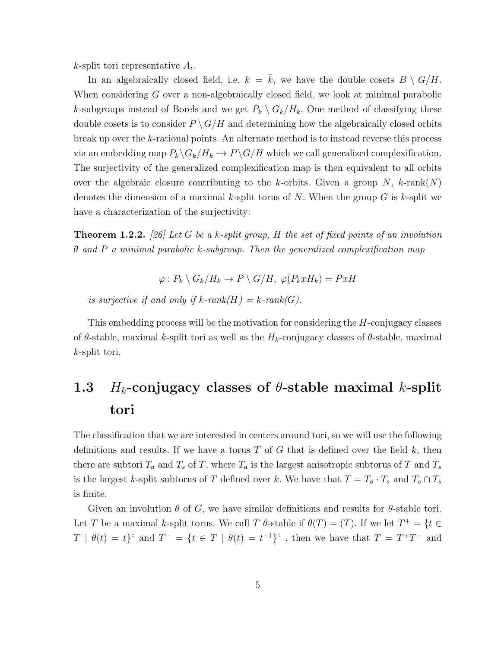$k$ -split tori representative  $A_i$ .

In an algebraically closed field, i.e.  $k = k$ , we have the double cosets  $B \setminus G/H$ . When considering G over a non-algebraically closed field, we look at minimal parabolic k-subgroups instead of Borels and we get  $P_k \setminus G_k / H_k$ . One method of classifying these double cosets is to consider  $P \setminus G/H$  and determining how the algebraically closed orbits break up over the k-rational points. An alternate method is to instead reverse this process via an embedding map  $P_k \backslash G_k / H_k \hookrightarrow P \backslash G / H$  which we call generalized complexification. The surjectivity of the generalized complexification map is then equivalent to all orbits over the algebraic closure contributing to the k-orbits. Given a group N, k-rank(N) denotes the dimension of a maximal k-split torus of  $N$ . When the group  $G$  is k-split we have a characterization of the surjectivity:

**Theorem 1.2.2.** [26] Let G be a k-split group, H the set of fixed points of an involution  $\theta$  and P a minimal parabolic k-subgroup. Then the generalized complexification map

$$
\varphi: P_k \setminus G_k / H_k \to P \setminus G / H, \ \varphi(P_k x H_k) = Px H
$$

is surjective if and only if  $k$ -rank $(H) = k$ -rank $(G)$ .

This embedding process will be the motivation for considering the H-conjugacy classes of  $\theta$ -stable, maximal k-split tori as well as the  $H_k$ -conjugacy classes of  $\theta$ -stable, maximal k-split tori.

## 1.3 H<sub>k</sub>-conjugacy classes of  $\theta$ -stable maximal k-split tori

The classification that we are interested in centers around tori, so we will use the following definitions and results. If we have a torus T of G that is defined over the field  $k$ , then there are subtori  $T_a$  and  $T_s$  of T, where  $T_a$  is the largest anisotropic subtorus of T and  $T_s$ is the largest k-split subtorus of T defined over k. We have that  $T = T_a \cdot T_s$  and  $T_a \cap T_s$ is finite.

Given an involution  $\theta$  of G, we have similar definitions and results for  $\theta$ -stable tori. Let T be a maximal k-split torus. We call T  $\theta$ -stable if  $\theta(T) = (T)$ . If we let  $T^+ = \{t \in$  $T \mid \theta(t) = t$ <sup>o</sup> and  $T^- = \{t \in T \mid \theta(t) = t^{-1}\}$ <sup>o</sup>, then we have that  $T = T^+T^-$  and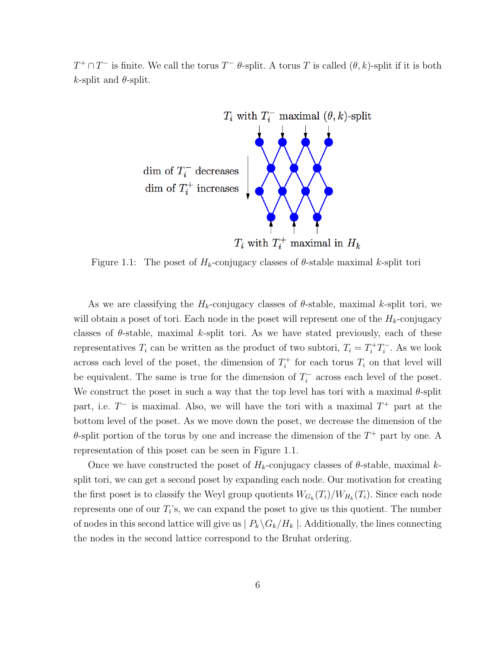$T^+\cap T^-$  is finite. We call the torus  $T^-\theta$ -split. A torus T is called  $(\theta, k)$ -split if it is both k-split and  $\theta$ -split.



Figure 1.1: The poset of  $H_k$ -conjugacy classes of  $\theta$ -stable maximal k-split tori

As we are classifying the  $H_k$ -conjugacy classes of  $\theta$ -stable, maximal k-split tori, we will obtain a poset of tori. Each node in the poset will represent one of the  $H_k$ -conjugacy classes of  $\theta$ -stable, maximal k-split tori. As we have stated previously, each of these representatives  $T_i$  can be written as the product of two subtori,  $T_i = T_i^+ T_i^$  $i^{\text{-}}$ . As we look across each level of the poset, the dimension of  $T_i^+$  $i^{\dagger}$  for each torus  $T_i$  on that level will be equivalent. The same is true for the dimension of  $T_i^$  $i_{i}$ <sup>-</sup> across each level of the poset. We construct the poset in such a way that the top level has tori with a maximal  $\theta$ -split part, i.e.  $T^-$  is maximal. Also, we will have the tori with a maximal  $T^+$  part at the bottom level of the poset. As we move down the poset, we decrease the dimension of the  $\theta$ -split portion of the torus by one and increase the dimension of the  $T^+$  part by one. A representation of this poset can be seen in Figure 1.1.

Once we have constructed the poset of  $H_k$ -conjugacy classes of  $\theta$ -stable, maximal ksplit tori, we can get a second poset by expanding each node. Our motivation for creating the first poset is to classify the Weyl group quotients  $W_{G_k}(T_i)/W_{H_k}(T_i)$ . Since each node represents one of our  $T_i$ 's, we can expand the poset to give us this quotient. The number of nodes in this second lattice will give us  $| P_k \backslash G_k / H_k |$ . Additionally, the lines connecting the nodes in the second lattice correspond to the Bruhat ordering.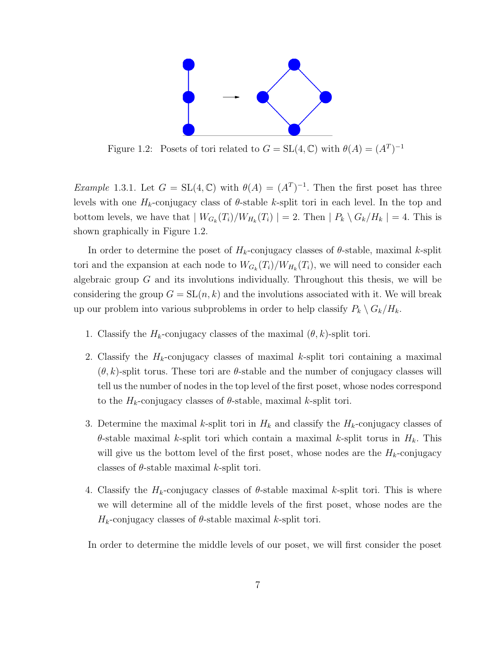

Figure 1.2: Posets of tori related to  $G = SL(4, \mathbb{C})$  with  $\theta(A) = (A^T)^{-1}$ 

*Example* 1.3.1. Let  $G = SL(4, \mathbb{C})$  with  $\theta(A) = (A^T)^{-1}$ . Then the first poset has three levels with one  $H_k$ -conjugacy class of  $\theta$ -stable k-split tori in each level. In the top and bottom levels, we have that  $|W_{G_k}(T_i)/W_{H_k}(T_i)| = 2$ . Then  $|P_k \setminus G_k/H_k| = 4$ . This is shown graphically in Figure 1.2.

In order to determine the poset of  $H_k$ -conjugacy classes of  $\theta$ -stable, maximal k-split tori and the expansion at each node to  $W_{G_k}(T_i)/W_{H_k}(T_i)$ , we will need to consider each algebraic group  $G$  and its involutions individually. Throughout this thesis, we will be considering the group  $G = SL(n, k)$  and the involutions associated with it. We will break up our problem into various subproblems in order to help classify  $P_k \setminus G_k / H_k$ .

- 1. Classify the  $H_k$ -conjugacy classes of the maximal  $(\theta, k)$ -split tori.
- 2. Classify the  $H_k$ -conjugacy classes of maximal k-split tori containing a maximal  $(\theta, k)$ -split torus. These tori are  $\theta$ -stable and the number of conjugacy classes will tell us the number of nodes in the top level of the first poset, whose nodes correspond to the  $H_k$ -conjugacy classes of  $\theta$ -stable, maximal k-split tori.
- 3. Determine the maximal k-split tori in  $H_k$  and classify the  $H_k$ -conjugacy classes of  $\theta$ -stable maximal k-split tori which contain a maximal k-split torus in  $H_k$ . This will give us the bottom level of the first poset, whose nodes are the  $H_k$ -conjugacy classes of  $\theta$ -stable maximal k-split tori.
- 4. Classify the  $H_k$ -conjugacy classes of  $\theta$ -stable maximal k-split tori. This is where we will determine all of the middle levels of the first poset, whose nodes are the  $H_k$ -conjugacy classes of  $\theta$ -stable maximal k-split tori.

In order to determine the middle levels of our poset, we will first consider the poset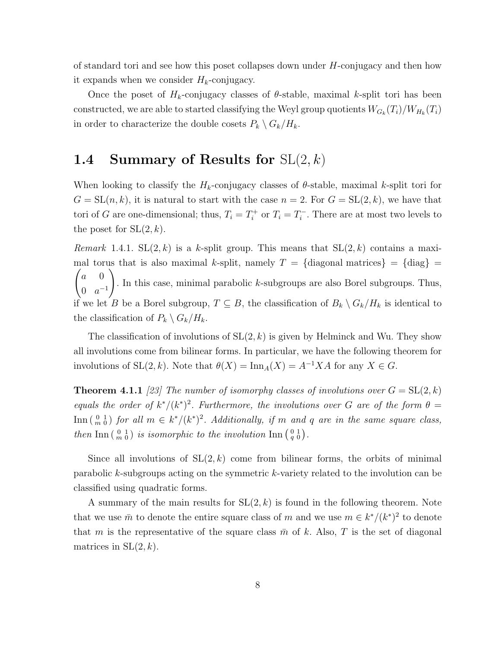of standard tori and see how this poset collapses down under  $H$ -conjugacy and then how it expands when we consider  $H_k$ -conjugacy.

Once the poset of  $H_k$ -conjugacy classes of  $\theta$ -stable, maximal k-split tori has been constructed, we are able to started classifying the Weyl group quotients  $W_{G_k}(T_i)/W_{H_k}(T_i)$ in order to characterize the double cosets  $P_k \setminus G_k / H_k$ .

## 1.4 Summary of Results for  $SL(2, k)$

When looking to classify the  $H_k$ -conjugacy classes of  $\theta$ -stable, maximal k-split tori for  $G = SL(n, k)$ , it is natural to start with the case  $n = 2$ . For  $G = SL(2, k)$ , we have that tori of G are one-dimensional; thus,  $T_i = T_i^+$  $i^+$  or  $T_i = T_i^$  $i$ <sup>-</sup>. There are at most two levels to the poset for  $SL(2, k)$ .

*Remark* 1.4.1.  $SL(2, k)$  is a k-split group. This means that  $SL(2, k)$  contains a maximal torus that is also maximal k-split, namely  $T = \{ \text{diagonal matrices} \} = \{ \text{diag} \}$  $\int a \, 0$ 0  $a^{-1}$  $\setminus$ . In this case, minimal parabolic  $k$ -subgroups are also Borel subgroups. Thus, if we let B be a Borel subgroup,  $T \subseteq B$ , the classification of  $B_k \setminus G_k / H_k$  is identical to the classification of  $P_k \setminus G_k / H_k$ .

The classification of involutions of  $SL(2, k)$  is given by Helminck and Wu. They show all involutions come from bilinear forms. In particular, we have the following theorem for involutions of  $SL(2, k)$ . Note that  $\theta(X) = \text{Inn}_A(X) = A^{-1}XA$  for any  $X \in G$ .

**Theorem 4.1.1** [23] The number of isomorphy classes of involutions over  $G = SL(2, k)$ equals the order of  $k^*/(k^*)^2$ . Furthermore, the involutions over G are of the form  $\theta =$  $\text{Inn } \left(\begin{smallmatrix} 0 & 1 \\ m & 0 \end{smallmatrix}\right)$  for all  $m \in k^*/(k^*)^2$ . Additionally, if m and q are in the same square class, then Inn  $\left(\begin{smallmatrix} 0 & 1 \\ m & 0 \end{smallmatrix}\right)$  is isomorphic to the involution Inn  $\left(\begin{smallmatrix} 0 & 1 \\ q & 0 \end{smallmatrix}\right)$ .

Since all involutions of  $SL(2, k)$  come from bilinear forms, the orbits of minimal parabolic k-subgroups acting on the symmetric k-variety related to the involution can be classified using quadratic forms.

A summary of the main results for  $SL(2, k)$  is found in the following theorem. Note that we use  $\bar{m}$  to denote the entire square class of m and we use  $m \in k^*/(k^*)^2$  to denote that m is the representative of the square class  $\bar{m}$  of k. Also, T is the set of diagonal matrices in  $SL(2, k)$ .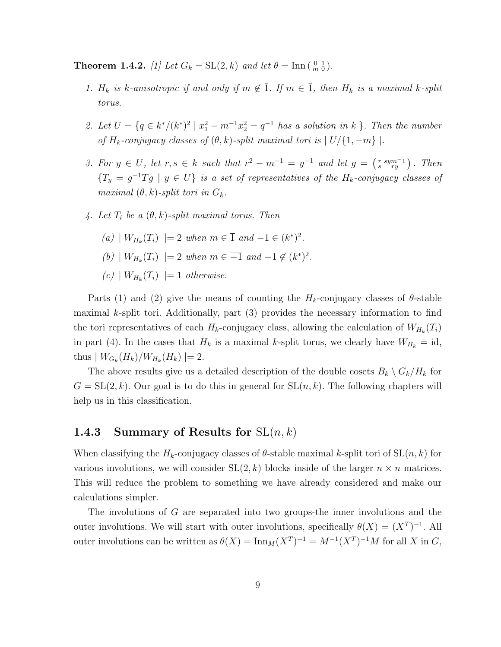**Theorem 1.4.2.** [1] Let  $G_k = SL(2, k)$  and let  $\theta = \text{Inn} \begin{pmatrix} 0 & 1 \\ m & 0 \end{pmatrix}$ .

- 1.  $H_k$  is k-anisotropic if and only if  $m \notin \overline{1}$ . If  $m \in \overline{1}$ , then  $H_k$  is a maximal k-split torus.
- 2. Let  $U = \{q \in k^*/(k^*)^2 \mid x_1^2 m^{-1}x_2^2 = q^{-1}$  has a solution in k }. Then the number of  $H_k$ -conjugacy classes of  $(\theta, k)$ -split maximal tori is  $|U/\{1, -m\}|$ .
- 3. For  $y \in U$ , let  $r, s \in k$  such that  $r^2 m^{-1} = y^{-1}$  and let  $g = \begin{pmatrix} r & sym^{-1} \\ s & ry \end{pmatrix}$ . Then  ${T_y = g^{-1}Tg \mid y \in U}$  is a set of representatives of the  $H_k$ -conjugacy classes of maximal  $(\theta, k)$ -split tori in  $G_k$ .
- 4. Let  $T_i$  be a  $(\theta, k)$ -split maximal torus. Then
	- (a)  $|W_{H_k}(T_i)| = 2$  when  $m \in \overline{1}$  and  $-1 \in (k^*)^2$ .
	- (b)  $|W_{H_k}(T_i)| = 2$  when  $m \in \overline{-1}$  and  $-1 \notin (k^*)^2$ .
	- (c)  $|W_{H_k}(T_i)| = 1$  otherwise.

Parts (1) and (2) give the means of counting the  $H_k$ -conjugacy classes of  $\theta$ -stable maximal k-split tori. Additionally, part (3) provides the necessary information to find the tori representatives of each  $H_k$ -conjugacy class, allowing the calculation of  $W_{H_k}(T_i)$ in part (4). In the cases that  $H_k$  is a maximal k-split torus, we clearly have  $W_{H_k} = id$ , thus  $|W_{G_k}(H_k)/W_{H_k}(H_k)|=2.$ 

The above results give us a detailed description of the double cosets  $B_k \setminus G_k / H_k$  for  $G = SL(2, k)$ . Our goal is to do this in general for  $SL(n, k)$ . The following chapters will help us in this classification.

#### 1.4.3 Summary of Results for  $SL(n, k)$

When classifying the  $H_k$ -conjugacy classes of  $\theta$ -stable maximal k-split tori of  $SL(n, k)$  for various involutions, we will consider  $SL(2, k)$  blocks inside of the larger  $n \times n$  matrices. This will reduce the problem to something we have already considered and make our calculations simpler.

The involutions of G are separated into two groups-the inner involutions and the outer involutions. We will start with outer involutions, specifically  $\theta(X) = (X^T)^{-1}$ . All outer involutions can be written as  $\theta(X) = \text{Inn}_M(X^T)^{-1} = M^{-1}(X^T)^{-1}M$  for all X in G,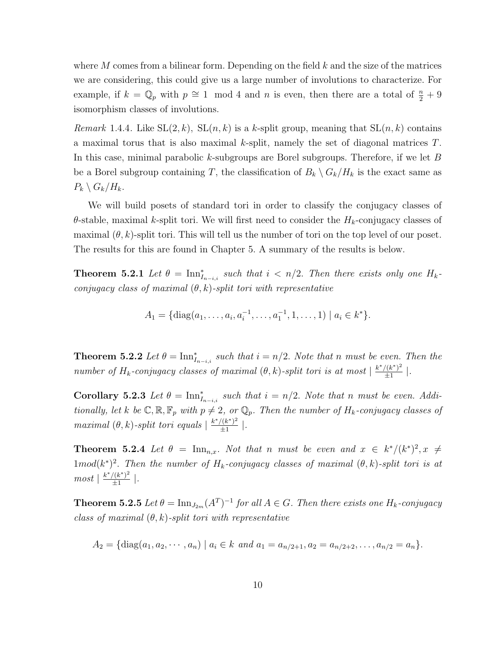where  $M$  comes from a bilinear form. Depending on the field  $k$  and the size of the matrices we are considering, this could give us a large number of involutions to characterize. For example, if  $k = \mathbb{Q}_p$  with  $p \cong 1 \mod 4$  and n is even, then there are a total of  $\frac{n}{2} + 9$ isomorphism classes of involutions.

*Remark* 1.4.4. Like  $SL(2, k)$ ,  $SL(n, k)$  is a k-split group, meaning that  $SL(n, k)$  contains a maximal torus that is also maximal k-split, namely the set of diagonal matrices T. In this case, minimal parabolic k-subgroups are Borel subgroups. Therefore, if we let  $B$ be a Borel subgroup containing T, the classification of  $B_k \setminus G_k / H_k$  is the exact same as  $P_k \setminus G_k / H_k$ .

We will build posets of standard tori in order to classify the conjugacy classes of  $\theta$ -stable, maximal k-split tori. We will first need to consider the  $H_k$ -conjugacy classes of maximal  $(\theta, k)$ -split tori. This will tell us the number of tori on the top level of our poset. The results for this are found in Chapter 5. A summary of the results is below.

**Theorem 5.2.1** Let  $\theta = \text{Inn}_{I_{n-i,i}}^*$  such that  $i < n/2$ . Then there exists only one  $H_k$ conjugacy class of maximal  $(\theta, k)$ -split tori with representative

$$
A_1 = \{ \mathrm{diag}(a_1, \ldots, a_i, a_i^{-1}, \ldots, a_1^{-1}, 1, \ldots, 1) \mid a_i \in k^* \}.
$$

**Theorem 5.2.2** Let  $\theta = \text{Inn}_{I_{n-i,i}}^*$  such that  $i = n/2$ . Note that n must be even. Then the number of H<sub>k</sub>-conjugacy classes of maximal  $(\theta, k)$ -split tori is at most  $\frac{k^*/(k^*)^2}{+1}$  $rac{\frac{1}{k^{2}}}{\pm 1}$ .

Corollary 5.2.3 Let  $\theta = \text{Inn}_{I_{n-i,i}}^*$  such that  $i = n/2$ . Note that n must be even. Additionally, let k be  $\mathbb{C}, \mathbb{R}, \mathbb{F}_p$  with  $p \neq 2$ , or  $\mathbb{Q}_p$ . Then the number of  $H_k$ -conjugacy classes of maximal  $(\theta, k)$ -split tori equals  $\frac{k^*/(k^*)^2}{+1}$  $rac{((k^*)^2}{\pm 1}$ .

**Theorem 5.2.4** Let  $\theta = \text{Inn}_{n,x}$ . Not that n must be even and  $x \in k^*/(k^*)^2$ ,  $x \neq$  $1mod(k^*)^2$ . Then the number of  $H_k$ -conjugacy classes of maximal  $(\theta, k)$ -split tori is at  $most \mid \frac{k^*/(k^*)^2}{1}$  $rac{\left(\frac{1}{k}\right)^2}{\pm 1}$ .

**Theorem 5.2.5** Let  $\theta = \text{Inn}_{J_{2m}}(A^T)^{-1}$  for all  $A \in G$ . Then there exists one  $H_k$ -conjugacy class of maximal  $(\theta, k)$ -split tori with representative

$$
A_2 = \{ \text{diag}(a_1, a_2, \cdots, a_n) \mid a_i \in k \text{ and } a_1 = a_{n/2+1}, a_2 = a_{n/2+2}, \ldots, a_{n/2} = a_n \}.
$$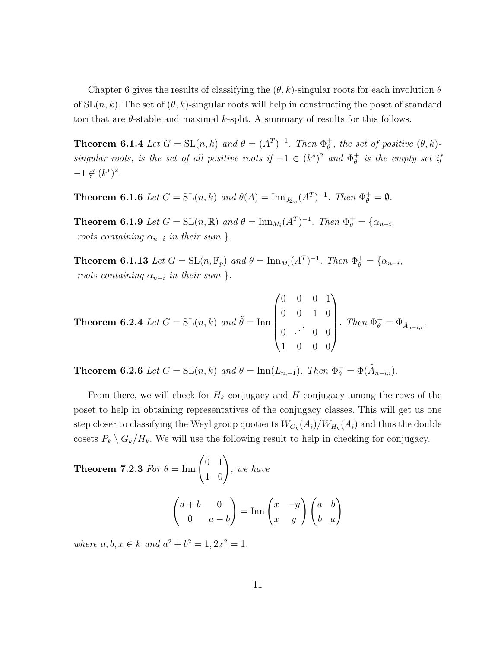Chapter 6 gives the results of classifying the  $(\theta, k)$ -singular roots for each involution  $\theta$ of  $SL(n, k)$ . The set of  $(\theta, k)$ -singular roots will help in constructing the poset of standard tori that are  $\theta$ -stable and maximal k-split. A summary of results for this follows.

**Theorem 6.1.4** Let  $G = SL(n,k)$  and  $\theta = (A^T)^{-1}$ . Then  $\Phi_{\theta}^+$  $_{\theta}^{+}$ , the set of positive  $(\theta, k)$ singular roots, is the set of all positive roots if  $-1 \in (k^*)^2$  and  $\Phi_{\theta}^+$  $_{\theta }^{+}$  is the empty set if  $-1 \notin (k^*)^2$ .

**Theorem 6.1.6** Let  $G = SL(n,k)$  and  $\theta(A) = \text{Inn}_{J_{2m}}(A^T)^{-1}$ . Then  $\Phi_{\theta}^+ = \emptyset$ .

**Theorem 6.1.9** Let  $G = SL(n, \mathbb{R})$  and  $\theta = \text{Inn}_{M_i}(A^T)^{-1}$ . Then  $\Phi_{\theta}^+ = {\alpha_{n-i}}$ , roots containing  $\alpha_{n-i}$  in their sum }.

**Theorem 6.1.13** Let  $G = SL(n, \mathbb{F}_p)$  and  $\theta = \text{Inn}_{M_i}(A^T)^{-1}$ . Then  $\Phi_{\theta}^+ = {\alpha_{n-i}}$ , roots containing  $\alpha_{n-i}$  in their sum }.

**Theorem 6.2.4** *Let* 
$$
G = SL(n,k)
$$
 *and*  $\tilde{\theta} = \text{Inn}\begin{pmatrix} 0 & 0 & 0 & 1 \\ 0 & 0 & 1 & 0 \\ 0 & \cdots & 0 & 0 \\ 1 & 0 & 0 & 0 \end{pmatrix}$ . *Then*  $\Phi_{\theta}^{+} = \Phi_{\tilde{A}_{n-i,i}}.$ 

**Theorem 6.2.6** Let  $G = SL(n,k)$  and  $\theta = \text{Inn}(L_{n,-1})$ . Then  $\Phi_{\theta}^{+} = \Phi(\tilde{A}_{n-i,i})$ .

From there, we will check for  $H_k$ -conjugacy and H-conjugacy among the rows of the poset to help in obtaining representatives of the conjugacy classes. This will get us one step closer to classifying the Weyl group quotients  $W_{G_k}(A_i)/W_{H_k}(A_i)$  and thus the double cosets  $P_k \setminus G_k / H_k$ . We will use the following result to help in checking for conjugacy.

**Theorem 7.2.3** For 
$$
\theta = \text{Inn}\begin{pmatrix} 0 & 1 \\ 1 & 0 \end{pmatrix}
$$
, we have  

$$
\begin{pmatrix} a+b & 0 \\ 0 & a-b \end{pmatrix} = \text{Inn}\begin{pmatrix} x & -y \\ x & y \end{pmatrix} \begin{pmatrix} a & b \\ b & a \end{pmatrix}
$$

where  $a, b, x \in k$  and  $a^2 + b^2 = 1, 2x^2 = 1$ .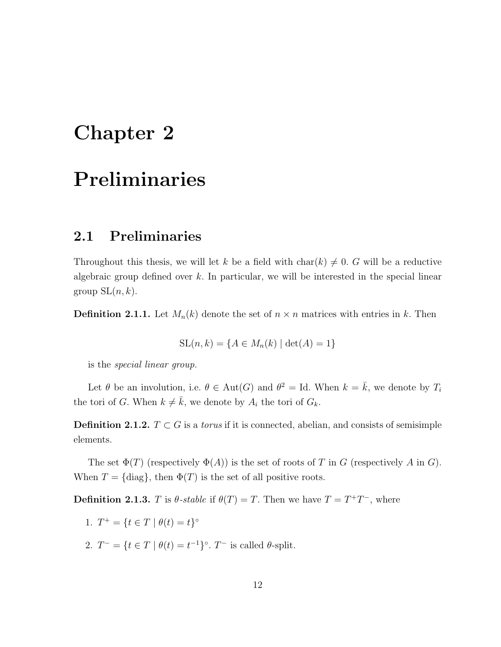# Chapter 2

# Preliminaries

## 2.1 Preliminaries

Throughout this thesis, we will let k be a field with char(k)  $\neq$  0. G will be a reductive algebraic group defined over  $k$ . In particular, we will be interested in the special linear group  $SL(n, k)$ .

**Definition 2.1.1.** Let  $M_n(k)$  denote the set of  $n \times n$  matrices with entries in k. Then

$$
SL(n,k) = \{A \in M_n(k) \mid \det(A) = 1\}
$$

is the special linear group.

Let  $\theta$  be an involution, i.e.  $\theta \in Aut(G)$  and  $\theta^2 = Id$ . When  $k = \overline{k}$ , we denote by  $T_i$ the tori of G. When  $k \neq \overline{k}$ , we denote by  $A_i$  the tori of  $G_k$ .

**Definition 2.1.2.**  $T \subset G$  is a *torus* if it is connected, abelian, and consists of semisimple elements.

The set  $\Phi(T)$  (respectively  $\Phi(A)$ ) is the set of roots of T in G (respectively A in G). When  $T = \{\text{diag}\}\$ , then  $\Phi(T)$  is the set of all positive roots.

**Definition 2.1.3.** T is  $\theta$ -stable if  $\theta(T) = T$ . Then we have  $T = T^+T^-$ , where

- 1.  $T^+ = \{t \in T \mid \theta(t) = t\}^{\circ}$
- 2.  $T^- = \{t \in T \mid \theta(t) = t^{-1}\}^{\circ}$ .  $T^-$  is called  $\theta$ -split.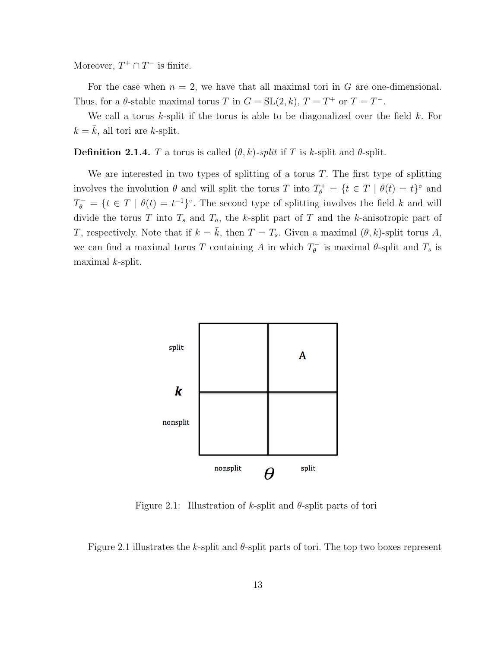Moreover,  $T^+ \cap T^-$  is finite.

For the case when  $n = 2$ , we have that all maximal tori in G are one-dimensional. Thus, for a  $\theta$ -stable maximal torus T in  $G = SL(2, k)$ ,  $T = T^+$  or  $T = T^-$ .

We call a torus  $k$ -split if the torus is able to be diagonalized over the field  $k$ . For  $k = \bar{k}$ , all tori are k-split.

**Definition 2.1.4.** T a torus is called  $(\theta, k)$ -split if T is k-split and  $\theta$ -split.

We are interested in two types of splitting of a torus  $T$ . The first type of splitting involves the involution  $\theta$  and will split the torus T into  $T_{\theta}^+ = \{t \in T \mid \theta(t) = t\}^{\circ}$  and  $T_{\theta}^- = \{t \in T \mid \theta(t) = t^{-1}\}^{\circ}$ . The second type of splitting involves the field k and will divide the torus T into  $T_s$  and  $T_a$ , the k-split part of T and the k-anisotropic part of T, respectively. Note that if  $k = \bar{k}$ , then  $T = T_s$ . Given a maximal  $(\theta, k)$ -split torus A, we can find a maximal torus T containing A in which  $T_{\theta}^ \theta_{\theta}$  is maximal  $\theta$ -split and  $T_s$  is maximal  $k$ -split.



Figure 2.1: Illustration of k-split and  $\theta$ -split parts of tori

Figure 2.1 illustrates the k-split and  $\theta$ -split parts of tori. The top two boxes represent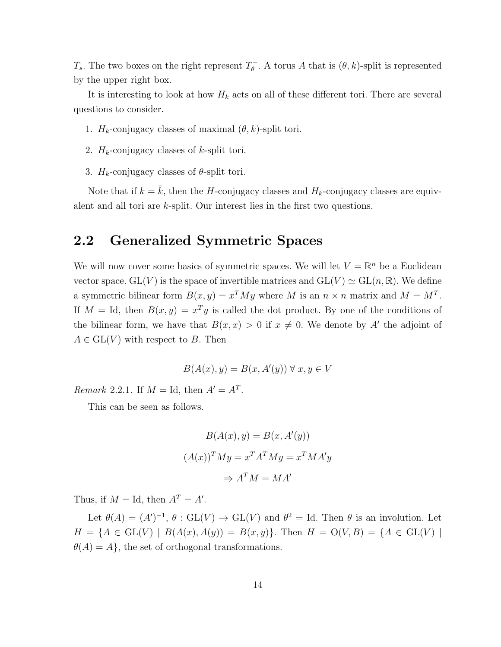$T_s$ . The two boxes on the right represent  $T_{\theta}^ \theta_{\theta}$ . A torus A that is  $(\theta, k)$ -split is represented by the upper right box.

It is interesting to look at how  $H_k$  acts on all of these different tori. There are several questions to consider.

1.  $H_k$ -conjugacy classes of maximal  $(\theta, k)$ -split tori.

- 2.  $H_k$ -conjugacy classes of k-split tori.
- 3.  $H_k$ -conjugacy classes of  $\theta$ -split tori.

Note that if  $k = k$ , then the H-conjugacy classes and  $H_k$ -conjugacy classes are equivalent and all tori are k-split. Our interest lies in the first two questions.

### 2.2 Generalized Symmetric Spaces

We will now cover some basics of symmetric spaces. We will let  $V = \mathbb{R}^n$  be a Euclidean vector space.  $GL(V)$  is the space of invertible matrices and  $GL(V) \simeq GL(n, \mathbb{R})$ . We define a symmetric bilinear form  $B(x, y) = x^T M y$  where M is an  $n \times n$  matrix and  $M = M^T$ . If  $M = Id$ , then  $B(x, y) = x^T y$  is called the dot product. By one of the conditions of the bilinear form, we have that  $B(x, x) > 0$  if  $x \neq 0$ . We denote by A' the adjoint of  $A \in GL(V)$  with respect to B. Then

$$
B(A(x), y) = B(x, A'(y)) \forall x, y \in V
$$

Remark 2.2.1. If  $M = Id$ , then  $A' = A<sup>T</sup>$ .

This can be seen as follows.

$$
B(A(x), y) = B(x, A'(y))
$$

$$
(A(x))^T M y = x^T A^T M y = x^T M A' y
$$

$$
\Rightarrow A^T M = M A'
$$

Thus, if  $M = Id$ , then  $A<sup>T</sup> = A'$ .

Let  $\theta(A) = (A')^{-1}, \theta : GL(V) \to GL(V)$  and  $\theta^2 = Id$ . Then  $\theta$  is an involution. Let  $H = \{A \in GL(V) \mid B(A(x), A(y)) = B(x, y)\}.$  Then  $H = O(V, B) = \{A \in GL(V) \mid$  $\theta(A) = A$ , the set of orthogonal transformations.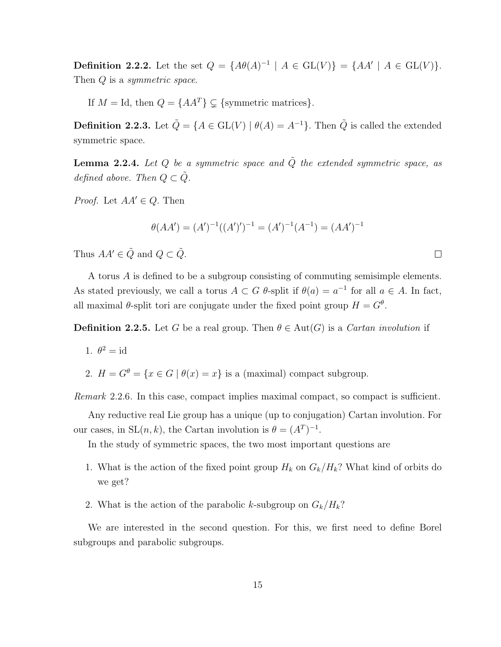**Definition 2.2.2.** Let the set  $Q = \{A\theta(A)^{-1} | A \in GL(V)\} = \{AA' | A \in GL(V)\}.$ Then  $Q$  is a symmetric space.

If  $M = \text{Id}$ , then  $Q = \{AA^T\} \subsetneq \{\text{symmetric matrices}\}.$ 

**Definition 2.2.3.** Let  $\tilde{Q} = \{A \in GL(V) \mid \theta(A) = A^{-1}\}$ . Then  $\tilde{Q}$  is called the extended symmetric space.

**Lemma 2.2.4.** Let Q be a symmetric space and  $\tilde{Q}$  the extended symmetric space, as defined above. Then  $Q \subset \tilde{Q}$ .

*Proof.* Let  $AA' \in Q$ . Then

$$
\theta(AA') = (A')^{-1}((A')')^{-1} = (A')^{-1}(A^{-1}) = (AA')^{-1}
$$

Thus  $AA' \in \tilde{Q}$  and  $Q \subset \tilde{Q}$ .

A torus A is defined to be a subgroup consisting of commuting semisimple elements. As stated previously, we call a torus  $A \subset G$   $\theta$ -split if  $\theta(a) = a^{-1}$  for all  $a \in A$ . In fact, all maximal  $\theta$ -split tori are conjugate under the fixed point group  $H = G^{\theta}$ .

**Definition 2.2.5.** Let G be a real group. Then  $\theta \in \text{Aut}(G)$  is a *Cartan involution* if

1. 
$$
\theta^2 = \text{id}
$$

2.  $H = G^{\theta} = \{x \in G \mid \theta(x) = x\}$  is a (maximal) compact subgroup.

Remark 2.2.6. In this case, compact implies maximal compact, so compact is sufficient.

Any reductive real Lie group has a unique (up to conjugation) Cartan involution. For our cases, in  $SL(n, k)$ , the Cartan involution is  $\theta = (A^T)^{-1}$ .

In the study of symmetric spaces, the two most important questions are

- 1. What is the action of the fixed point group  $H_k$  on  $G_k/H_k$ ? What kind of orbits do we get?
- 2. What is the action of the parabolic k-subgroup on  $G_k/H_k$ ?

We are interested in the second question. For this, we first need to define Borel subgroups and parabolic subgroups.

 $\Box$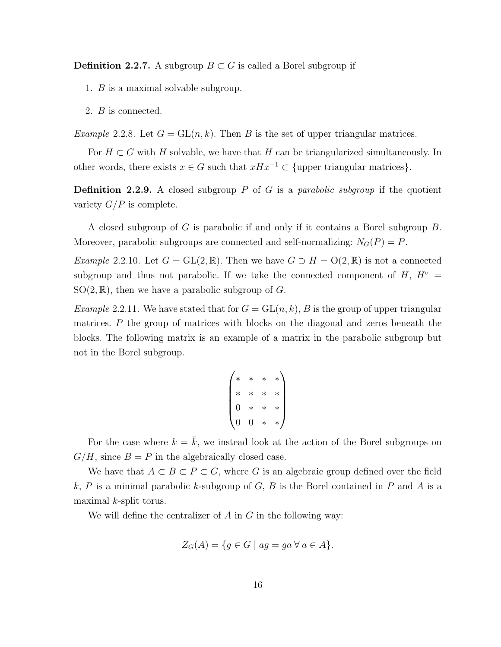**Definition 2.2.7.** A subgroup  $B \subset G$  is called a Borel subgroup if

- 1. B is a maximal solvable subgroup.
- 2. B is connected.

Example 2.2.8. Let  $G = GL(n, k)$ . Then B is the set of upper triangular matrices.

For  $H \subset G$  with H solvable, we have that H can be triangularized simultaneously. In other words, there exists  $x \in G$  such that  $xHx^{-1} \subset \{\text{upper triangular matrices}\}.$ 

**Definition 2.2.9.** A closed subgroup P of G is a parabolic subgroup if the quotient variety  $G/P$  is complete.

A closed subgroup of G is parabolic if and only if it contains a Borel subgroup B. Moreover, parabolic subgroups are connected and self-normalizing:  $N_G(P) = P$ .

Example 2.2.10. Let  $G = GL(2, \mathbb{R})$ . Then we have  $G \supset H = O(2, \mathbb{R})$  is not a connected subgroup and thus not parabolic. If we take the connected component of  $H$ ,  $H^{\circ}$  =  $SO(2,\mathbb{R})$ , then we have a parabolic subgroup of G.

*Example* 2.2.11. We have stated that for  $G = GL(n, k)$ , B is the group of upper triangular matrices.  $P$  the group of matrices with blocks on the diagonal and zeros beneath the blocks. The following matrix is an example of a matrix in the parabolic subgroup but not in the Borel subgroup.

$$
\begin{pmatrix} * & * & * & * \\ * & * & * & * \\ 0 & * & * & * \\ 0 & 0 & * & * \end{pmatrix}
$$

For the case where  $k = \overline{k}$ , we instead look at the action of the Borel subgroups on  $G/H$ , since  $B = P$  in the algebraically closed case.

We have that  $A \subset B \subset P \subset G$ , where G is an algebraic group defined over the field k, P is a minimal parabolic k-subgroup of G, B is the Borel contained in P and A is a maximal  $k$ -split torus.

We will define the centralizer of  $A$  in  $G$  in the following way:

$$
Z_G(A) = \{ g \in G \mid ag = ga \,\forall \, a \in A \}.
$$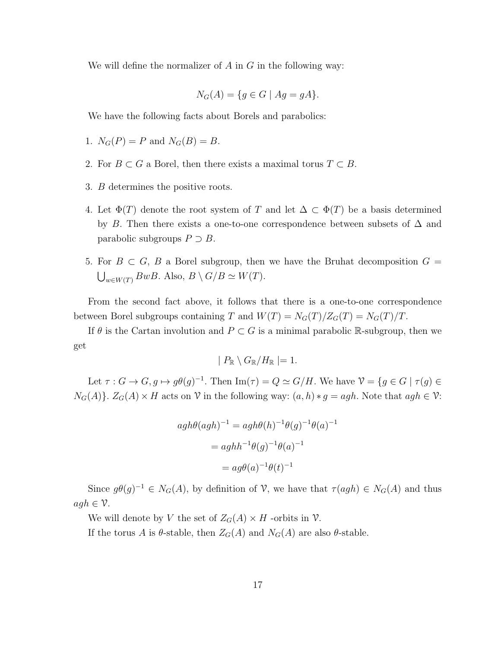We will define the normalizer of  $A$  in  $G$  in the following way:

$$
N_G(A) = \{ g \in G \mid Ag = gA \}.
$$

We have the following facts about Borels and parabolics:

- 1.  $N_G(P) = P$  and  $N_G(B) = B$ .
- 2. For  $B \subset G$  a Borel, then there exists a maximal torus  $T \subset B$ .
- 3. B determines the positive roots.
- 4. Let  $\Phi(T)$  denote the root system of T and let  $\Delta \subset \Phi(T)$  be a basis determined by B. Then there exists a one-to-one correspondence between subsets of  $\Delta$  and parabolic subgroups  $P \supset B$ .
- 5. For  $B \subset G$ , B a Borel subgroup, then we have the Bruhat decomposition  $G =$  $\bigcup_{w \in W(T)} BwB$ . Also,  $B \setminus G/B \simeq W(T)$ .

From the second fact above, it follows that there is a one-to-one correspondence between Borel subgroups containing T and  $W(T) = N_G(T)/Z_G(T) = N_G(T)/T$ .

If  $\theta$  is the Cartan involution and  $P \subset G$  is a minimal parabolic R-subgroup, then we get

$$
| P_{\mathbb{R}} \setminus G_{\mathbb{R}}/H_{\mathbb{R}} | = 1.
$$

Let  $\tau: G \to G$ ,  $g \mapsto g\theta(g)^{-1}$ . Then Im( $\tau$ ) =  $Q \simeq G/H$ . We have  $\mathcal{V} = \{g \in G \mid \tau(g) \in$  $N_G(A)$ .  $Z_G(A) \times H$  acts on  $\mathcal V$  in the following way:  $(a, h) * g = agh$ . Note that  $agh \in \mathcal V$ :

$$
agh\theta(agh)^{-1} = agh\theta(h)^{-1}\theta(g)^{-1}\theta(a)^{-1}
$$

$$
= aghh^{-1}\theta(g)^{-1}\theta(a)^{-1}
$$

$$
= ag\theta(a)^{-1}\theta(t)^{-1}
$$

Since  $g\theta(g)^{-1} \in N_G(A)$ , by definition of  $\mathcal{V}$ , we have that  $\tau(agh) \in N_G(A)$  and thus  $agh \in \mathcal{V}.$ 

We will denote by V the set of  $Z_G(A) \times H$  -orbits in V.

If the torus A is  $\theta$ -stable, then  $Z_G(A)$  and  $N_G(A)$  are also  $\theta$ -stable.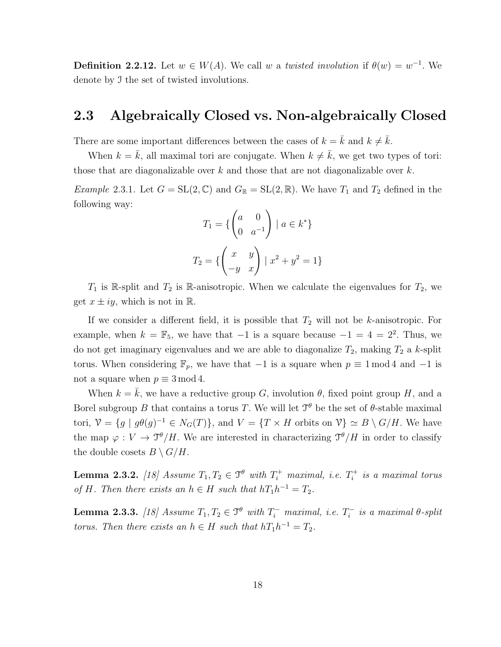**Definition 2.2.12.** Let  $w \in W(A)$ . We call w a twisted involution if  $\theta(w) = w^{-1}$ . We denote by I the set of twisted involutions.

### 2.3 Algebraically Closed vs. Non-algebraically Closed

There are some important differences between the cases of  $k = \bar{k}$  and  $k \neq \bar{k}$ .

When  $k = \bar{k}$ , all maximal tori are conjugate. When  $k \neq \bar{k}$ , we get two types of tori: those that are diagonalizable over  $k$  and those that are not diagonalizable over  $k$ .

*Example* 2.3.1. Let  $G = SL(2, \mathbb{C})$  and  $G_{\mathbb{R}} = SL(2, \mathbb{R})$ . We have  $T_1$  and  $T_2$  defined in the following way:

$$
T_1 = \left\{ \begin{pmatrix} a & 0 \\ 0 & a^{-1} \end{pmatrix} \mid a \in k^* \right\}
$$
\n
$$
T_2 = \left\{ \begin{pmatrix} x & y \\ -y & x \end{pmatrix} \mid x^2 + y^2 = 1 \right\}
$$

 $T_1$  is R-split and  $T_2$  is R-anisotropic. When we calculate the eigenvalues for  $T_2$ , we get  $x \pm iy$ , which is not in R.

If we consider a different field, it is possible that  $T_2$  will not be k-anisotropic. For example, when  $k = \mathbb{F}_5$ , we have that  $-1$  is a square because  $-1 = 4 = 2^2$ . Thus, we do not get imaginary eigenvalues and we are able to diagonalize  $T_2$ , making  $T_2$  a k-split torus. When considering  $\mathbb{F}_p$ , we have that  $-1$  is a square when  $p \equiv 1 \mod 4$  and  $-1$  is not a square when  $p \equiv 3 \mod 4$ .

When  $k = \overline{k}$ , we have a reductive group G, involution  $\theta$ , fixed point group H, and a Borel subgroup B that contains a torus T. We will let  $\mathcal{T}^{\theta}$  be the set of  $\theta$ -stable maximal tori,  $\mathcal{V} = \{g \mid g\theta(g)^{-1} \in N_G(T)\}\$ , and  $V = \{T \times H \text{ orbits on } \mathcal{V}\} \simeq B \setminus G/H$ . We have the map  $\varphi: V \to \mathcal{I}^{\theta}/H$ . We are interested in characterizing  $\mathcal{I}^{\theta}/H$  in order to classify the double cosets  $B \setminus G/H$ .

**Lemma 2.3.2.** [18] Assume  $T_1, T_2 \in \mathcal{T}^{\theta}$  with  $T_i^+$  maximal, i.e.  $T_i^+$  $i_i^+$  is a maximal torus of H. Then there exists an  $h \in H$  such that  $hT_1h^{-1} = T_2$ .

**Lemma 2.3.3.** [18] Assume  $T_1, T_2 \in \mathcal{T}^{\theta}$  with  $T_i^-$  maximal, i.e.  $T_i^$  $i_i^{\text{-}}$  is a maximal  $\theta$ -split torus. Then there exists an  $h \in H$  such that  $hT_1h^{-1} = T_2$ .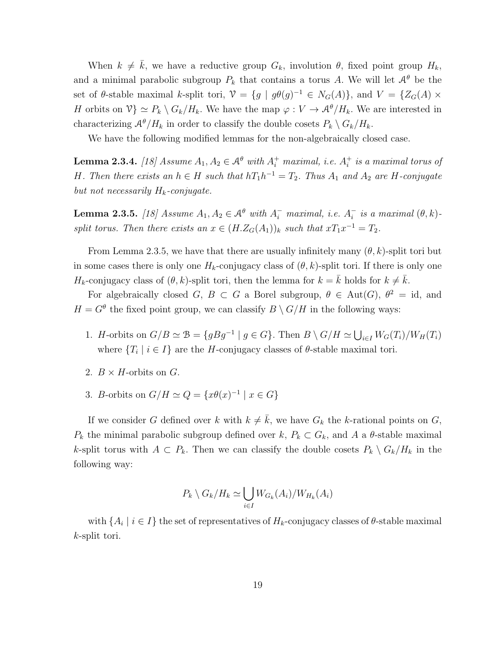When  $k \neq \overline{k}$ , we have a reductive group  $G_k$ , involution  $\theta$ , fixed point group  $H_k$ , and a minimal parabolic subgroup  $P_k$  that contains a torus A. We will let  $\mathcal{A}^{\theta}$  be the set of  $\theta$ -stable maximal k-split tori,  $\mathcal{V} = \{g \mid g\theta(g)^{-1} \in N_G(A)\}$ , and  $V = \{Z_G(A) \times$ H orbits on  $\mathcal{V} \ge P_k \setminus G_k/H_k$ . We have the map  $\varphi : V \to \mathcal{A}^{\theta}/H_k$ . We are interested in characterizing  $\mathcal{A}^{\theta}/H_k$  in order to classify the double cosets  $P_k \setminus G_k/H_k$ .

We have the following modified lemmas for the non-algebraically closed case.

**Lemma 2.3.4.** [18] Assume  $A_1, A_2 \in \mathcal{A}^{\theta}$  with  $A_i^+$  maximal, i.e.  $A_i^+$  $i<sub>i</sub>$  is a maximal torus of H. Then there exists an  $h \in H$  such that  $hT_1h^{-1} = T_2$ . Thus  $A_1$  and  $A_2$  are H-conjugate but not necessarily  $H_k$ -conjugate.

**Lemma 2.3.5.** [18] Assume  $A_1, A_2 \in \mathcal{A}^{\theta}$  with  $A_i^-$  maximal, i.e.  $A_i^ \bar{i}$  is a maximal  $(\theta, k)$ split torus. Then there exists an  $x \in (H.Z_G(A_1))_k$  such that  $xT_1x^{-1} = T_2$ .

From Lemma 2.3.5, we have that there are usually infinitely many  $(\theta, k)$ -split tori but in some cases there is only one  $H_k$ -conjugacy class of  $(\theta, k)$ -split tori. If there is only one  $H_k$ -conjugacy class of  $(\theta, k)$ -split tori, then the lemma for  $k = \bar{k}$  holds for  $k \neq \bar{k}$ .

For algebraically closed G,  $B \subset G$  a Borel subgroup,  $\theta \in Aut(G)$ ,  $\theta^2 = id$ , and  $H = G^{\theta}$  the fixed point group, we can classify  $B \setminus G/H$  in the following ways:

- 1. *H*-orbits on  $G/B \simeq \mathcal{B} = \{gBg^{-1} \mid g \in G\}$ . Then  $B \setminus G/H \simeq \bigcup_{i \in I} W_G(T_i)/W_H(T_i)$ where  $\{T_i \mid i \in I\}$  are the H-conjugacy classes of  $\theta$ -stable maximal tori.
- 2.  $B \times H$ -orbits on  $G$ .
- 3. B-orbits on  $G/H \simeq Q = \{x\theta(x)^{-1} \mid x \in G\}$

If we consider G defined over k with  $k \neq \overline{k}$ , we have  $G_k$  the k-rational points on G,  $P_k$  the minimal parabolic subgroup defined over  $k, P_k \subset G_k$ , and A a  $\theta$ -stable maximal k-split torus with  $A \subset P_k$ . Then we can classify the double cosets  $P_k \setminus G_k / H_k$  in the following way:

$$
P_k \setminus G_k / H_k \simeq \bigcup_{i \in I} W_{G_k}(A_i) / W_{H_k}(A_i)
$$

with  $\{A_i \mid i \in I\}$  the set of representatives of  $H_k$ -conjugacy classes of  $\theta$ -stable maximal k-split tori.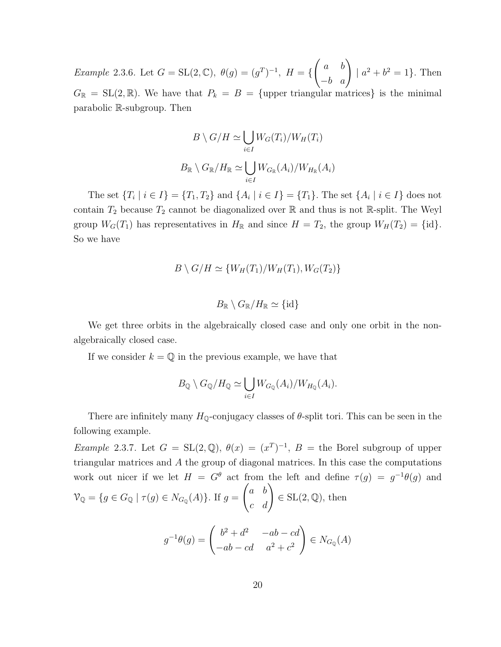Example 2.3.6. Let  $G = SL(2, \mathbb{C}), \ \theta(g) = (g^T)^{-1}, \ H = \{$  $\begin{pmatrix} a & b \\ -b & a \end{pmatrix}$  $|a^2 + b^2 = 1$ . Then  $G_{\mathbb{R}} = SL(2,\mathbb{R})$ . We have that  $P_k = B = \{$ upper triangular matrices} is the minimal parabolic R-subgroup. Then

$$
B \setminus G/H \simeq \bigcup_{i \in I} W_G(T_i)/W_H(T_i)
$$
  

$$
B_{\mathbb{R}} \setminus G_{\mathbb{R}}/H_{\mathbb{R}} \simeq \bigcup_{i \in I} W_{G_{\mathbb{R}}}(A_i)/W_{H_{\mathbb{R}}}(A_i)
$$

The set  $\{T_i \mid i \in I\} = \{T_1, T_2\}$  and  $\{A_i \mid i \in I\} = \{T_1\}$ . The set  $\{A_i \mid i \in I\}$  does not contain  $T_2$  because  $T_2$  cannot be diagonalized over  $\mathbb R$  and thus is not  $\mathbb R$ -split. The Weyl group  $W_G(T_1)$  has representatives in  $H_{\mathbb{R}}$  and since  $H = T_2$ , the group  $W_H(T_2) = \{\text{id}\}.$ So we have

$$
B \setminus G/H \simeq \{W_H(T_1)/W_H(T_1), W_G(T_2)\}
$$

$$
B_{\mathbb{R}} \setminus G_{\mathbb{R}}/H_{\mathbb{R}} \simeq \{\text{id}\}
$$

We get three orbits in the algebraically closed case and only one orbit in the nonalgebraically closed case.

If we consider  $k = \mathbb{Q}$  in the previous example, we have that

$$
B_{\mathbb{Q}} \setminus G_{\mathbb{Q}}/H_{\mathbb{Q}} \simeq \bigcup_{i \in I} W_{G_{\mathbb{Q}}}(A_i)/W_{H_{\mathbb{Q}}}(A_i).
$$

There are infinitely many  $H_{\mathbb{Q}}$ -conjugacy classes of  $\theta$ -split tori. This can be seen in the following example.

*Example* 2.3.7. Let  $G = SL(2, \mathbb{Q}), \theta(x) = (x^T)^{-1}, B = \text{the Borel subgroup of upper}$ triangular matrices and A the group of diagonal matrices. In this case the computations work out nicer if we let  $H = G^{\theta}$  act from the left and define  $\tau(g) = g^{-1}\theta(g)$  and  $\mathcal{V}_{\mathbb{Q}} = \{ g \in G_{\mathbb{Q}} \mid \tau(g) \in N_{G_{\mathbb{Q}}}(A) \}.$  If  $g =$  $\begin{pmatrix} a & b \\ c & d \end{pmatrix}$  $\in$  SL $(2, \mathbb{Q})$ , then  $g^{-1}\theta(g) = \begin{pmatrix} b^2 + d^2 & -ab - cd \\ 1 & -a^2 & -a^2 \end{pmatrix}$  $-ab - cd$   $a^2 + c^2$  $\setminus$  $\in N_{G_0}(A)$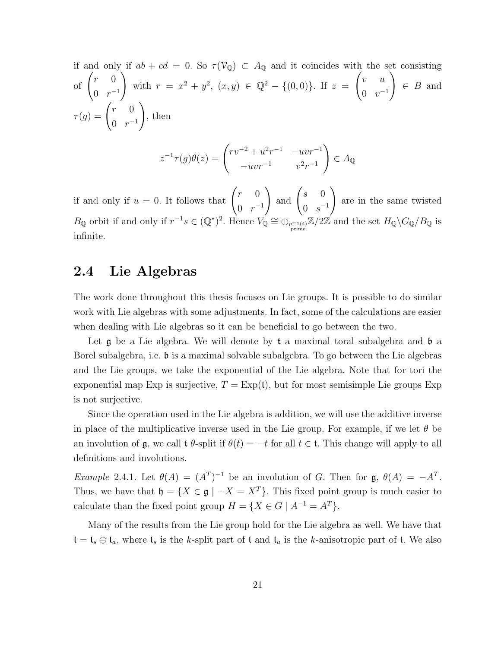if and only if  $ab + cd = 0$ . So  $\tau(\mathcal{V}_{\mathbb{Q}}) \subset A_{\mathbb{Q}}$  and it coincides with the set consisting of  $\begin{pmatrix} r & 0 \\ 0 & 0 \end{pmatrix}$  $0 \rceil r^{-1}$  $\setminus$ with  $r = x^2 + y^2$ ,  $(x, y) \in \mathbb{Q}^2 - \{(0, 0)\}.$  If  $z =$  $\int v u$  $0 \t v^{-1}$  $\setminus$  $\in B$  and  $\tau(g) = \begin{pmatrix} r & 0 \\ 0 & 0 \end{pmatrix}$  $0 \rceil r^{-1}$  $\setminus$ , then 2  $\setminus$ 

$$
z^{-1}\tau(g)\theta(z) = \begin{pmatrix} rv^{-2} + u^2r^{-1} & -uvr^{-1} \\ -uvr^{-1} & v^2r^{-1} \end{pmatrix} \in A_{\mathbb{Q}}
$$

if and only if  $u = 0$ . It follows that  $\begin{pmatrix} r & 0 \\ 0 & 0 \end{pmatrix}$  $0 \rceil r^{-1}$  $\Big)$  and  $\Big( \begin{matrix} s & 0 \\ 0 & 0 \end{matrix} \Big)$  $0 s^{-1}$  $\setminus$ are in the same twisted  $B_{\mathbb{Q}}$  orbit if and only if  $r^{-1}s \in (\mathbb{Q}^*)^2$ . Hence  $V_{\mathbb{Q}} \cong \bigoplus_{p \equiv 1(4)} \mathbb{Z}/2\mathbb{Z}$  and the set  $H_{\mathbb{Q}}\backslash G_{\mathbb{Q}}/B_{\mathbb{Q}}$  is infinite.

### 2.4 Lie Algebras

The work done throughout this thesis focuses on Lie groups. It is possible to do similar work with Lie algebras with some adjustments. In fact, some of the calculations are easier when dealing with Lie algebras so it can be beneficial to go between the two.

Let  $\mathfrak g$  be a Lie algebra. We will denote by  $\mathfrak t$  a maximal toral subalgebra and  $\mathfrak b$  a Borel subalgebra, i.e. b is a maximal solvable subalgebra. To go between the Lie algebras and the Lie groups, we take the exponential of the Lie algebra. Note that for tori the exponential map Exp is surjective,  $T = \text{Exp}(\mathfrak{t})$ , but for most semisimple Lie groups Exp is not surjective.

Since the operation used in the Lie algebra is addition, we will use the additive inverse in place of the multiplicative inverse used in the Lie group. For example, if we let  $\theta$  be an involution of g, we call t  $\theta$ -split if  $\theta(t) = -t$  for all  $t \in \mathfrak{t}$ . This change will apply to all definitions and involutions.

Example 2.4.1. Let  $\theta(A) = (A^T)^{-1}$  be an involution of G. Then for  $\mathfrak{g}, \theta(A) = -A^T$ . Thus, we have that  $\mathfrak{h} = \{X \in \mathfrak{g} \mid -X = X^T\}$ . This fixed point group is much easier to calculate than the fixed point group  $H = \{X \in G \mid A^{-1} = A^{T}\}.$ 

Many of the results from the Lie group hold for the Lie algebra as well. We have that  $\mathfrak{t} = \mathfrak{t}_s \oplus \mathfrak{t}_a$ , where  $\mathfrak{t}_s$  is the k-split part of  $\mathfrak{t}$  and  $\mathfrak{t}_a$  is the k-anisotropic part of  $\mathfrak{t}$ . We also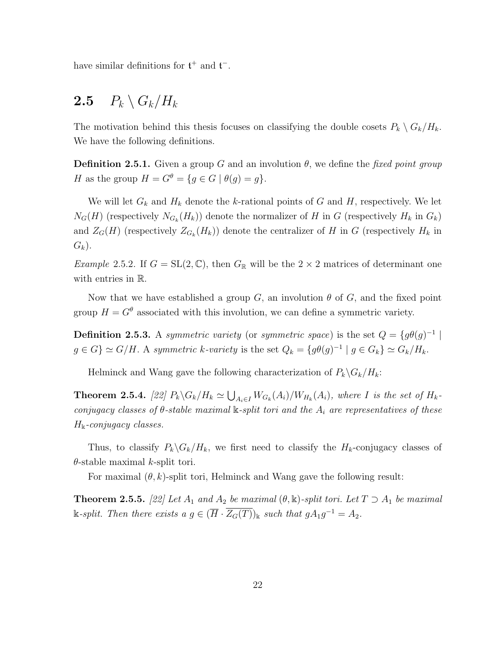have similar definitions for  $\mathfrak{t}^+$  and  $\mathfrak{t}^-$ .

## 2.5  $P_k \setminus G_k / H_k$

The motivation behind this thesis focuses on classifying the double cosets  $P_k \setminus G_k / H_k$ . We have the following definitions.

**Definition 2.5.1.** Given a group G and an involution  $\theta$ , we define the fixed point group H as the group  $H = G^{\theta} = \{g \in G \mid \theta(g) = g\}.$ 

We will let  $G_k$  and  $H_k$  denote the k-rational points of G and H, respectively. We let  $N_G(H)$  (respectively  $N_{G_k}(H_k)$ ) denote the normalizer of H in G (respectively  $H_k$  in  $G_k$ ) and  $Z_G(H)$  (respectively  $Z_{G_k}(H_k)$ ) denote the centralizer of H in G (respectively  $H_k$  in  $G_k$ ).

*Example 2.5.2.* If  $G = SL(2, \mathbb{C})$ , then  $G_{\mathbb{R}}$  will be the  $2 \times 2$  matrices of determinant one with entries in R.

Now that we have established a group G, an involution  $\theta$  of G, and the fixed point group  $H = G^{\theta}$  associated with this involution, we can define a symmetric variety.

**Definition 2.5.3.** A symmetric variety (or symmetric space) is the set  $Q = \{g\theta(g)^{-1} \mid$  $g \in G$   $\simeq G/H$ . A symmetric k-variety is the set  $Q_k = \{g\theta(g)^{-1} \mid g \in G_k\} \simeq G_k/H_k$ .

Helminck and Wang gave the following characterization of  $P_k\backslash G_k/H_k$ :

**Theorem 2.5.4.** [22]  $P_k \backslash G_k / H_k \simeq \bigcup_{A_i \in I} W_{G_k}(A_i) / W_{H_k}(A_i)$ , where I is the set of  $H_k$ conjugacy classes of  $\theta$ -stable maximal k-split tori and the  $A_i$  are representatives of these  $H_{\mathbb{k}}$ -conjugacy classes.

Thus, to classify  $P_k \backslash G_k / H_k$ , we first need to classify the  $H_k$ -conjugacy classes of  $\theta$ -stable maximal k-split tori.

For maximal  $(\theta, k)$ -split tori, Helminck and Wang gave the following result:

**Theorem 2.5.5.** [22] Let  $A_1$  and  $A_2$  be maximal  $(\theta, \mathbb{k})$ -split tori. Let  $T \supset A_1$  be maximal  $\Bbbk$ -split. Then there exists a  $g \in (\overline{H} \cdot \overline{Z_G(T)})_{\Bbbk}$  such that  $gA_1g^{-1} = A_2$ .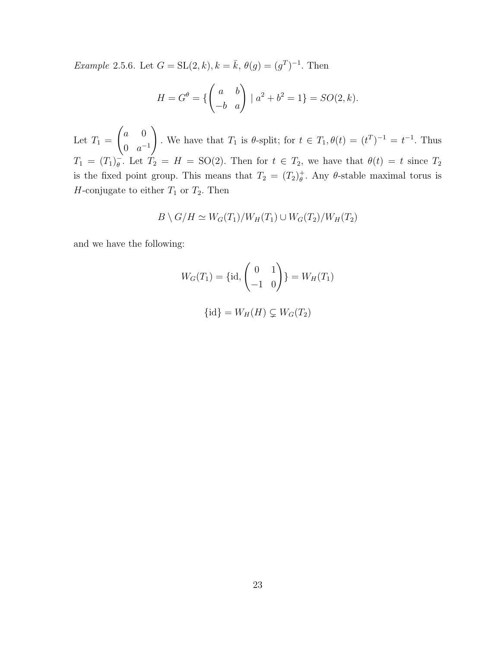*Example* 2.5.6. Let  $G = SL(2, k), k = \bar{k}, \theta(g) = (g^T)^{-1}$ . Then

$$
H = G^{\theta} = \left\{ \begin{pmatrix} a & b \\ -b & a \end{pmatrix} \mid a^2 + b^2 = 1 \right\} = SO(2, k).
$$

Let  $T_1 =$  $\int a \, 0$ 0  $a^{-1}$  $\setminus$ . We have that  $T_1$  is  $\theta$ -split; for  $t \in T_1$ ,  $\theta(t) = (t^T)^{-1} = t^{-1}$ . Thus  $T_1 = (T_1)^{-}_{\theta}$  $\bar{\theta}$ . Let  $T_2 = H = SO(2)$ . Then for  $t \in T_2$ , we have that  $\theta(t) = t$  since  $T_2$ is the fixed point group. This means that  $T_2 = (T_2)^+_{\theta}$  $_{\theta}^{+}$ . Any  $\theta$ -stable maximal torus is H-conjugate to either  $T_1$  or  $T_2$ . Then

$$
B \setminus G/H \simeq W_G(T_1)/W_H(T_1) \cup W_G(T_2)/W_H(T_2)
$$

and we have the following:

$$
W_G(T_1) = \{id, \begin{pmatrix} 0 & 1 \\ -1 & 0 \end{pmatrix} \} = W_H(T_1)
$$

$$
\{id\} = W_H(H) \subsetneq W_G(T_2)
$$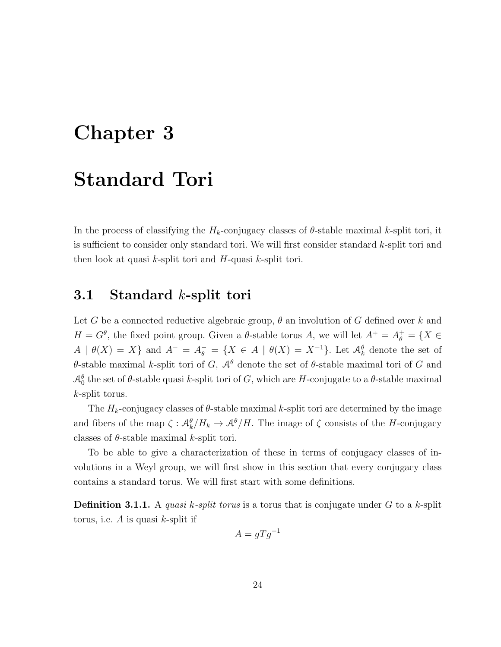# Chapter 3

## Standard Tori

In the process of classifying the  $H_k$ -conjugacy classes of  $\theta$ -stable maximal k-split tori, it is sufficient to consider only standard tori. We will first consider standard k-split tori and then look at quasi  $k$ -split tori and  $H$ -quasi  $k$ -split tori.

### 3.1 Standard k-split tori

Let G be a connected reductive algebraic group,  $\theta$  an involution of G defined over k and  $H = G^{\theta}$ , the fixed point group. Given a  $\theta$ -stable torus A, we will let  $A^{+} = A_{\theta}^{+} = \{X \in$  $A | \theta(X) = X$  and  $A^- = A^-_\theta = \{X \in A | \theta(X) = X^{-1}\}\.$  Let  $\mathcal{A}^{\theta}_k$  denote the set of θ-stable maximal k-split tori of G,  $\mathcal{A}^{\theta}$  denote the set of θ-stable maximal tori of G and  $\mathcal{A}^{\theta}_{0}$  the set of  $\theta$ -stable quasi k-split tori of G, which are H-conjugate to a  $\theta$ -stable maximal k-split torus.

The  $H_k$ -conjugacy classes of  $\theta$ -stable maximal k-split tori are determined by the image and fibers of the map  $\zeta: \mathcal{A}_{k}^{\theta}/H_{k} \to \mathcal{A}^{\theta}/H$ . The image of  $\zeta$  consists of the H-conjugacy classes of  $\theta$ -stable maximal k-split tori.

To be able to give a characterization of these in terms of conjugacy classes of involutions in a Weyl group, we will first show in this section that every conjugacy class contains a standard torus. We will first start with some definitions.

**Definition 3.1.1.** A quasi k-split torus is a torus that is conjugate under G to a k-split torus, i.e.  $A$  is quasi  $k$ -split if

$$
A = gTg^{-1}
$$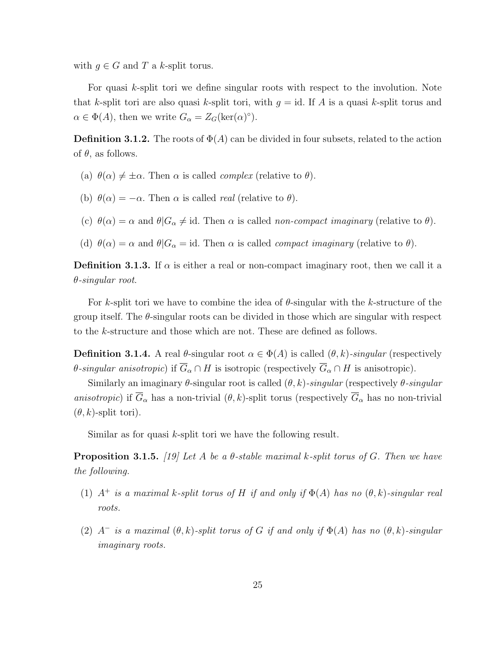with  $g \in G$  and T a k-split torus.

For quasi k-split tori we define singular roots with respect to the involution. Note that k-split tori are also quasi k-split tori, with  $q = id$ . If A is a quasi k-split torus and  $\alpha \in \Phi(A)$ , then we write  $G_{\alpha} = Z_G(\ker(\alpha)^{\circ})$ .

**Definition 3.1.2.** The roots of  $\Phi(A)$  can be divided in four subsets, related to the action of  $\theta$ , as follows.

- (a)  $\theta(\alpha) \neq \pm \alpha$ . Then  $\alpha$  is called *complex* (relative to  $\theta$ ).
- (b)  $\theta(\alpha) = -\alpha$ . Then  $\alpha$  is called *real* (relative to  $\theta$ ).
- (c)  $\theta(\alpha) = \alpha$  and  $\theta | G_{\alpha} \neq id$ . Then  $\alpha$  is called non-compact imaginary (relative to  $\theta$ ).
- (d)  $\theta(\alpha) = \alpha$  and  $\theta|G_{\alpha} = id$ . Then  $\alpha$  is called *compact imaginary* (relative to  $\theta$ ).

**Definition 3.1.3.** If  $\alpha$  is either a real or non-compact imaginary root, then we call it a θ-singular root.

For k-split tori we have to combine the idea of  $\theta$ -singular with the k-structure of the group itself. The  $\theta$ -singular roots can be divided in those which are singular with respect to the k-structure and those which are not. These are defined as follows.

**Definition 3.1.4.** A real  $\theta$ -singular root  $\alpha \in \Phi(A)$  is called  $(\theta, k)$ -singular (respectively  $\theta$ -singular anisotropic) if  $\overline{G}_{\alpha} \cap H$  is isotropic (respectively  $\overline{G}_{\alpha} \cap H$  is anisotropic).

Similarly an imaginary  $\theta$ -singular root is called  $(\theta, k)$ -singular (respectively  $\theta$ -singular anisotropic) if  $\overline{G}_{\alpha}$  has a non-trivial  $(\theta, k)$ -split torus (respectively  $\overline{G}_{\alpha}$  has no non-trivial  $(\theta, k)$ -split tori).

Similar as for quasi k-split tori we have the following result.

**Proposition 3.1.5.** [19] Let A be a  $\theta$ -stable maximal k-split torus of G. Then we have the following.

- (1)  $A^+$  is a maximal k-split torus of H if and only if  $\Phi(A)$  has no  $(\theta, k)$ -singular real roots.
- (2)  $A^-$  is a maximal  $(\theta, k)$ -split torus of G if and only if  $\Phi(A)$  has no  $(\theta, k)$ -singular imaginary roots.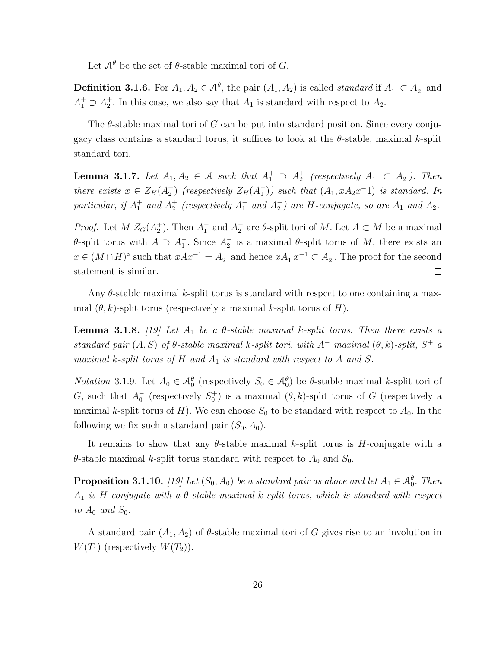Let  $\mathcal{A}^{\theta}$  be the set of  $\theta$ -stable maximal tori of G.

**Definition 3.1.6.** For  $A_1, A_2 \in \mathcal{A}^{\theta}$ , the pair  $(A_1, A_2)$  is called *standard* if  $A_1^- \subset A_2^-$  and  $A_1^+ \supset A_2^+$ . In this case, we also say that  $A_1$  is standard with respect to  $A_2$ .

The  $\theta$ -stable maximal tori of G can be put into standard position. Since every conjugacy class contains a standard torus, it suffices to look at the  $\theta$ -stable, maximal k-split standard tori.

**Lemma 3.1.7.** Let  $A_1, A_2 \in \mathcal{A}$  such that  $A_1^+ \supset A_2^+$  (respectively  $A_1^- \subset A_2^-$ ). Then there exists  $x \in Z_H(A_2^+)$  (respectively  $Z_H(A_1^-)$ ) such that  $(A_1, xA_2x^{-1})$  is standard. In particular, if  $A_1^+$  and  $A_2^+$  (respectively  $A_1^-$  and  $A_2^-$ ) are H-conjugate, so are  $A_1$  and  $A_2$ .

*Proof.* Let  $M Z_G(A_2^+)$ . Then  $A_1^-$  and  $A_2^-$  are  $\theta$ -split tori of  $M$ . Let  $A \subset M$  be a maximal θ-split torus with  $A ⊇ A_1^-$ . Since  $A_2^-$  is a maximal θ-split torus of M, there exists an  $x \in (M \cap H)^\circ$  such that  $xAx^{-1} = A_2^-$  and hence  $xA_1^-x^{-1} \subset A_2^-$ . The proof for the second statement is similar.  $\Box$ 

Any  $\theta$ -stable maximal k-split torus is standard with respect to one containing a maximal  $(\theta, k)$ -split torus (respectively a maximal k-split torus of H).

**Lemma 3.1.8.** [19] Let  $A_1$  be a  $\theta$ -stable maximal k-split torus. Then there exists a standard pair  $(A, S)$  of  $\theta$ -stable maximal k-split tori, with  $A^-$  maximal  $(\theta, k)$ -split,  $S^+$  a maximal k-split torus of H and  $A_1$  is standard with respect to A and S.

*Notation* 3.1.9. Let  $A_0 \in \mathcal{A}_0^{\theta}$  (respectively  $S_0 \in \mathcal{A}_0^{\theta}$ ) be  $\theta$ -stable maximal k-split tori of G, such that  $A_0^-$  (respectively  $S_0^+$ ) is a maximal  $(\theta, k)$ -split torus of G (respectively a maximal k-split torus of  $H$ ). We can choose  $S_0$  to be standard with respect to  $A_0$ . In the following we fix such a standard pair  $(S_0, A_0)$ .

It remains to show that any  $\theta$ -stable maximal k-split torus is H-conjugate with a  $\theta$ -stable maximal k-split torus standard with respect to  $A_0$  and  $S_0$ .

**Proposition 3.1.10.** [19] Let  $(S_0, A_0)$  be a standard pair as above and let  $A_1 \in \mathcal{A}_0^{\theta}$ . Then  $A_1$  is H-conjugate with a  $\theta$ -stable maximal k-split torus, which is standard with respect to  $A_0$  and  $S_0$ .

A standard pair  $(A_1, A_2)$  of  $\theta$ -stable maximal tori of G gives rise to an involution in  $W(T_1)$  (respectively  $W(T_2)$ ).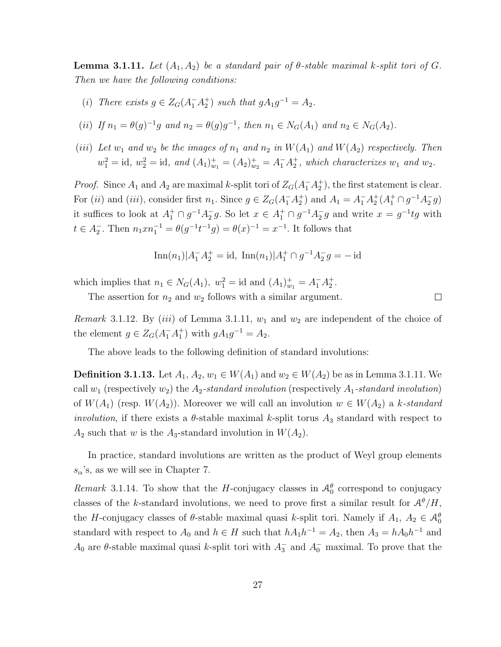**Lemma 3.1.11.** Let  $(A_1, A_2)$  be a standard pair of  $\theta$ -stable maximal k-split tori of G. Then we have the following conditions:

- (i) There exists  $g \in Z_G(A_1^- A_2^+)$  such that  $gA_1g^{-1} = A_2$ .
- (ii) If  $n_1 = \theta(g)^{-1}g$  and  $n_2 = \theta(g)g^{-1}$ , then  $n_1 \in N_G(A_1)$  and  $n_2 \in N_G(A_2)$ .
- (iii) Let  $w_1$  and  $w_2$  be the images of  $n_1$  and  $n_2$  in  $W(A_1)$  and  $W(A_2)$  respectively. Then  $w_1^2 = \text{id}, w_2^2 = \text{id}, \text{ and } (A_1)^+_{w_1} = (A_2)^+_{w_2} = A_1^- A_2^+, \text{ which characterizes } w_1 \text{ and } w_2.$

*Proof.* Since  $A_1$  and  $A_2$  are maximal k-split tori of  $Z_G(A_1^- A_2^+)$ , the first statement is clear. For (*ii*) and (*iii*), consider first  $n_1$ . Since  $g \in Z_G(A_1^-\ A_2^+)$  and  $A_1 = A_1^- A_2^+ (A_1^+ \cap g^{-1} A_2^- g)$ it suffices to look at  $A_1^+ \cap g^{-1}A_2^-g$ . So let  $x \in A_1^+ \cap g^{-1}A_2^-g$  and write  $x = g^{-1}tg$  with  $t \in A_2^-$ . Then  $n_1 x n_1^{-1} = \theta(g^{-1} t^{-1} g) = \theta(x)^{-1} = x^{-1}$ . It follows that

$$
\operatorname{Inn}(n_1)|A_1^-A_2^+=\operatorname{id}, \ \operatorname{Inn}(n_1)|A_1^+\cap g^{-1}A_2^-g=-\operatorname{id}
$$

which implies that  $n_1 \in N_G(A_1)$ ,  $w_1^2 = \text{id}$  and  $(A_1)_{w_1}^+ = A_1^- A_2^+$ .

The assertion for  $n_2$  and  $w_2$  follows with a similar argument.

Remark 3.1.12. By (iii) of Lemma 3.1.11,  $w_1$  and  $w_2$  are independent of the choice of the element  $g \in Z_G(A_1^- A_1^+)$  with  $gA_1 g^{-1} = A_2$ .

 $\Box$ 

The above leads to the following definition of standard involutions:

**Definition 3.1.13.** Let  $A_1, A_2, w_1 \in W(A_1)$  and  $w_2 \in W(A_2)$  be as in Lemma 3.1.11. We call  $w_1$  (respectively  $w_2$ ) the  $A_2$ -standard involution (respectively  $A_1$ -standard involution) of  $W(A_1)$  (resp.  $W(A_2)$ ). Moreover we will call an involution  $w \in W(A_2)$  a k-standard *involution*, if there exists a  $\theta$ -stable maximal k-split torus  $A_3$  standard with respect to  $A_2$  such that w is the  $A_3$ -standard involution in  $W(A_2)$ .

In practice, standard involutions are written as the product of Weyl group elements  $s_{\alpha}$ 's, as we will see in Chapter 7.

Remark 3.1.14. To show that the H-conjugacy classes in  $\mathcal{A}^{\theta}_{0}$  correspond to conjugacy classes of the k-standard involutions, we need to prove first a similar result for  $\mathcal{A}^{\theta}/H$ , the H-conjugacy classes of  $\theta$ -stable maximal quasi k-split tori. Namely if  $A_1, A_2 \in \mathcal{A}_{0}^{\theta}$ standard with respect to  $A_0$  and  $h \in H$  such that  $hA_1h^{-1} = A_2$ , then  $A_3 = hA_0h^{-1}$  and  $A_0$  are  $\theta$ -stable maximal quasi k-split tori with  $A_3^-$  and  $A_0^-$  maximal. To prove that the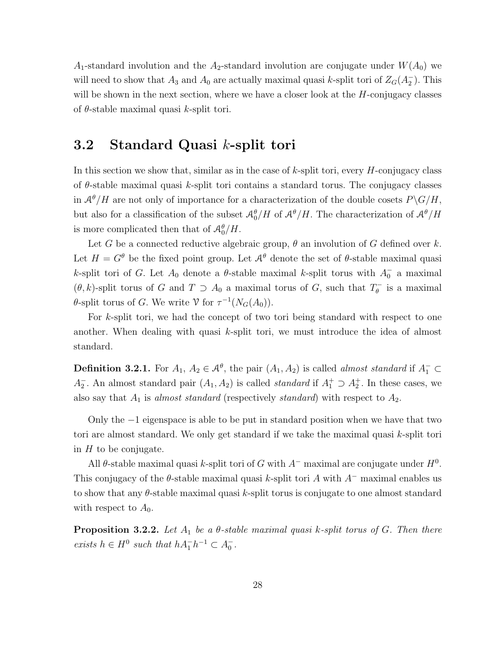$A_1$ -standard involution and the  $A_2$ -standard involution are conjugate under  $W(A_0)$  we will need to show that  $A_3$  and  $A_0$  are actually maximal quasi k-split tori of  $Z_G(A_2^-)$ . This will be shown in the next section, where we have a closer look at the  $H$ -conjugacy classes of  $\theta$ -stable maximal quasi k-split tori.

### 3.2 Standard Quasi k-split tori

In this section we show that, similar as in the case of  $k$ -split tori, every  $H$ -conjugacy class of  $\theta$ -stable maximal quasi k-split tori contains a standard torus. The conjugacy classes in  $\mathcal{A}^{\theta}/H$  are not only of importance for a characterization of the double cosets  $P\backslash G/H$ , but also for a classification of the subset  $\mathcal{A}_0^{\theta}/H$  of  $\mathcal{A}^{\theta}/H$ . The characterization of  $\mathcal{A}^{\theta}/H$ is more complicated then that of  $\mathcal{A}_0^{\theta}/H$ .

Let G be a connected reductive algebraic group,  $\theta$  an involution of G defined over k. Let  $H = G^{\theta}$  be the fixed point group. Let  $\mathcal{A}^{\theta}$  denote the set of  $\theta$ -stable maximal quasi k-split tori of G. Let  $A_0$  denote a  $\theta$ -stable maximal k-split torus with  $A_0^-$  a maximal  $(\theta, k)$ -split torus of G and  $T \supset A_0$  a maximal torus of G, such that  $T_{\theta}^ \int_{\theta}^{\infty}$  is a maximal  $\theta$ -split torus of G. We write  $\mathcal V$  for  $\tau^{-1}(N_G(A_0)).$ 

For k-split tori, we had the concept of two tori being standard with respect to one another. When dealing with quasi k-split tori, we must introduce the idea of almost standard.

**Definition 3.2.1.** For  $A_1, A_2 \in \mathcal{A}^{\theta}$ , the pair  $(A_1, A_2)$  is called *almost standard* if  $A_1^- \subset$  $A_2^-$ . An almost standard pair  $(A_1, A_2)$  is called *standard* if  $A_1^+ \supset A_2^+$ . In these cases, we also say that  $A_1$  is almost standard (respectively standard) with respect to  $A_2$ .

Only the  $-1$  eigenspace is able to be put in standard position when we have that two tori are almost standard. We only get standard if we take the maximal quasi k-split tori in  $H$  to be conjugate.

All  $\theta$ -stable maximal quasi k-split tori of G with  $A^-$  maximal are conjugate under  $H^0$ . This conjugacy of the  $\theta$ -stable maximal quasi k-split tori A with  $A^-$  maximal enables us to show that any  $\theta$ -stable maximal quasi k-split torus is conjugate to one almost standard with respect to  $A_0$ .

**Proposition 3.2.2.** Let  $A_1$  be a  $\theta$ -stable maximal quasi k-split torus of G. Then there exists  $h \in H^0$  such that  $hA_1^-h^{-1} \subset A_0^-$ .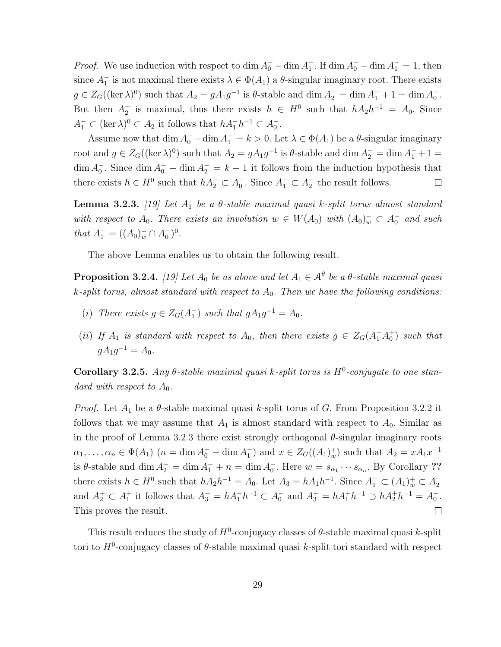*Proof.* We use induction with respect to dim  $A_0^-$  – dim  $A_1^-$ . If dim  $A_0^-$  – dim  $A_1^-$  = 1, then since  $A_1^-$  is not maximal there exists  $\lambda \in \Phi(A_1)$  a  $\theta$ -singular imaginary root. There exists  $g \in Z_G((\ker \lambda)^0)$  such that  $A_2 = gA_1g^{-1}$  is  $\theta$ -stable and dim  $A_2^- = \dim A_1^- + 1 = \dim A_0^-$ . But then  $A_2^-$  is maximal, thus there exists  $h \in H^0$  such that  $hA_2h^{-1} = A_0$ . Since  $A_1^- \subset (\ker \lambda)^0 \subset A_2$  it follows that  $hA_1^-h^{-1} \subset A_0^-$ .

Assume now that  $\dim A_0^- - \dim A_1^- = k > 0$ . Let  $\lambda \in \Phi(A_1)$  be a  $\theta$ -singular imaginary root and  $g \in Z_G((\ker \lambda)^0)$  such that  $A_2 = g A_1 g^{-1}$  is  $\theta$ -stable and dim  $A_2^- = \dim A_1^- + 1 =$  $\dim A_0^-$ . Since  $\dim A_0^- - \dim A_2^- = k - 1$  it follows from the induction hypothesis that there exists  $h \in H^0$  such that  $hA_2^- \subset A_0^-$ . Since  $A_1^- \subset A_2^-$  the result follows.  $\Box$ 

**Lemma 3.2.3.** [19] Let  $A_1$  be a  $\theta$ -stable maximal quasi k-split torus almost standard with respect to  $A_0$ . There exists an involution  $w \in W(A_0)$  with  $(A_0)^-_{w} \subset A_0^-$  and such that  $A_1^- = ((A_0)_w^- \cap A_0^-)^0$ .

The above Lemma enables us to obtain the following result.

**Proposition 3.2.4.** [19] Let  $A_0$  be as above and let  $A_1 \in \mathcal{A}^{\theta}$  be a  $\theta$ -stable maximal quasi k-split torus, almost standard with respect to  $A_0$ . Then we have the following conditions:

- (i) There exists  $g \in Z_G(A_1^-)$  such that  $gA_1g^{-1} = A_0$ .
- (ii) If  $A_1$  is standard with respect to  $A_0$ , then there exists  $g \in Z_G(A_1^-A_0^+)$  such that  $gA_1g^{-1} = A_0.$

Corollary 3.2.5. Any  $\theta$ -stable maximal quasi k-split torus is  $H^0$ -conjugate to one standard with respect to  $A_0$ .

*Proof.* Let  $A_1$  be a  $\theta$ -stable maximal quasi k-split torus of G. From Proposition 3.2.2 it follows that we may assume that  $A_1$  is almost standard with respect to  $A_0$ . Similar as in the proof of Lemma 3.2.3 there exist strongly orthogonal  $\theta$ -singular imaginary roots  $\alpha_1, \ldots, \alpha_n \in \Phi(A_1)$   $(n = \dim A_0^- - \dim A_1^-)$  and  $x \in Z_G((A_1)^{+}_{w})$  such that  $A_2 = xA_1x^{-1}$ is  $\theta$ -stable and dim  $A_2^- = \dim A_1^- + n = \dim A_0^-$ . Here  $w = s_{\alpha_1} \cdots s_{\alpha_n}$ . By Corollary ?? there exists  $h \in H^0$  such that  $hA_2h^{-1} = A_0$ . Let  $A_3 = hA_1h^{-1}$ . Since  $A_1^- \subset (A_1)_w^+ \subset A_2^$ and  $A_2^+ \subset A_1^+$  it follows that  $A_3^- = hA_1^-h^{-1} \subset A_0^-$  and  $A_3^+ = hA_1^+h^{-1} \supset hA_2^+h^{-1} = A_0^+$ . This proves the result.  $\Box$ 

This result reduces the study of  $H^0$ -conjugacy classes of  $\theta$ -stable maximal quasi k-split tori to  $H^0$ -conjugacy classes of  $\theta$ -stable maximal quasi k-split tori standard with respect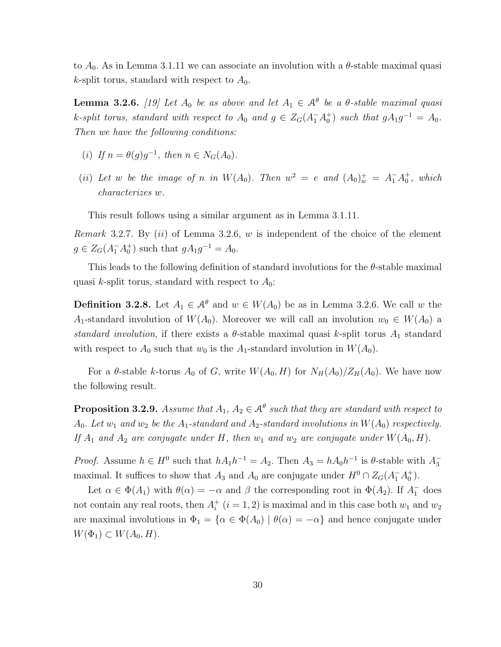to  $A_0$ . As in Lemma 3.1.11 we can associate an involution with a  $\theta$ -stable maximal quasi k-split torus, standard with respect to  $A_0$ .

**Lemma 3.2.6.** [19] Let  $A_0$  be as above and let  $A_1 \in \mathcal{A}^{\theta}$  be a  $\theta$ -stable maximal quasi k-split torus, standard with respect to  $A_0$  and  $g \in Z_G(A_1^- A_0^+)$  such that  $gA_1g^{-1} = A_0$ . Then we have the following conditions:

- (i) If  $n = \theta(g)g^{-1}$ , then  $n \in N_G(A_0)$ .
- (ii) Let w be the image of n in  $W(A_0)$ . Then  $w^2 = e$  and  $(A_0)^+_w = A_1^- A_0^+$ , which characterizes w.

This result follows using a similar argument as in Lemma 3.1.11.

*Remark* 3.2.7. By  $(ii)$  of Lemma 3.2.6, w is independent of the choice of the element  $g \in Z_G(A_1^- A_0^+)$  such that  $gA_1g^{-1} = A_0$ .

This leads to the following definition of standard involutions for the  $\theta$ -stable maximal quasi k-split torus, standard with respect to  $A_0$ :

**Definition 3.2.8.** Let  $A_1 \in \mathcal{A}^{\theta}$  and  $w \in W(A_0)$  be as in Lemma 3.2.6. We call w the A<sub>1</sub>-standard involution of  $W(A_0)$ . Moreover we will call an involution  $w_0 \in W(A_0)$  a standard involution, if there exists a  $\theta$ -stable maximal quasi k-split torus  $A_1$  standard with respect to  $A_0$  such that  $w_0$  is the  $A_1$ -standard involution in  $W(A_0)$ .

For a  $\theta$ -stable k-torus  $A_0$  of G, write  $W(A_0, H)$  for  $N_H(A_0)/Z_H(A_0)$ . We have now the following result.

**Proposition 3.2.9.** Assume that  $A_1, A_2 \in \mathcal{A}^{\theta}$  such that they are standard with respect to  $A_0$ . Let  $w_1$  and  $w_2$  be the  $A_1$ -standard and  $A_2$ -standard involutions in  $W(A_0)$  respectively. If  $A_1$  and  $A_2$  are conjugate under H, then  $w_1$  and  $w_2$  are conjugate under  $W(A_0, H)$ .

*Proof.* Assume  $h \in H^0$  such that  $hA_1h^{-1} = A_2$ . Then  $A_3 = hA_0h^{-1}$  is  $\theta$ -stable with  $A_3^$ maximal. It suffices to show that  $A_3$  and  $A_0$  are conjugate under  $H^0 \cap Z_G(A_1^- A_0^+)$ .

Let  $\alpha \in \Phi(A_1)$  with  $\theta(\alpha) = -\alpha$  and  $\beta$  the corresponding root in  $\Phi(A_2)$ . If  $A_1^-$  does not contain any real roots, then  $A_i^+$  $i<sub>i</sub>$  (*i* = 1, 2) is maximal and in this case both  $w_1$  and  $w_2$ are maximal involutions in  $\Phi_1 = {\alpha \in \Phi(A_0) | \theta(\alpha) = -\alpha}$  and hence conjugate under  $W(\Phi_1) \subset W(A_0, H).$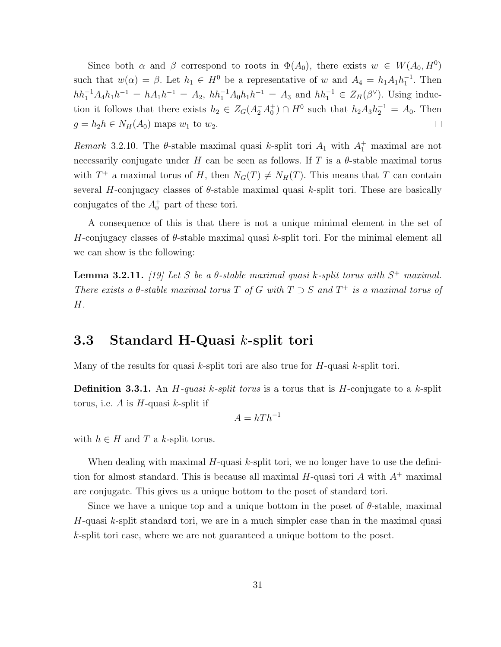Since both  $\alpha$  and  $\beta$  correspond to roots in  $\Phi(A_0)$ , there exists  $w \in W(A_0, H^0)$ such that  $w(\alpha) = \beta$ . Let  $h_1 \in H^0$  be a representative of w and  $A_4 = h_1 A_1 h_1^{-1}$ . Then  $hh_1^{-1}A_4h_1h^{-1} = hA_1h^{-1} = A_2$ ,  $hh_1^{-1}A_0h_1h^{-1} = A_3$  and  $hh_1^{-1} \in Z_H(\beta^{\vee})$ . Using induction it follows that there exists  $h_2 \in Z_G(A_2^- A_0^+) \cap H^0$  such that  $h_2 A_3 h_2^{-1} = A_0$ . Then  $g = h_2 h \in N_H(A_0)$  maps  $w_1$  to  $w_2$ .  $\Box$ 

Remark 3.2.10. The  $\theta$ -stable maximal quasi k-split tori  $A_1$  with  $A_1^+$  maximal are not necessarily conjugate under H can be seen as follows. If T is a  $\theta$ -stable maximal torus with  $T^+$  a maximal torus of H, then  $N_G(T) \neq N_H(T)$ . This means that T can contain several H-conjugacy classes of  $\theta$ -stable maximal quasi k-split tori. These are basically conjugates of the  $A_0^+$  part of these tori.

A consequence of this is that there is not a unique minimal element in the set of H-conjugacy classes of  $\theta$ -stable maximal quasi k-split tori. For the minimal element all we can show is the following:

**Lemma 3.2.11.** [19] Let S be a  $\theta$ -stable maximal quasi k-split torus with  $S^+$  maximal. There exists a  $\theta$ -stable maximal torus T of G with  $T \supset S$  and  $T^+$  is a maximal torus of H.

#### 3.3 Standard H-Quasi k-split tori

Many of the results for quasi k-split tori are also true for  $H$ -quasi k-split tori.

**Definition 3.3.1.** An H-quasi k-split torus is a torus that is H-conjugate to a k-split torus, i.e. A is  $H$ -quasi k-split if

$$
A = hTh^{-1}
$$

with  $h \in H$  and T a k-split torus.

When dealing with maximal  $H$ -quasi  $k$ -split tori, we no longer have to use the definition for almost standard. This is because all maximal  $H$ -quasi tori A with  $A^+$  maximal are conjugate. This gives us a unique bottom to the poset of standard tori.

Since we have a unique top and a unique bottom in the poset of  $\theta$ -stable, maximal  $H$ -quasi k-split standard tori, we are in a much simpler case than in the maximal quasi k-split tori case, where we are not guaranteed a unique bottom to the poset.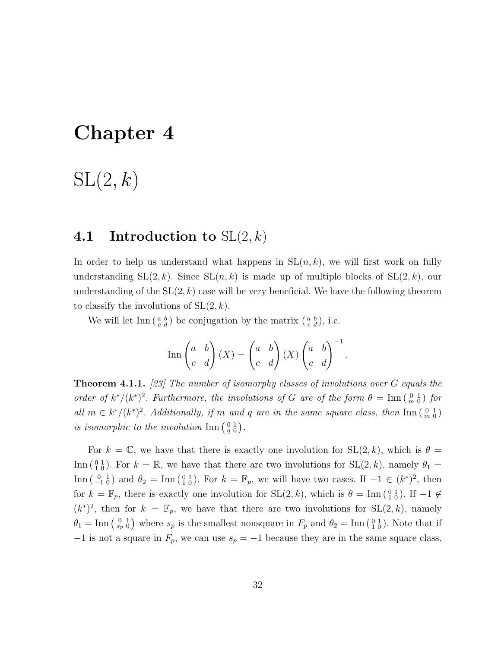## Chapter 4

# $SL(2, k)$

#### 4.1 Introduction to  $SL(2, k)$

In order to help us understand what happens in  $SL(n, k)$ , we will first work on fully understanding  $SL(2, k)$ . Since  $SL(n, k)$  is made up of multiple blocks of  $SL(2, k)$ , our understanding of the  $SL(2, k)$  case will be very beneficial. We have the following theorem to classify the involutions of  $SL(2, k)$ .

We will let  $\text{Inn}\left(\begin{smallmatrix} a & b \\ c & d \end{smallmatrix}\right)$  be conjugation by the matrix  $\left(\begin{smallmatrix} a & b \\ c & d \end{smallmatrix}\right)$ , i.e.

$$
\operatorname{Inn}\begin{pmatrix} a & b \\ c & d \end{pmatrix} (X) = \begin{pmatrix} a & b \\ c & d \end{pmatrix} (X) \begin{pmatrix} a & b \\ c & d \end{pmatrix}^{-1}.
$$

**Theorem 4.1.1.** [23] The number of isomorphy classes of involutions over G equals the order of  $k^*/(k^*)^2$ . Furthermore, the involutions of G are of the form  $\theta = \text{Inn} \left( \begin{smallmatrix} 0 & 1 \\ m & 0 \end{smallmatrix} \right)$  for all  $m \in k^*/(k^*)^2$ . Additionally, if m and q are in the same square class, then  $\text{Inn}\left(\begin{smallmatrix}0&1\\m&0\end{smallmatrix}\right)$ is isomorphic to the involution  $\text{Inn } \begin{pmatrix} 0 & 1 \\ q & 0 \end{pmatrix}$ .

For  $k = \mathbb{C}$ , we have that there is exactly one involution for  $SL(2, k)$ , which is  $\theta =$ Inn  $\binom{0}{1}$ . For  $k = \mathbb{R}$ , we have that there are two involutions for SL(2, k), namely  $\theta_1 =$ Inn  $\left(\begin{smallmatrix} 0 & 1 \\ -1 & 0 \end{smallmatrix}\right)$  and  $\theta_2 = \text{Inn} \left(\begin{smallmatrix} 0 & 1 \\ 1 & 0 \end{smallmatrix}\right)$ . For  $k = \mathbb{F}_p$ , we will have two cases. If  $-1 \in (k^*)^2$ , then for  $k = \mathbb{F}_p$ , there is exactly one involution for  $SL(2, k)$ , which is  $\theta = \text{Inn} \begin{pmatrix} 0 & 1 \\ 1 & 0 \end{pmatrix}$ . If  $-1 \notin$  $(k^*)^2$ , then for  $k = \mathbb{F}_p$ , we have that there are two involutions for  $SL(2, k)$ , namely  $\theta_1 = \text{Inn} \left( \begin{smallmatrix} 0 & 1 \\ s_p & 0 \end{smallmatrix} \right)$  where  $s_p$  is the smallest nonsquare in  $F_p$  and  $\theta_2 = \text{Inn} \left( \begin{smallmatrix} 0 & 1 \\ 1 & 0 \end{smallmatrix} \right)$ . Note that if  $-1$  is not a square in  $F_p$ , we can use  $s_p = -1$  because they are in the same square class.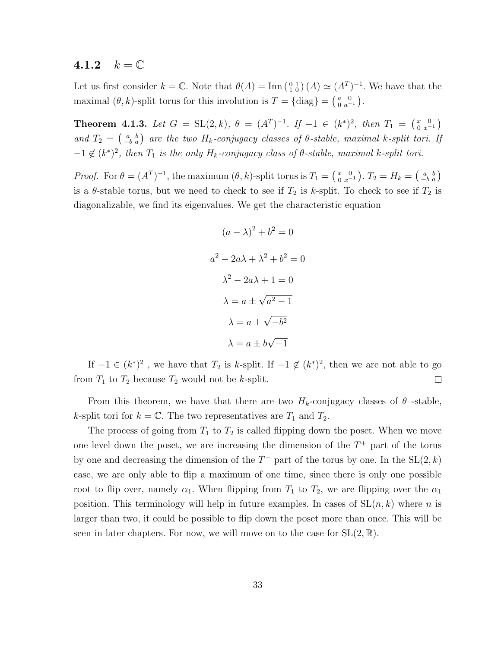#### 4.1.2  $k = \mathbb{C}$

Let us first consider  $k = \mathbb{C}$ . Note that  $\theta(A) = \text{Inn} \left( \begin{smallmatrix} 0 & 1 \\ 1 & 0 \end{smallmatrix} \right) (A) \simeq (A^T)^{-1}$ . We have that the maximal  $(\theta, k)$ -split torus for this involution is  $T = \{\text{diag}\}\ = \left(\begin{smallmatrix} a & 0 \\ 0 & a^{-1} \end{smallmatrix}\right).$ 

**Theorem 4.1.3.** Let  $G = SL(2, k)$ ,  $\theta = (A^T)^{-1}$ . If  $-1 \in (k^*)^2$ , then  $T_1 = \begin{pmatrix} x & 0 \\ 0 & x^{-1} \end{pmatrix}$ and  $T_2 = \begin{pmatrix} a & b \\ -b & a \end{pmatrix}$  are the two  $H_k$ -conjugacy classes of  $\theta$ -stable, maximal k-split tori. If  $-1 \notin (k^*)^2$ , then  $T_1$  is the only  $H_k$ -conjugacy class of  $\theta$ -stable, maximal k-split tori.

*Proof.* For  $\theta = (A^T)^{-1}$ , the maximum  $(\theta, k)$ -split torus is  $T_1 = \begin{pmatrix} x & 0 \\ 0 & x^{-1} \end{pmatrix}$ .  $T_2 = H_k = \begin{pmatrix} a & b \\ -b & a \end{pmatrix}$ is a  $\theta$ -stable torus, but we need to check to see if  $T_2$  is k-split. To check to see if  $T_2$  is diagonalizable, we find its eigenvalues. We get the characteristic equation

$$
(a - \lambda)^2 + b^2 = 0
$$

$$
a^2 - 2a\lambda + \lambda^2 + b^2 = 0
$$

$$
\lambda^2 - 2a\lambda + 1 = 0
$$

$$
\lambda = a \pm \sqrt{a^2 - 1}
$$

$$
\lambda = a \pm \sqrt{-b^2}
$$

$$
\lambda = a \pm b\sqrt{-1}
$$

If  $-1 \in (k^*)^2$ , we have that  $T_2$  is k-split. If  $-1 \notin (k^*)^2$ , then we are not able to go from  $T_1$  to  $T_2$  because  $T_2$  would not be k-split.  $\Box$ 

From this theorem, we have that there are two  $H_k$ -conjugacy classes of  $\theta$ -stable, k-split tori for  $k = \mathbb{C}$ . The two representatives are  $T_1$  and  $T_2$ .

The process of going from  $T_1$  to  $T_2$  is called flipping down the poset. When we move one level down the poset, we are increasing the dimension of the  $T^+$  part of the torus by one and decreasing the dimension of the  $T^-$  part of the torus by one. In the  $SL(2, k)$ case, we are only able to flip a maximum of one time, since there is only one possible root to flip over, namely  $\alpha_1$ . When flipping from  $T_1$  to  $T_2$ , we are flipping over the  $\alpha_1$ position. This terminology will help in future examples. In cases of  $SL(n, k)$  where n is larger than two, it could be possible to flip down the poset more than once. This will be seen in later chapters. For now, we will move on to the case for  $SL(2,\mathbb{R})$ .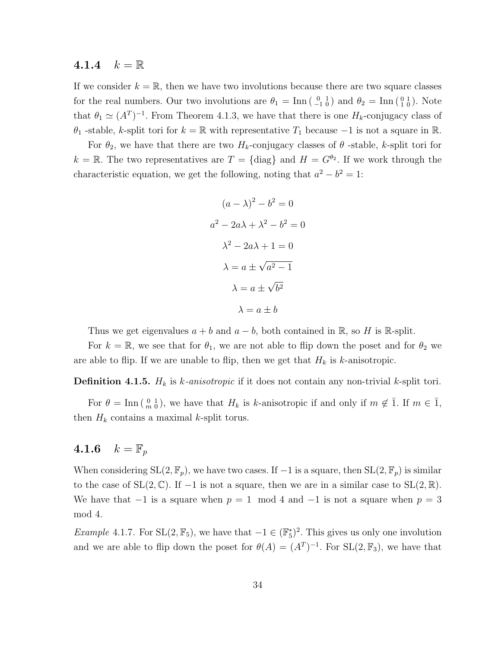#### 4.1.4  $k = \mathbb{R}$

If we consider  $k = \mathbb{R}$ , then we have two involutions because there are two square classes for the real numbers. Our two involutions are  $\theta_1 = \text{Inn} \begin{pmatrix} 0 & 1 \\ -1 & 0 \end{pmatrix}$  and  $\theta_2 = \text{Inn} \begin{pmatrix} 0 & 1 \\ 1 & 0 \end{pmatrix}$ . Note that  $\theta_1 \simeq (A^T)^{-1}$ . From Theorem 4.1.3, we have that there is one  $H_k$ -conjugacy class of  $\theta_1$  -stable, k-split tori for  $k = \mathbb{R}$  with representative  $T_1$  because  $-1$  is not a square in  $\mathbb{R}$ .

For  $\theta_2$ , we have that there are two  $H_k$ -conjugacy classes of  $\theta$ -stable, k-split tori for  $k = \mathbb{R}$ . The two representatives are  $T = \{\text{diag}\}\$ and  $H = G^{\theta_2}$ . If we work through the characteristic equation, we get the following, noting that  $a^2 - b^2 = 1$ :

$$
(a - \lambda)^2 - b^2 = 0
$$

$$
a^2 - 2a\lambda + \lambda^2 - b^2 = 0
$$

$$
\lambda^2 - 2a\lambda + 1 = 0
$$

$$
\lambda = a \pm \sqrt{a^2 - 1}
$$

$$
\lambda = a \pm \sqrt{b^2}
$$

$$
\lambda = a \pm b
$$

Thus we get eigenvalues  $a + b$  and  $a - b$ , both contained in R, so H is R-split.

For  $k = \mathbb{R}$ , we see that for  $\theta_1$ , we are not able to flip down the poset and for  $\theta_2$  we are able to flip. If we are unable to flip, then we get that  $H_k$  is k-anisotropic.

**Definition 4.1.5.**  $H_k$  is k-anisotropic if it does not contain any non-trivial k-split tori.

For  $\theta = \text{Inn}(\begin{smallmatrix} 0 & 1 \\ m & 0 \end{smallmatrix})$ , we have that  $H_k$  is k-anisotropic if and only if  $m \notin \overline{1}$ . If  $m \in \overline{1}$ , then  $H_k$  contains a maximal k-split torus.

#### 4.1.6  $k = \mathbb{F}_p$

When considering  $SL(2, \mathbb{F}_p)$ , we have two cases. If  $-1$  is a square, then  $SL(2, \mathbb{F}_p)$  is similar to the case of  $SL(2,\mathbb{C})$ . If  $-1$  is not a square, then we are in a similar case to  $SL(2,\mathbb{R})$ . We have that  $-1$  is a square when  $p = 1 \mod 4$  and  $-1$  is not a square when  $p = 3$ mod 4.

*Example* 4.1.7. For  $SL(2, \mathbb{F}_5)$ , we have that  $-1 \in (\mathbb{F}_5^*)^2$ . This gives us only one involution and we are able to flip down the poset for  $\theta(A) = (A^T)^{-1}$ . For  $SL(2, \mathbb{F}_3)$ , we have that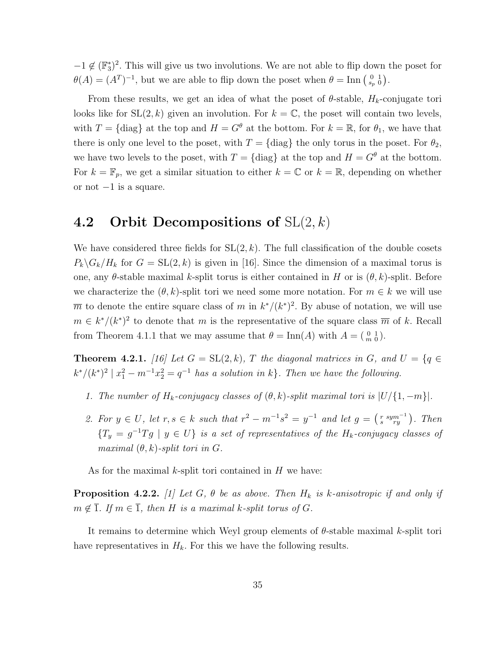$-1 \notin (\mathbb{F}_3^*)^2$ . This will give us two involutions. We are not able to flip down the poset for  $\theta(A) = (A^T)^{-1}$ , but we are able to flip down the poset when  $\theta = \text{Inn} \begin{pmatrix} 0 & 1 \\ s_p & 0 \end{pmatrix}$ .

From these results, we get an idea of what the poset of  $\theta$ -stable,  $H_k$ -conjugate tori looks like for  $SL(2, k)$  given an involution. For  $k = \mathbb{C}$ , the poset will contain two levels, with  $T = \{\text{diag}\}\$ at the top and  $H = G^{\theta}$  at the bottom. For  $k = \mathbb{R}$ , for  $\theta_1$ , we have that there is only one level to the poset, with  $T = \{\text{diag}\}\$ the only torus in the poset. For  $\theta_2$ , we have two levels to the poset, with  $T = \{\text{diag}\}\$ at the top and  $H = G^{\theta}$  at the bottom. For  $k = \mathbb{F}_p$ , we get a similar situation to either  $k = \mathbb{C}$  or  $k = \mathbb{R}$ , depending on whether or not  $-1$  is a square.

#### 4.2 Orbit Decompositions of  $SL(2, k)$

We have considered three fields for  $SL(2, k)$ . The full classification of the double cosets  $P_k\backslash G_k/H_k$  for  $G = SL(2, k)$  is given in [16]. Since the dimension of a maximal torus is one, any  $\theta$ -stable maximal k-split torus is either contained in H or is  $(\theta, k)$ -split. Before we characterize the  $(\theta, k)$ -split tori we need some more notation. For  $m \in k$  we will use  $\overline{m}$  to denote the entire square class of m in  $k^*/(k^*)^2$ . By abuse of notation, we will use  $m \in k^*/(k^*)^2$  to denote that m is the representative of the square class  $\overline{m}$  of k. Recall from Theorem 4.1.1 that we may assume that  $\theta = \text{Inn}(A)$  with  $A = \begin{pmatrix} 0 & 1 \\ m & 0 \end{pmatrix}$ .

**Theorem 4.2.1.** [16] Let  $G = SL(2, k)$ , T the diagonal matrices in G, and  $U = \{q \in$  $k^*/(k^*)^2 \mid x_1^2 - m^{-1}x_2^2 = q^{-1}$  has a solution in k}. Then we have the following.

- 1. The number of  $H_k$ -conjugacy classes of  $(\theta, k)$ -split maximal tori is  $|U/\{1, -m\}|$ .
- 2. For  $y \in U$ , let  $r, s \in k$  such that  $r^2 m^{-1}s^2 = y^{-1}$  and let  $g = \begin{pmatrix} r & sym^{-1} \\ s & ry \end{pmatrix}$ . Then  ${T_y = g^{-1}Tg \mid y \in U}$  is a set of representatives of the  $H_k$ -conjugacy classes of maximal  $(\theta, k)$ -split tori in G.

As for the maximal  $k$ -split tori contained in  $H$  we have:

**Proposition 4.2.2.** [1] Let G,  $\theta$  be as above. Then  $H_k$  is k-anisotropic if and only if  $m \notin \overline{1}$ . If  $m \in \overline{1}$ , then H is a maximal k-split torus of G.

It remains to determine which Weyl group elements of θ-stable maximal k-split tori have representatives in  $H_k$ . For this we have the following results.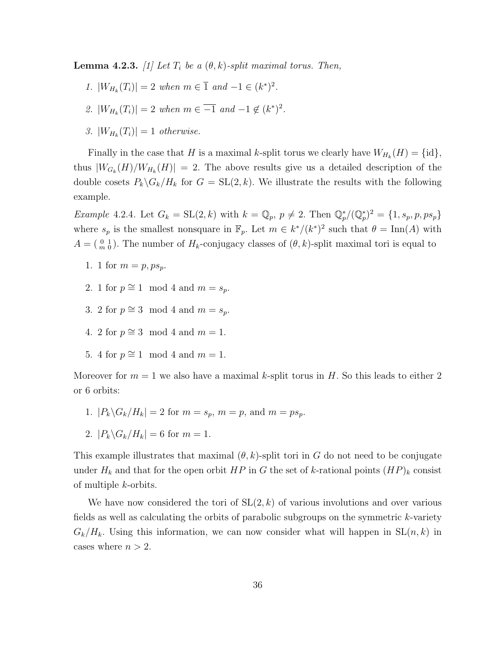**Lemma 4.2.3.** [1] Let  $T_i$  be a  $(\theta, k)$ -split maximal torus. Then,

- 1.  $|W_{H_k}(T_i)| = 2$  when  $m \in \overline{1}$  and  $-1 \in (k^*)^2$ .
- 2.  $|W_{H_k}(T_i)| = 2$  when  $m \in \overline{-1}$  and  $-1 \notin (k^*)^2$ .
- 3.  $|W_{H_k}(T_i)| = 1$  otherwise.

Finally in the case that H is a maximal k-split torus we clearly have  $W_{H_k}(H) = \{\text{id}\},\$ thus  $|W_{G_k}(H)/W_{H_k}(H)| = 2$ . The above results give us a detailed description of the double cosets  $P_k \backslash G_k / H_k$  for  $G = SL(2, k)$ . We illustrate the results with the following example.

*Example* 4.2.4. Let  $G_k = SL(2, k)$  with  $k = \mathbb{Q}_p$ ,  $p \neq 2$ . Then  $\mathbb{Q}_p^*/(\mathbb{Q}_p^*)^2 = \{1, s_p, p, ps_p\}$ where  $s_p$  is the smallest nonsquare in  $\mathbb{F}_p$ . Let  $m \in k^*/(k^*)^2$  such that  $\theta = \text{Inn}(A)$  with  $A = \begin{pmatrix} 0 & 1 \\ m & 0 \end{pmatrix}$ . The number of  $H_k$ -conjugacy classes of  $(\theta, k)$ -split maximal tori is equal to

- 1. 1 for  $m = p, ps_p$ .
- 2. 1 for  $p \cong 1 \mod 4$  and  $m = s_p$ .
- 3. 2 for  $p \cong 3 \mod 4$  and  $m = s_p$ .
- 4. 2 for  $p \cong 3 \mod 4$  and  $m = 1$ .
- 5. 4 for  $p \cong 1 \mod 4$  and  $m = 1$ .

Moreover for  $m = 1$  we also have a maximal k-split torus in H. So this leads to either 2 or 6 orbits:

- 1.  $|P_k \backslash G_k / H_k| = 2$  for  $m = s_p$ ,  $m = p$ , and  $m = ps_p$ .
- 2.  $|P_k \backslash G_k / H_k| = 6$  for  $m = 1$ .

This example illustrates that maximal  $(\theta, k)$ -split tori in G do not need to be conjugate under  $H_k$  and that for the open orbit  $HP$  in G the set of k-rational points  $(HP)_k$  consist of multiple k-orbits.

We have now considered the tori of  $SL(2, k)$  of various involutions and over various fields as well as calculating the orbits of parabolic subgroups on the symmetric k-variety  $G_k/H_k$ . Using this information, we can now consider what will happen in  $SL(n, k)$  in cases where  $n > 2$ .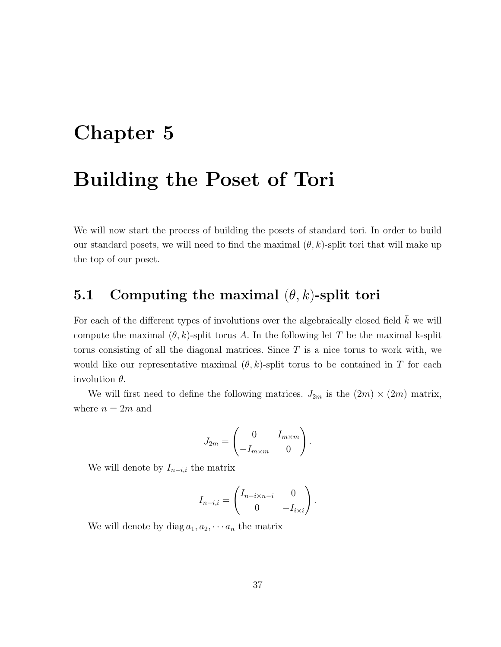## Chapter 5

## Building the Poset of Tori

We will now start the process of building the posets of standard tori. In order to build our standard posets, we will need to find the maximal  $(\theta, k)$ -split tori that will make up the top of our poset.

### 5.1 Computing the maximal  $(\theta, k)$ -split tori

For each of the different types of involutions over the algebraically closed field  $\bar{k}$  we will compute the maximal  $(\theta, k)$ -split torus A. In the following let T be the maximal k-split torus consisting of all the diagonal matrices. Since  $T$  is a nice torus to work with, we would like our representative maximal  $(\theta, k)$ -split torus to be contained in T for each involution  $\theta$ .

We will first need to define the following matrices.  $J_{2m}$  is the  $(2m) \times (2m)$  matrix, where  $n = 2m$  and

$$
J_{2m} = \begin{pmatrix} 0 & I_{m \times m} \\ -I_{m \times m} & 0 \end{pmatrix}.
$$

We will denote by  $I_{n-i,i}$  the matrix

$$
I_{n-i,i} = \begin{pmatrix} I_{n-i \times n-i} & 0 \\ 0 & -I_{i \times i} \end{pmatrix}.
$$

We will denote by diag  $a_1, a_2, \cdots a_n$  the matrix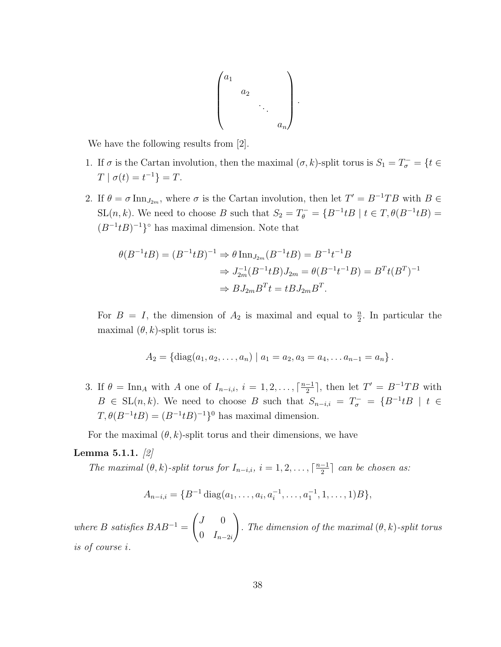$$
\begin{pmatrix} a_1 & & & \\ & a_2 & & \\ & & \ddots & \\ & & & a_n \end{pmatrix}.
$$

We have the following results from [2].

- 1. If  $\sigma$  is the Cartan involution, then the maximal  $(\sigma, k)$ -split torus is  $S_1 = T_{\sigma}^- = \{t \in$  $T | \sigma(t) = t^{-1}$ } = T.
- 2. If  $\theta = \sigma \text{Inn}_{J_{2m}}$ , where  $\sigma$  is the Cartan involution, then let  $T' = B^{-1}TB$  with  $B \in$ SL $(n, k)$ . We need to choose B such that  $S_2 = T_{\theta}^- = \{B^{-1}tB \mid t \in T, \theta(B^{-1}tB) =$  $(B^{-1}tB)^{-1}$ <sup>°</sup> has maximal dimension. Note that

$$
\theta(B^{-1}tB) = (B^{-1}tB)^{-1} \Rightarrow \theta \operatorname{Inn}_{J_{2m}}(B^{-1}tB) = B^{-1}t^{-1}B
$$
  

$$
\Rightarrow J_{2m}^{-1}(B^{-1}tB)J_{2m} = \theta(B^{-1}t^{-1}B) = B^{T}t(B^{T})^{-1}
$$
  

$$
\Rightarrow BJ_{2m}B^{T}t = tBJ_{2m}B^{T}.
$$

For  $B = I$ , the dimension of  $A_2$  is maximal and equal to  $\frac{n}{2}$ . In particular the maximal  $(\theta, k)$ -split torus is:

$$
A_2 = \{ \text{diag}(a_1, a_2, \ldots, a_n) \mid a_1 = a_2, a_3 = a_4, \ldots a_{n-1} = a_n \}.
$$

3. If  $\theta = \text{Inn}_A$  with A one of  $I_{n-i,i}$ ,  $i = 1, 2, \ldots, \lceil \frac{n-1}{2} \rceil$  $\frac{-1}{2}$ , then let  $T' = B^{-1}TB$  with  $B \in SL(n,k)$ . We need to choose B such that  $S_{n-i,i} = T_{\sigma}^- = \{B^{-1}tB \mid t \in$  $T, \theta(B^{-1}tB) = (B^{-1}tB)^{-1}\}^0$  has maximal dimension.

For the maximal  $(\theta, k)$ -split torus and their dimensions, we have

#### **Lemma 5.1.1.**  $[2]$

The maximal  $(\theta, k)$ -split torus for  $I_{n-i,i}$ ,  $i = 1, 2, \ldots, \lceil \frac{n-1}{2} \rceil$  $\frac{-1}{2}$  can be chosen as:

$$
A_{n-i,i} = \{B^{-1} \text{diag}(a_1, \ldots, a_i, a_i^{-1}, \ldots, a_1^{-1}, 1, \ldots, 1)B\},\,
$$

where B satisfies  $BAB^{-1} =$  $\int J = 0$ 0  $I_{n-2i}$  $\setminus$ . The dimension of the maximal  $(\theta, k)$ -split torus is of course i.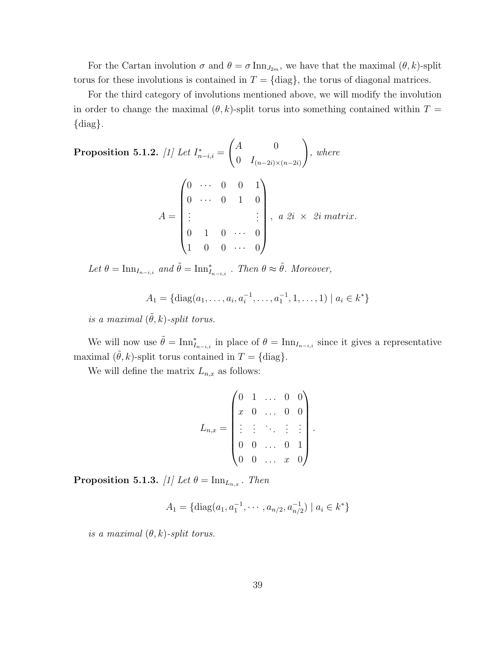For the Cartan involution  $\sigma$  and  $\theta = \sigma \text{Inn}_{J_{2m}}$ , we have that the maximal  $(\theta, k)$ -split torus for these involutions is contained in  $T = \{diag\}$ , the torus of diagonal matrices.

For the third category of involutions mentioned above, we will modify the involution in order to change the maximal  $(\theta, k)$ -split torus into something contained within  $T =$ {diag}.

Proposition 5.1.2. [1] Let  $I_{n-i,i}^* =$  $\int A$  0 0  $I_{(n-2i)\times(n-2i)}$  $\setminus$ , where  $A =$  $\begin{pmatrix} 0 & \cdots & 0 & 0 & 1 \end{pmatrix}$  $\begin{array}{c} \begin{array}{c} \begin{array}{c} \begin{array}{c} \end{array} \\ \end{array} \end{array} \end{array}$  $0 \cdots 0 1 0$ . . . . . .  $0 \quad 1 \quad 0 \quad \cdots \quad 0$  $1 \quad 0 \quad 0 \quad \cdots \quad 0$  $\setminus$  $\begin{array}{c} \hline \end{array}$  $a \; 2i \times 2i \; matrix.$ 

Let  $\theta = \text{Inn}_{I_{n-i,i}}$  and  $\tilde{\theta} = \text{Inn}_{I_{n-i,i}}^*$ . Then  $\theta \approx \tilde{\theta}$ . Moreover,

$$
A_1 = \{ \text{diag}(a_1, \ldots, a_i, a_i^{-1}, \ldots, a_1^{-1}, 1, \ldots, 1) \mid a_i \in k^* \}
$$

is a maximal  $(\tilde{\theta}, k)$ -split torus.

We will now use  $\tilde{\theta} = \text{Inn}_{I_{n-i,i}}^*$  in place of  $\theta = \text{Inn}_{I_{n-i,i}}$  since it gives a representative maximal  $(\theta, k)$ -split torus contained in  $T = \{\text{diag}\}.$ 

We will define the matrix  $L_{n,x}$  as follows:

$$
L_{n,x} = \begin{pmatrix} 0 & 1 & \dots & 0 & 0 \\ x & 0 & \dots & 0 & 0 \\ \vdots & \vdots & \ddots & \vdots & \vdots \\ 0 & 0 & \dots & 0 & 1 \\ 0 & 0 & \dots & x & 0 \end{pmatrix}
$$

.

Proposition 5.1.3. [1] Let  $\theta = {\rm Inn}_{L_{n,x}}$  . Then

$$
A_1 = \{ \text{diag}(a_1, a_1^{-1}, \cdots, a_{n/2}, a_{n/2}^{-1}) \mid a_i \in k^* \}
$$

is a maximal  $(\theta, k)$ -split torus.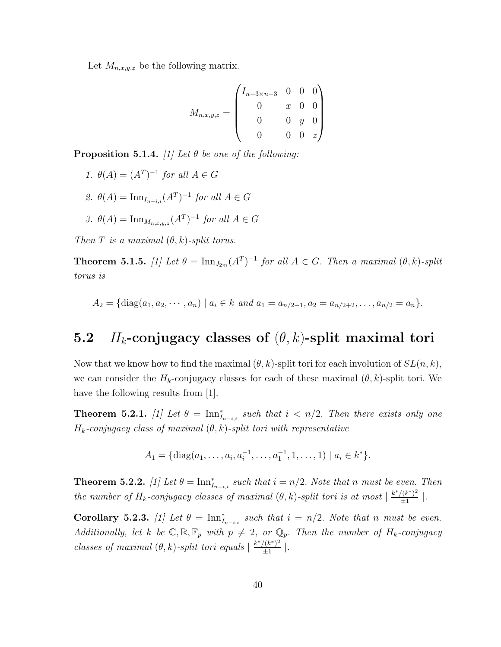Let  $M_{n,x,y,z}$  be the following matrix.

$$
M_{n,x,y,z} = \begin{pmatrix} I_{n-3 \times n-3} & 0 & 0 & 0 \\ 0 & x & 0 & 0 \\ 0 & 0 & y & 0 \\ 0 & 0 & 0 & z \end{pmatrix}
$$

**Proposition 5.1.4.** [1] Let  $\theta$  be one of the following:

1.  $\theta(A) = (A^T)^{-1}$  for all  $A \in G$ 2.  $\theta(A) = \text{Inn}_{I_{n-i,i}}(A^T)^{-1}$  for all  $A \in G$ 3.  $\theta(A) = \text{Inn}_{M_{n,x,y,z}}(A^T)^{-1}$  for all  $A \in G$ 

Then T is a maximal  $(\theta, k)$ -split torus.

**Theorem 5.1.5.** [1] Let  $\theta = \text{Inn}_{J_{2m}}(A^T)^{-1}$  for all  $A \in G$ . Then a maximal  $(\theta, k)$ -split torus is

$$
A_2 = \{ \text{diag}(a_1, a_2, \cdots, a_n) \mid a_i \in k \text{ and } a_1 = a_{n/2+1}, a_2 = a_{n/2+2}, \ldots, a_{n/2} = a_n \}.
$$

### 5.2 H<sub>k</sub>-conjugacy classes of  $(\theta, k)$ -split maximal tori

Now that we know how to find the maximal  $(\theta, k)$ -split tori for each involution of  $SL(n, k)$ , we can consider the  $H_k$ -conjugacy classes for each of these maximal  $(\theta, k)$ -split tori. We have the following results from [1].

**Theorem 5.2.1.** [1] Let  $\theta = \text{Inn}_{I_{n-i,i}}^*$  such that  $i \lt n/2$ . Then there exists only one  $H_k$ -conjugacy class of maximal  $(\theta, k)$ -split tori with representative

$$
A_1 = \{ \mathrm{diag}(a_1, \ldots, a_i, a_i^{-1}, \ldots, a_1^{-1}, 1, \ldots, 1) \mid a_i \in k^* \}.
$$

**Theorem 5.2.2.** [1] Let  $\theta = \text{Inn}_{I_{n-i,i}}^*$  such that  $i = n/2$ . Note that n must be even. Then the number of  $H_k$ -conjugacy classes of maximal  $(\theta, k)$ -split tori is at most  $\frac{k^*/(k^*)^2}{+1}$  $rac{(k^{\ast})^2}{\pm 1}$ .

Corollary 5.2.3. [1] Let  $\theta = \text{Inn}_{I_{n-i,i}}^*$  such that  $i = n/2$ . Note that n must be even. Additionally, let k be  $\mathbb{C}, \mathbb{R}, \mathbb{F}_p$  with  $p \neq 2$ , or  $\mathbb{Q}_p$ . Then the number of  $H_k$ -conjugacy classes of maximal  $(\theta, k)$ -split tori equals  $\frac{k^*/(k^*)^2}{+1}$  $rac{\frac{1}{k^2}}{\pm 1}$ .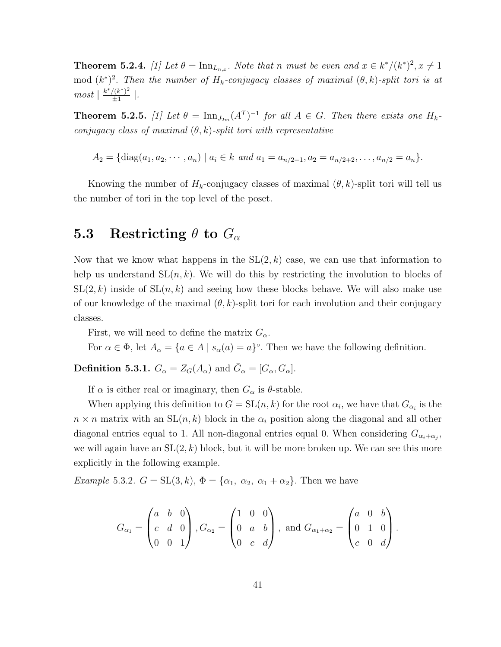**Theorem 5.2.4.** [1] Let  $\theta = \text{Inn}_{L_{n,x}}$ . Note that n must be even and  $x \in k^*/(k^*)^2$ ,  $x \neq 1$ mod  $(k^*)^2$ . Then the number of  $H_k$ -conjugacy classes of maximal  $(\theta, k)$ -split tori is at  $most \mid \frac{k^*/(k^*)^2}{+1}$  $rac{((k^*)^2}{\pm 1}$ .

**Theorem 5.2.5.** [1] Let  $\theta = \text{Inn}_{J_{2m}}(A^T)^{-1}$  for all  $A \in G$ . Then there exists one  $H_k$ conjugacy class of maximal  $(\theta, k)$ -split tori with representative

 $A_2 = \{diag(a_1, a_2, \dots, a_n) \mid a_i \in k \text{ and } a_1 = a_{n/2+1}, a_2 = a_{n/2+2}, \dots, a_{n/2} = a_n\}.$ 

Knowing the number of  $H_k$ -conjugacy classes of maximal  $(\theta, k)$ -split tori will tell us the number of tori in the top level of the poset.

### 5.3 Restricting  $\theta$  to  $G_{\alpha}$

Now that we know what happens in the  $SL(2, k)$  case, we can use that information to help us understand  $SL(n, k)$ . We will do this by restricting the involution to blocks of  $SL(2, k)$  inside of  $SL(n, k)$  and seeing how these blocks behave. We will also make use of our knowledge of the maximal  $(\theta, k)$ -split tori for each involution and their conjugacy classes.

First, we will need to define the matrix  $G_{\alpha}$ .

For  $\alpha \in \Phi$ , let  $A_{\alpha} = \{a \in A \mid s_{\alpha}(a) = a\}^{\circ}$ . Then we have the following definition.

**Definition 5.3.1.**  $G_{\alpha} = Z_G(A_{\alpha})$  and  $\bar{G}_{\alpha} = [G_{\alpha}, G_{\alpha}]$ .

If  $\alpha$  is either real or imaginary, then  $G_{\alpha}$  is  $\theta$ -stable.

When applying this definition to  $G = SL(n, k)$  for the root  $\alpha_i$ , we have that  $G_{\alpha_i}$  is the  $n \times n$  matrix with an  $SL(n, k)$  block in the  $\alpha_i$  position along the diagonal and all other diagonal entries equal to 1. All non-diagonal entries equal 0. When considering  $G_{\alpha_i+\alpha_j}$ , we will again have an  $SL(2, k)$  block, but it will be more broken up. We can see this more explicitly in the following example.

Example 5.3.2.  $G = SL(3, k)$ ,  $\Phi = {\alpha_1, \alpha_2, \alpha_1 + \alpha_2}$ . Then we have

$$
G_{\alpha_1} = \begin{pmatrix} a & b & 0 \\ c & d & 0 \\ 0 & 0 & 1 \end{pmatrix}, G_{\alpha_2} = \begin{pmatrix} 1 & 0 & 0 \\ 0 & a & b \\ 0 & c & d \end{pmatrix}, \text{ and } G_{\alpha_1 + \alpha_2} = \begin{pmatrix} a & 0 & b \\ 0 & 1 & 0 \\ c & 0 & d \end{pmatrix}.
$$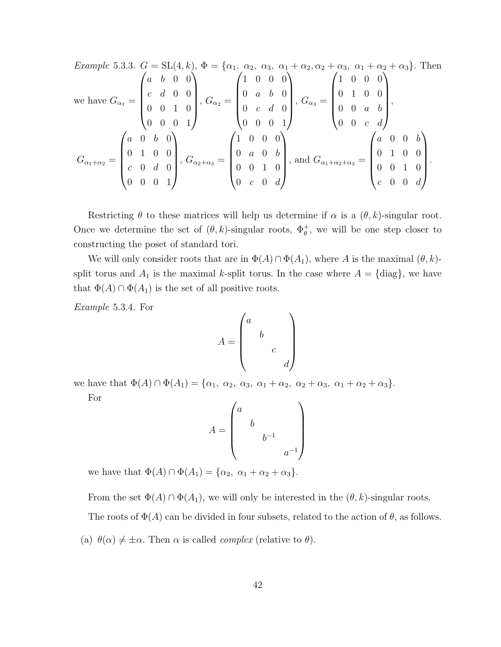Example 5.3.3. 
$$
G = SL(4, k), \Phi = \{\alpha_1, \alpha_2, \alpha_3, \alpha_1 + \alpha_2, \alpha_2 + \alpha_3, \alpha_1 + \alpha_2 + \alpha_3\}
$$
. Then  
\nwe have  $G_{\alpha_1} = \begin{pmatrix} a & b & 0 & 0 \\ c & d & 0 & 0 \\ 0 & 0 & 1 & 0 \\ 0 & 0 & 0 & 1 \end{pmatrix}$ ,  $G_{\alpha_2} = \begin{pmatrix} 1 & 0 & 0 & 0 \\ 0 & a & b & 0 \\ 0 & c & d & 0 \\ 0 & 0 & 0 & 1 \end{pmatrix}$ ,  $G_{\alpha_3} = \begin{pmatrix} 1 & 0 & 0 & 0 \\ 0 & 1 & 0 & 0 \\ 0 & 0 & a & b \\ 0 & 0 & c & d \end{pmatrix}$ ,  
\n $G_{\alpha_1 + \alpha_2} = \begin{pmatrix} a & 0 & b & 0 \\ 0 & 1 & 0 & 0 \\ c & 0 & d & 0 \\ 0 & 0 & 0 & 1 \end{pmatrix}$ ,  $G_{\alpha_2 + \alpha_3} = \begin{pmatrix} 1 & 0 & 0 & 0 \\ 0 & a & 0 & b \\ 0 & 0 & 1 & 0 \\ 0 & 0 & 1 & 0 \\ 0 & c & 0 & d \end{pmatrix}$ , and  $G_{\alpha_1 + \alpha_2 + \alpha_3} = \begin{pmatrix} a & 0 & 0 & b \\ 0 & 1 & 0 & 0 \\ 0 & 0 & 1 & 0 \\ c & 0 & 0 & d \end{pmatrix}$ .

Restricting  $\theta$  to these matrices will help us determine if  $\alpha$  is a  $(\theta, k)$ -singular root. Once we determine the set of  $(\theta, k)$ -singular roots,  $\Phi_{\theta}^+$ , we will be one step closer to constructing the poset of standard tori.

We will only consider roots that are in  $\Phi(A) \cap \Phi(A_1)$ , where A is the maximal  $(\theta, k)$ split torus and  $A_1$  is the maximal k-split torus. In the case where  $A = \{\text{diag}\}\$ , we have that  $\Phi(A) \cap \Phi(A_1)$  is the set of all positive roots.

Example 5.3.4. For

$$
A = \begin{pmatrix} a & & \\ & b & \\ & & c \\ & & & d \end{pmatrix}
$$

we have that  $\Phi(A) \cap \Phi(A_1) = \{\alpha_1, \alpha_2, \alpha_3, \alpha_1 + \alpha_2, \alpha_2 + \alpha_3, \alpha_1 + \alpha_2 + \alpha_3\}.$ 

For

$$
A = \begin{pmatrix} a & & & \\ & b & & \\ & & b^{-1} & \\ & & & a^{-1} \end{pmatrix}
$$

we have that  $\Phi(A) \cap \Phi(A_1) = \{\alpha_2, \alpha_1 + \alpha_2 + \alpha_3\}.$ 

From the set  $\Phi(A) \cap \Phi(A_1)$ , we will only be interested in the  $(\theta, k)$ -singular roots.

The roots of  $\Phi(A)$  can be divided in four subsets, related to the action of  $\theta$ , as follows.

(a)  $\theta(\alpha) \neq \pm \alpha$ . Then  $\alpha$  is called *complex* (relative to  $\theta$ ).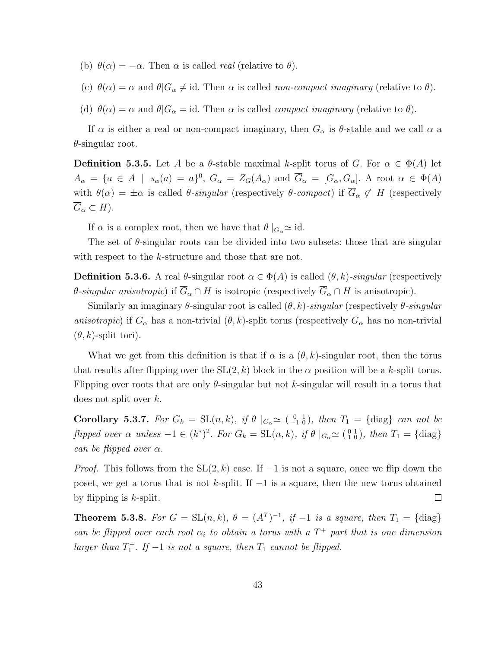- (b)  $\theta(\alpha) = -\alpha$ . Then  $\alpha$  is called *real* (relative to  $\theta$ ).
- (c)  $\theta(\alpha) = \alpha$  and  $\theta|G_{\alpha} \neq id$ . Then  $\alpha$  is called non-compact imaginary (relative to  $\theta$ ).
- (d)  $\theta(\alpha) = \alpha$  and  $\theta|G_{\alpha} = id$ . Then  $\alpha$  is called *compact imaginary* (relative to  $\theta$ ).

If  $\alpha$  is either a real or non-compact imaginary, then  $G_{\alpha}$  is  $\theta$ -stable and we call  $\alpha$  a  $\theta$ -singular root.

**Definition 5.3.5.** Let A be a  $\theta$ -stable maximal k-split torus of G. For  $\alpha \in \Phi(A)$  let  $A_{\alpha} = \{a \in A \mid s_{\alpha}(a) = a\}^0$ ,  $G_{\alpha} = Z_G(A_{\alpha})$  and  $\overline{G}_{\alpha} = [G_{\alpha}, G_{\alpha}]$ . A root  $\alpha \in \Phi(A)$ with  $\theta(\alpha) = \pm \alpha$  is called  $\theta$ -singular (respectively  $\theta$ -compact) if  $\overline{G}_{\alpha} \not\subset H$  (respectively  $\overline{G}_{\alpha} \subset H$ ).

If  $\alpha$  is a complex root, then we have that  $\theta \mid_{G_{\alpha}} \simeq id$ .

The set of  $\theta$ -singular roots can be divided into two subsets: those that are singular with respect to the *k*-structure and those that are not.

**Definition 5.3.6.** A real  $\theta$ -singular root  $\alpha \in \Phi(A)$  is called  $(\theta, k)$ -singular (respectively  $\theta$ -singular anisotropic) if  $\overline{G}_{\alpha} \cap H$  is isotropic (respectively  $\overline{G}_{\alpha} \cap H$  is anisotropic).

Similarly an imaginary  $\theta$ -singular root is called  $(\theta, k)$ -singular (respectively  $\theta$ -singular anisotropic) if  $\overline{G}_{\alpha}$  has a non-trivial  $(\theta, k)$ -split torus (respectively  $\overline{G}_{\alpha}$  has no non-trivial  $(\theta, k)$ -split tori).

What we get from this definition is that if  $\alpha$  is a  $(\theta, k)$ -singular root, then the torus that results after flipping over the  $SL(2, k)$  block in the  $\alpha$  position will be a k-split torus. Flipping over roots that are only  $\theta$ -singular but not k-singular will result in a torus that does not split over k.

Corollary 5.3.7. For  $G_k = SL(n,k)$ , if  $\theta |_{G_\alpha} \simeq \begin{pmatrix} 0 & 1 \ -1 & 0 \end{pmatrix}$ , then  $T_1 = {\text{diag}}$  can not be flipped over  $\alpha$  unless  $-1 \in (k^*)^2$ . For  $G_k = SL(n,k)$ , if  $\theta |_{G_\alpha} \simeq \begin{pmatrix} 0 & 1 \\ 1 & 0 \end{pmatrix}$ , then  $T_1 = \{ \text{diag} \}$ can be flipped over  $\alpha$ .

*Proof.* This follows from the  $SL(2, k)$  case. If  $-1$  is not a square, once we flip down the poset, we get a torus that is not k-split. If  $-1$  is a square, then the new torus obtained  $\Box$ by flipping is  $k$ -split.

**Theorem 5.3.8.** For  $G = SL(n,k)$ ,  $\theta = (A^T)^{-1}$ , if  $-1$  is a square, then  $T_1 = {\text{diag}}$ can be flipped over each root  $\alpha_i$  to obtain a torus with a  $T^+$  part that is one dimension larger than  $T_1^+$ . If  $-1$  is not a square, then  $T_1$  cannot be flipped.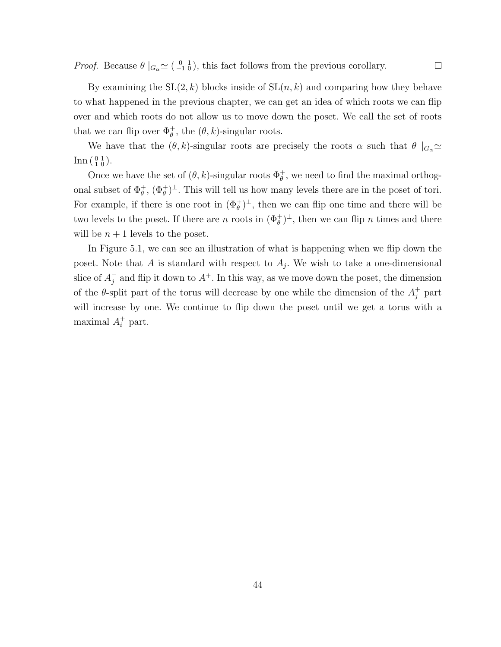*Proof.* Because  $\theta \mid_{G_\alpha} \simeq (\begin{smallmatrix} 0 & 1 \\ -1 & 0 \end{smallmatrix})$ , this fact follows from the previous corollary.

By examining the  $SL(2, k)$  blocks inside of  $SL(n, k)$  and comparing how they behave to what happened in the previous chapter, we can get an idea of which roots we can flip over and which roots do not allow us to move down the poset. We call the set of roots that we can flip over  $\Phi_{\theta}^+$ , the  $(\theta, k)$ -singular roots.

We have that the  $(\theta, k)$ -singular roots are precisely the roots  $\alpha$  such that  $\theta |_{G_{\alpha}} \simeq$  $\text{Inn} \left( \begin{smallmatrix} 0 & 1 \\ 1 & 0 \end{smallmatrix} \right)$ .

Once we have the set of  $(\theta, k)$ -singular roots  $\Phi_{\theta}^+$ , we need to find the maximal orthogonal subset of  $\Phi_{\theta}^{+}$ ,  $(\Phi_{\theta}^{+})^{\perp}$ . This will tell us how many levels there are in the poset of tori. For example, if there is one root in  $(\Phi_{\theta}^{+})^{\perp}$ , then we can flip one time and there will be two levels to the poset. If there are n roots in  $(\Phi_{\theta}^{+})^{\perp}$ , then we can flip n times and there will be  $n+1$  levels to the poset.

In Figure 5.1, we can see an illustration of what is happening when we flip down the poset. Note that A is standard with respect to  $A_j$ . We wish to take a one-dimensional slice of  $A_i^ \bar{j}$  and flip it down to  $A^+$ . In this way, as we move down the poset, the dimension of the  $\theta$ -split part of the torus will decrease by one while the dimension of the  $A_j^+$  part will increase by one. We continue to flip down the poset until we get a torus with a maximal  $A_i^+$  part.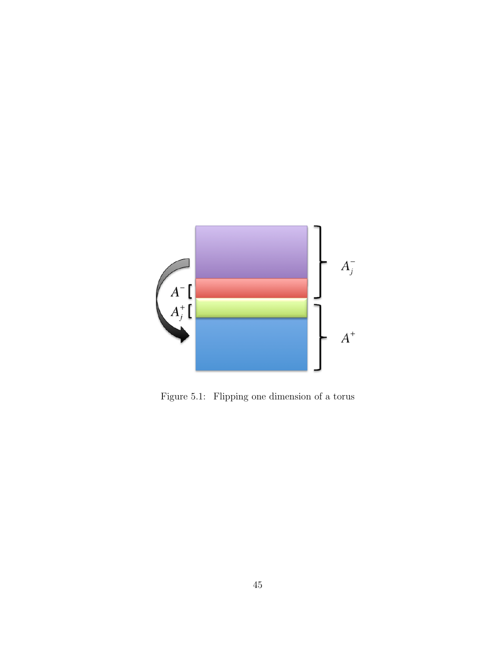

Figure 5.1: Flipping one dimension of a torus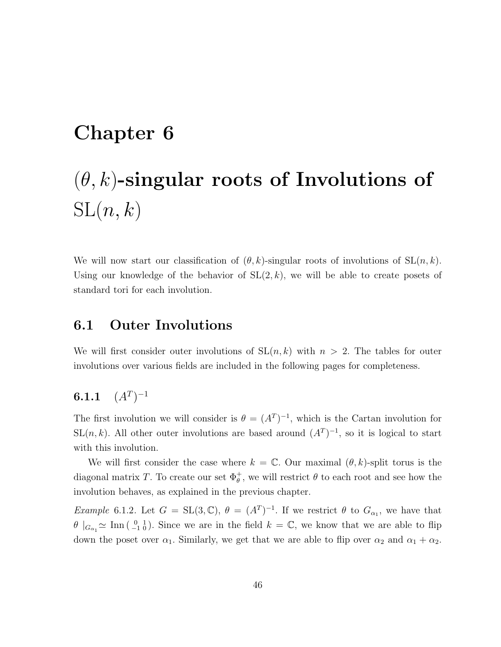# Chapter 6

# $(\theta, k)$ -singular roots of Involutions of  $SL(n, k)$

We will now start our classification of  $(\theta, k)$ -singular roots of involutions of  $SL(n, k)$ . Using our knowledge of the behavior of  $SL(2, k)$ , we will be able to create posets of standard tori for each involution.

#### 6.1 Outer Involutions

We will first consider outer involutions of  $SL(n, k)$  with  $n > 2$ . The tables for outer involutions over various fields are included in the following pages for completeness.

#### $6.1.1$  $)^{-1}$

The first involution we will consider is  $\theta = (A^T)^{-1}$ , which is the Cartan involution for SL $(n, k)$ . All other outer involutions are based around  $(A<sup>T</sup>)<sup>-1</sup>$ , so it is logical to start with this involution.

We will first consider the case where  $k = \mathbb{C}$ . Our maximal  $(\theta, k)$ -split torus is the diagonal matrix T. To create our set  $\Phi_{\theta}^{+}$ , we will restrict  $\theta$  to each root and see how the involution behaves, as explained in the previous chapter.

*Example* 6.1.2. Let  $G = SL(3, \mathbb{C}), \theta = (A^T)^{-1}$ . If we restrict  $\theta$  to  $G_{\alpha_1}$ , we have that  $\theta$   $|_{G_{\alpha_1}} \simeq \text{Inn} \left( \begin{array}{c} 0 & 1 \\ -1 & 0 \end{array} \right)$ . Since we are in the field  $k = \mathbb{C}$ , we know that we are able to flip down the poset over  $\alpha_1$ . Similarly, we get that we are able to flip over  $\alpha_2$  and  $\alpha_1 + \alpha_2$ .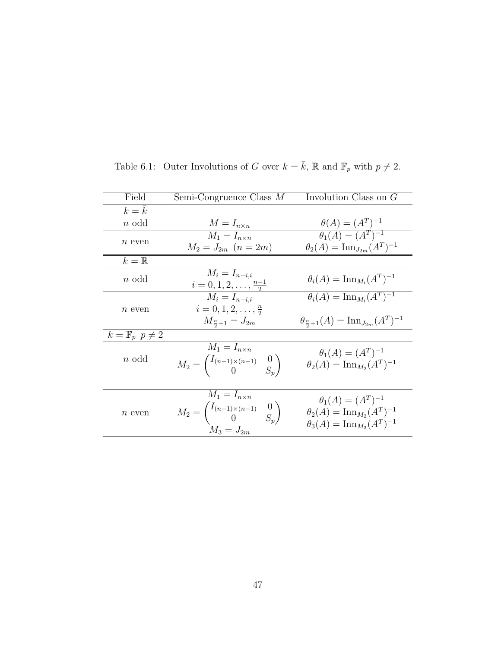| Field                      | Semi-Congruence Class $M$                                                 | Involution Class on $G$                                   |
|----------------------------|---------------------------------------------------------------------------|-----------------------------------------------------------|
| $k = k$                    |                                                                           |                                                           |
| $n$ odd                    | $M = I_{n \times n}$                                                      | $heta(A) = (A^T)^{-1}$                                    |
| $n$ even                   | $M_1 = I_{n \times n}$                                                    | $\theta_1(A) = (A^T)^{-1}$                                |
|                            | $M_2 = J_{2m}$ $(n = 2m)$                                                 | $\theta_2(A) = \text{Inn}_{J_{2m}}(A^T)^{-1}$             |
| $k=\mathbb{R}$             |                                                                           |                                                           |
| $n$ odd                    | $M_i = I_{n-i,i}$                                                         | $\theta_i(A) = \text{Inn}_{M_i}(A^T)^{-1}$                |
|                            | $i=0,1,2,\ldots,\frac{n-1}{2}$                                            |                                                           |
|                            | $M_i = I_{n-i,i}$                                                         | $\theta_i(A) = \text{Inn}_{M_i}(A^T)^{-1}$                |
| $n$ even                   | $i=0,1,2,\ldots,\frac{n}{2}$                                              |                                                           |
|                            | $M_{\frac{n}{2}+1} = J_{2m}$                                              | $heta_{\frac{n}{2}+1}(A) = \text{Inn}_{J_{2m}}(A^T)^{-1}$ |
| $k=\mathbb{F}_p$ $p\neq 2$ |                                                                           |                                                           |
|                            | $M_1 = I_{n \times n}$                                                    | $\theta_1(A) = (A^T)^{-1}$                                |
| $n$ odd                    | $M_2 = \begin{pmatrix} I_{(n-1)\times(n-1)} & 0 \\ 0 & S_n \end{pmatrix}$ | $\theta_2(A) = \text{Inn}_{M_2}(A^T)^{-1}$                |
|                            |                                                                           |                                                           |
|                            |                                                                           |                                                           |
|                            | $M_1 = I_{n \times n}$                                                    | $\theta_1(A) = (A^T)^{-1}$                                |
| $\boldsymbol{n}$ even      | $M_2 = \begin{pmatrix} I_{(n-1)\times(n-1)} & 0 \\ 0 & S_n \end{pmatrix}$ | $\theta_2(A) = \text{Inn}_{M_2}(A^T)^{-1}$                |
|                            |                                                                           | $\theta_3(A) = \text{Inn}_{M_3}(A^T)^{-1}$                |
|                            | $M_3 = J_{2m}$                                                            |                                                           |

Table 6.1: Outer Involutions of G over  $k = \bar{k}$ , R and  $\mathbb{F}_p$  with  $p \neq 2$ .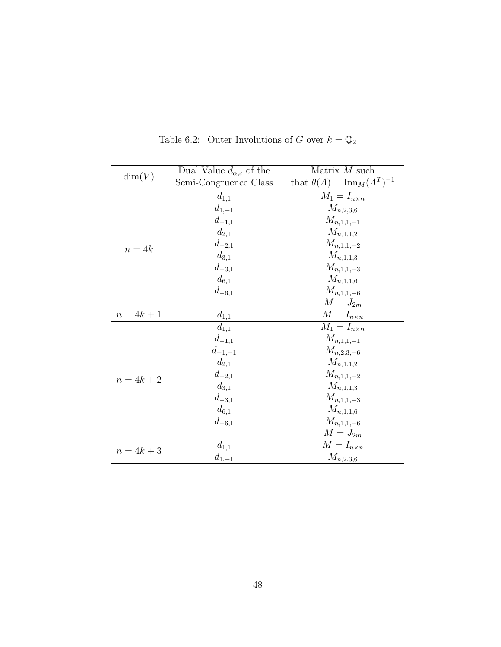|              | Dual Value $d_{\alpha,c}$ of the | Matrix $M$ such                           |
|--------------|----------------------------------|-------------------------------------------|
| $\dim(V)$    | Semi-Congruence Class            | that $\theta(A) = \text{Inn}_M(A^T)^{-1}$ |
|              | $d_{1,1}$                        | $M_1 = I_{n \times n}$                    |
|              | $d_{1,-1}$                       | $M_{n,2,3,6}$                             |
|              | $d_{-1,1}$                       | $M_{n,1,1,-1}$                            |
|              | $d_{2,1}$                        | $M_{n,1,1,2}$                             |
| $n = 4k$     | $d_{-2,1}$                       | $M_{n,1,1,-2}$                            |
|              | $d_{3,1}$                        | $M_{n,1,1,3}$                             |
|              | $d_{-3,1}$                       | $M_{n,1,1,-3}$                            |
|              | $d_{6,1}$                        | $M_{n,1,1,6}$                             |
|              | $d_{-6,1}$                       | $M_{n,1,1,-6}$                            |
|              |                                  | $M = J_{2m}$                              |
| $n = 4k + 1$ | $d_{1,\underline{1}}$            | $M = I_{n \times n}$                      |
|              | $d_{1,1}$                        | $\overline{M}_1 = I_{n \times n}$         |
|              | $d_{-1,1}$                       | $M_{n,1,1,-1}$                            |
|              | $d_{-1,-1}$                      | $M_{n,2,3,-6}$                            |
|              | $d_{2,1}$                        | $M_{n,1,1,2}$                             |
| $n = 4k + 2$ | $d_{-2,1}$                       | $M_{n,1,1,-2}$                            |
|              | $d_{3,1}$                        | $M_{n,1,1,3}$                             |
|              | $d_{-3,1}$                       | $M_{n,1,1,-3}$                            |
|              | $d_{6,1}$                        | $M_{n,1,1,6}$                             |
|              | $d_{-6,1}$                       | $M_{n,1,1,-6}$                            |
|              |                                  | $M = J_{2m}$                              |
| $n = 4k + 3$ | $d_{1,1}$                        | $M = I_{n \times n}$                      |
|              | $d_{1,-1}$                       | $M_{n,2,3,6}$                             |

Table 6.2: Outer Involutions of G over  $k=\mathbb{Q}_2$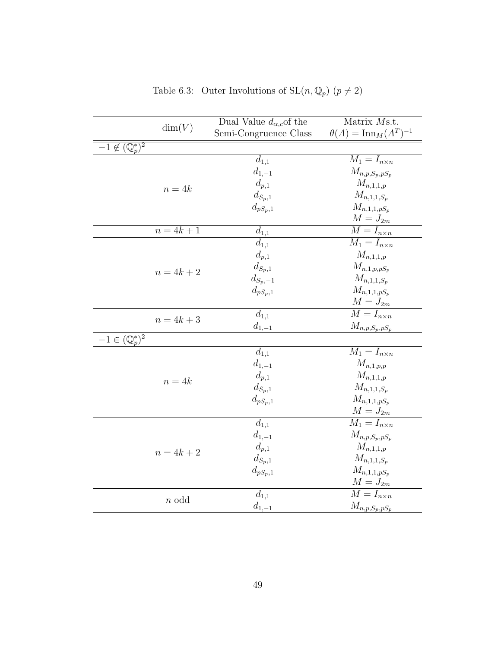| Dual Value $d_{\alpha,c}$ of the<br>Matrix Ms.t.                                  |  |
|-----------------------------------------------------------------------------------|--|
| dim(V)<br>$\theta(A) = \text{Inn}_M(A^T)^{-1}$<br>Semi-Congruence Class           |  |
| $-1 \notin (\mathbb{Q}_p^*)^2$                                                    |  |
| $\overline{M}_1 = I_{n \times n}$<br>$d_{1,1}$                                    |  |
| $d_{1,-1}$<br>${\cal M}_{n,p,S_p,pS_p}$                                           |  |
| $d_{p,1}$<br>$M_{n,1,1,p}$<br>$n = 4k$                                            |  |
| $d_{\mathcal{S}_p,1}$<br>${\mathcal M}_{n,1,1,S_p}$                               |  |
| $M_{n,1,1,pS_p}$<br>$d_{pS_p,1}$                                                  |  |
| $M = J_{2m}$                                                                      |  |
| $\overline{M} = I_{n \times n}$<br>$n = 4k + 1$<br>$d_{1,1}$                      |  |
| $\overline{M_1} = I_{n \times n}$<br>$d_{1,1}$                                    |  |
| $M_{n,1,1,p}$<br>$d_{\mathfrak{p},1}$                                             |  |
| $d_{S_p,1}$<br>$M_{n,1,p,pS_p}$<br>$n = 4k + 2$                                   |  |
| ${\mathcal M}_{n,1,1,S_p}$<br>$d_{S_p,-1}$                                        |  |
| $d_{pS_p,1}$<br>$M_{n,1,1,pS_p}$                                                  |  |
| $M = J_{2m}$                                                                      |  |
| $\overline{M} = I_{n \times n}$<br>$d_{1,1}$<br>$n = 4k + 3$                      |  |
| $M_{n,p,S_p,\underline{pS_p}}$<br>$d_{1,-1}$                                      |  |
| $-1 \in (\mathbb{Q}_p^*)^2$                                                       |  |
| $\overline{M_1} = I_{n \times n}$<br>$d_{1,1}$                                    |  |
| $\mathcal{M}_{n,1,p,p}$<br>$d_{1,-1}$                                             |  |
| $d_{p,1}$<br>${\mathcal M}_{n,1,1,p}$<br>$n = 4k$                                 |  |
| $d_{\mathcal{S}_p,1}$<br>$M_{n,1,1,S_p}$                                          |  |
| $M_{n,1,1,pS_p}$<br>$d_{pS_p,1}$<br>$M = J_{2m}$                                  |  |
| $\overline{M_1} = I_{n \times n}$<br>$d_{1,1}$                                    |  |
| $d_{1,-1}$                                                                        |  |
| ${\mathcal M}_{n,p,{\mathcal S}_p,p{\mathcal S}_p}$<br>$d_{p,1}$<br>$M_{n,1,1,p}$ |  |
| $n = 4k + 2$<br>$M_{n,1,1,S_p}$<br>$d_{S_p,1}$                                    |  |
| $d_{pS_p,1}$<br>${\cal M}_{n,1,1,pS_p}$                                           |  |
| $\mathcal{M}=\mathcal{J}_{2m}$                                                    |  |
| $\overline{M} = I_{n \times n}$<br>$d_{1,1}$                                      |  |
| $n$ odd<br>$M_{n,\underline{p},S_p,pS_p}$<br>$d_{1,-1}$                           |  |

Table 6.3: Outer Involutions of  $SL(n, \mathbb{Q}_p)$   $(p \neq 2)$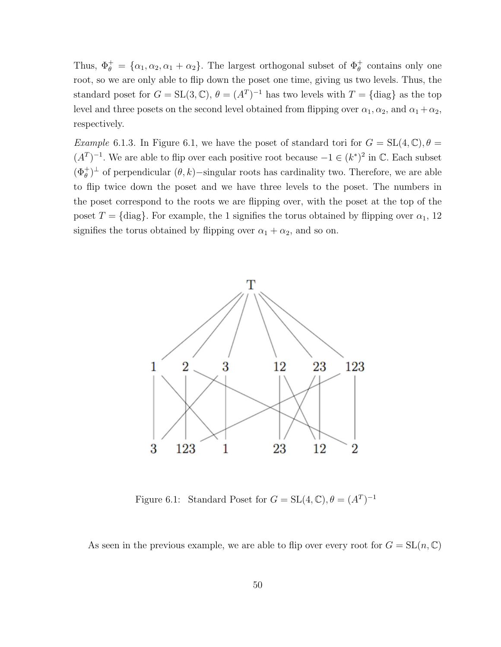Thus,  $\Phi_{\theta}^{+} = {\alpha_1, \alpha_2, \alpha_1 + \alpha_2}.$  The largest orthogonal subset of  $\Phi_{\theta}^{+}$  contains only one root, so we are only able to flip down the poset one time, giving us two levels. Thus, the standard poset for  $G = SL(3, \mathbb{C}), \theta = (A^T)^{-1}$  has two levels with  $T = \{\text{diag}\}\$ as the top level and three posets on the second level obtained from flipping over  $\alpha_1, \alpha_2$ , and  $\alpha_1 + \alpha_2$ , respectively.

*Example* 6.1.3. In Figure 6.1, we have the poset of standard tori for  $G = SL(4, \mathbb{C}), \theta =$  $(A<sup>T</sup>)<sup>-1</sup>$ . We are able to flip over each positive root because  $-1 \in (k^*)^2$  in C. Each subset  $(\Phi_{\theta}^{+})^{\perp}$  of perpendicular  $(\theta, k)$ −singular roots has cardinality two. Therefore, we are able to flip twice down the poset and we have three levels to the poset. The numbers in the poset correspond to the roots we are flipping over, with the poset at the top of the poset  $T = \{diag\}$ . For example, the 1 signifies the torus obtained by flipping over  $\alpha_1$ , 12 signifies the torus obtained by flipping over  $\alpha_1 + \alpha_2$ , and so on.



Figure 6.1: Standard Poset for  $G = SL(4, \mathbb{C}), \theta = (A^T)^{-1}$ 

As seen in the previous example, we are able to flip over every root for  $G = SL(n, \mathbb{C})$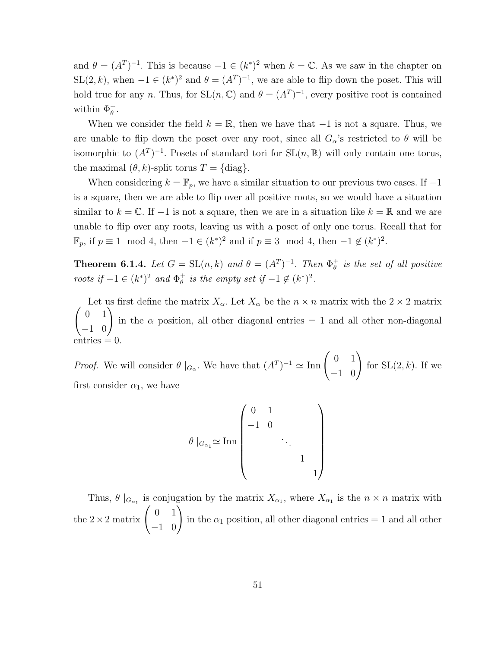and  $\theta = (A^T)^{-1}$ . This is because  $-1 \in (k^*)^2$  when  $k = \mathbb{C}$ . As we saw in the chapter on  $SL(2, k)$ , when  $-1 \in (k^*)^2$  and  $\theta = (A^T)^{-1}$ , we are able to flip down the poset. This will hold true for any n. Thus, for  $SL(n, \mathbb{C})$  and  $\theta = (A^T)^{-1}$ , every positive root is contained within  $\Phi_{\theta}^+$ .

When we consider the field  $k = \mathbb{R}$ , then we have that  $-1$  is not a square. Thus, we are unable to flip down the poset over any root, since all  $G_{\alpha}$ 's restricted to  $\theta$  will be isomorphic to  $(A^T)^{-1}$ . Posets of standard tori for  $SL(n, \mathbb{R})$  will only contain one torus, the maximal  $(\theta, k)$ -split torus  $T = \{\text{diag}\}.$ 

When considering  $k = \mathbb{F}_p$ , we have a similar situation to our previous two cases. If  $-1$ is a square, then we are able to flip over all positive roots, so we would have a situation similar to  $k = \mathbb{C}$ . If  $-1$  is not a square, then we are in a situation like  $k = \mathbb{R}$  and we are unable to flip over any roots, leaving us with a poset of only one torus. Recall that for  $\mathbb{F}_p$ , if  $p \equiv 1 \mod 4$ , then  $-1 \in (k^*)^2$  and if  $p \equiv 3 \mod 4$ , then  $-1 \notin (k^*)^2$ .

**Theorem 6.1.4.** Let  $G = SL(n,k)$  and  $\theta = (A^T)^{-1}$ . Then  $\Phi_{\theta}^+$  $_{\theta }^{+}$  is the set of all positive roots if  $-1 \in (k^*)^2$  and  $\Phi_{\theta}^+$  $\frac{1}{\theta}$  is the empty set if  $-1 \notin (k^*)^2$ .

 $\begin{pmatrix} 0 & 1 \\ -1 & 0 \end{pmatrix}$ Let us first define the matrix  $X_{\alpha}$ . Let  $X_{\alpha}$  be the  $n \times n$  matrix with the  $2 \times 2$  matrix in the  $\alpha$  position, all other diagonal entries  $= 1$  and all other non-diagonal  $entries = 0.$ 

*Proof.* We will consider  $\theta \mid_{G_\alpha}$ . We have that  $(A^T)^{-1} \simeq \text{Inn} \begin{pmatrix} 0 & 1 \\ -1 & 0 \end{pmatrix}$ for  $SL(2, k)$ . If we first consider  $\alpha_1$ , we have

$$
\theta |_{G_{\alpha_1}} \simeq \text{Inn} \begin{pmatrix} 0 & 1 & & & \\ -1 & 0 & & & \\ & & \ddots & & \\ & & & 1 & \\ & & & & 1 \end{pmatrix}
$$

Thus,  $\theta |_{G_{\alpha_1}}$  is conjugation by the matrix  $X_{\alpha_1}$ , where  $X_{\alpha_1}$  is the  $n \times n$  matrix with the  $2 \times 2$  matrix  $\begin{pmatrix} 0 & 1 \\ -1 & 0 \end{pmatrix}$ in the  $\alpha_1$  position, all other diagonal entries = 1 and all other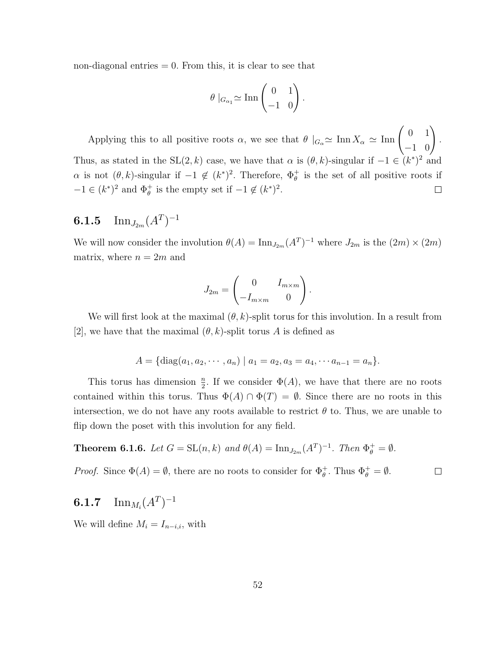non-diagonal entries  $= 0$ . From this, it is clear to see that

$$
\theta \mid_{G_{\alpha_1}} \simeq \operatorname{Inn}\begin{pmatrix} 0 & 1 \\ -1 & 0 \end{pmatrix}.
$$

Applying this to all positive roots  $\alpha$ , we see that  $\theta \mid_{G_{\alpha}} \simeq \text{Inn } X_{\alpha} \simeq \text{Inn } \begin{pmatrix} 0 & 1 \\ -1 & 0 \end{pmatrix}$ . Thus, as stated in the SL(2, k) case, we have that  $\alpha$  is  $(\theta, k)$ -singular if  $-1 \in (k^*)^2$  and  $\alpha$  is not  $(\theta, k)$ -singular if  $-1 \notin (k^*)^2$ . Therefore,  $\Phi_{\theta}^+$  is the set of all positive roots if  $-1 \in (k^*)^2$  and  $\Phi_{\theta}^+$  is the empty set if  $-1 \notin (k^*)^2$ .  $\Box$ 

## $\mathbf{6.1.5} \quad {\rm Inn}_{J_{2m}} (A^T)^{-1}$

We will now consider the involution  $\theta(A) = \text{Inn}_{J_{2m}}(A^T)^{-1}$  where  $J_{2m}$  is the  $(2m) \times (2m)$ matrix, where  $n = 2m$  and

$$
J_{2m} = \begin{pmatrix} 0 & I_{m \times m} \\ -I_{m \times m} & 0 \end{pmatrix}.
$$

We will first look at the maximal  $(\theta, k)$ -split torus for this involution. In a result from [2], we have that the maximal  $(\theta, k)$ -split torus A is defined as

$$
A = \{ \text{diag}(a_1, a_2, \cdots, a_n) \mid a_1 = a_2, a_3 = a_4, \cdots a_{n-1} = a_n \}.
$$

This torus has dimension  $\frac{n}{2}$ . If we consider  $\Phi(A)$ , we have that there are no roots contained within this torus. Thus  $\Phi(A) \cap \Phi(T) = \emptyset$ . Since there are no roots in this intersection, we do not have any roots available to restrict  $\theta$  to. Thus, we are unable to flip down the poset with this involution for any field.

**Theorem 6.1.6.** Let  $G = SL(n,k)$  and  $\theta(A) = \text{Inn}_{J_{2m}}(A^T)^{-1}$ . Then  $\Phi_{\theta}^+ = \emptyset$ .

*Proof.* Since  $\Phi(A) = \emptyset$ , there are no roots to consider for  $\Phi_{\theta}^{+}$ . Thus  $\Phi_{\theta}^{+} = \emptyset$ .  $\Box$ 

## $\mathbf{6.1.7} \quad {\rm Inn}_{M_i}(A^T)^{-1}$

We will define  $M_i = I_{n-i,i}$ , with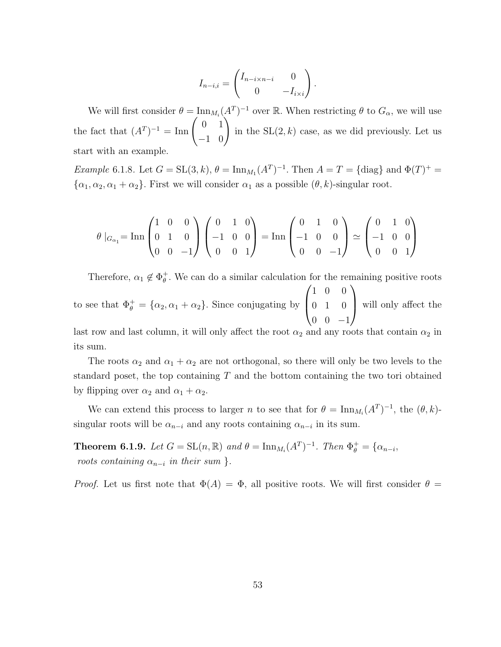$$
I_{n-i,i} = \begin{pmatrix} I_{n-i \times n-i} & 0 \\ 0 & -I_{i \times i} \end{pmatrix}.
$$

We will first consider  $\theta = \text{Inn}_{M_i}(A^T)^{-1}$  over R. When restricting  $\theta$  to  $G_\alpha$ , we will use the fact that  $(A^T)^{-1} = \text{Inn}\begin{pmatrix} 0 & 1 \\ -1 & 0 \end{pmatrix}$ in the  $SL(2, k)$  case, as we did previously. Let us start with an example.

*Example* 6.1.8. Let  $G = SL(3, k)$ ,  $\theta = \text{Inn}_{M_1}(A^T)^{-1}$ . Then  $A = T = \{\text{diag}\}\$  and  $\Phi(T)^{+} =$  $\{\alpha_1, \alpha_2, \alpha_1 + \alpha_2\}$ . First we will consider  $\alpha_1$  as a possible  $(\theta, k)$ -singular root.

$$
\theta |_{G_{\alpha_1}} = \text{Inn} \begin{pmatrix} 1 & 0 & 0 \\ 0 & 1 & 0 \\ 0 & 0 & -1 \end{pmatrix} \begin{pmatrix} 0 & 1 & 0 \\ -1 & 0 & 0 \\ 0 & 0 & 1 \end{pmatrix} = \text{Inn} \begin{pmatrix} 0 & 1 & 0 \\ -1 & 0 & 0 \\ 0 & 0 & -1 \end{pmatrix} \simeq \begin{pmatrix} 0 & 1 & 0 \\ -1 & 0 & 0 \\ 0 & 0 & 1 \end{pmatrix}
$$

Therefore,  $\alpha_1 \notin \Phi_{\theta}^+$  $_{\theta}^{+}$ . We can do a similar calculation for the remaining positive roots to see that  $\Phi_{\theta}^{+} = {\alpha_2, \alpha_1 + \alpha_2}.$  Since conjugating by  $\sqrt{ }$  $\overline{ }$ 1 0 0 0 1 0  $0 \t 0 \t -1$  $\setminus$ will only affect the

last row and last column, it will only affect the root  $\alpha_2$  and any roots that contain  $\alpha_2$  in its sum.

The roots  $\alpha_2$  and  $\alpha_1 + \alpha_2$  are not orthogonal, so there will only be two levels to the standard poset, the top containing  $T$  and the bottom containing the two tori obtained by flipping over  $\alpha_2$  and  $\alpha_1 + \alpha_2$ .

We can extend this process to larger n to see that for  $\theta = \text{Inn}_{M_i}(A^T)^{-1}$ , the  $(\theta, k)$ singular roots will be  $\alpha_{n-i}$  and any roots containing  $\alpha_{n-i}$  in its sum.

**Theorem 6.1.9.** Let  $G = SL(n, \mathbb{R})$  and  $\theta = \text{Inn}_{M_i}(A^T)^{-1}$ . Then  $\Phi_{\theta}^+ = {\alpha_{n-i}}$ , roots containing  $\alpha_{n-i}$  in their sum }.

*Proof.* Let us first note that  $\Phi(A) = \Phi$ , all positive roots. We will first consider  $\theta =$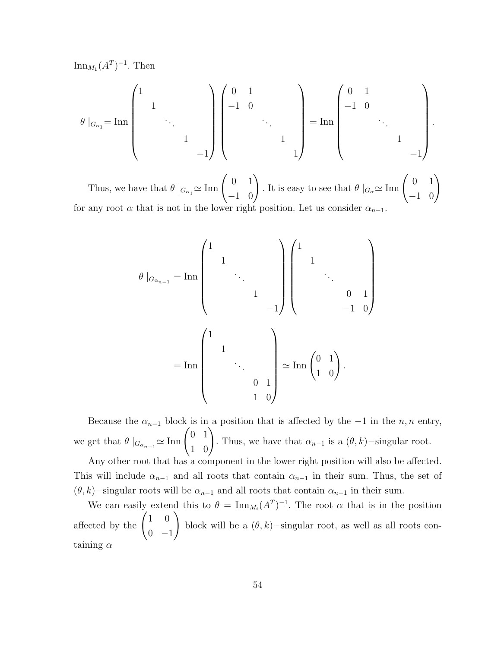$\text{Inn}_{M_1}(A^T)^{-1}$ . Then

$$
\theta |_{G_{\alpha_1}} = {\rm Inn}\left(\begin{array}{cccc} 1 & & & & \\ & 1 & & & \\ & & \ddots & & \\ & & & 1 & \\ & & & & -1 \end{array}\right) \left(\begin{array}{cccc} 0 & 1 & & & \\ -1 & 0 & & & \\ & & \ddots & & \\ & & & 1 & \\ & & & & 1 \end{array}\right) = {\rm Inn}\left(\begin{array}{cccc} 0 & 1 & & & \\ -1 & 0 & & & \\ & & \ddots & & \\ & & & 1 & \\ & & & & -1 \end{array}\right).
$$

Thus, we have that  $\theta|_{G_{\alpha_1}} \simeq \text{Inn}\begin{pmatrix} 0 & 1 \ -1 & 0 \end{pmatrix}$ . It is easy to see that  $\theta|_{G_{\alpha}} \simeq \text{Inn}\begin{pmatrix} 0 & 1 \ -1 & 0 \end{pmatrix}$ for any root  $\alpha$  that is not in the lower right position. Let us consider  $\alpha_{n-1}$ .

$$
\theta |_{G_{\alpha_{n-1}}} = \text{Inn} \begin{pmatrix} 1 & & & & \\ & 1 & & & \\ & & \ddots & & \\ & & & 1 & \\ & & & -1 \end{pmatrix} \begin{pmatrix} 1 & & & & \\ & 1 & & & \\ & & \ddots & & \\ & & & -1 & 0 \end{pmatrix}
$$

$$
= \text{Inn} \begin{pmatrix} 1 & & & & \\ & 1 & & & \\ & & \ddots & & \\ & & & 0 & 1 \\ & & & & 1 & 0 \end{pmatrix} \simeq \text{Inn} \begin{pmatrix} 0 & 1 \\ 1 & 0 \end{pmatrix}.
$$

Because the  $\alpha_{n-1}$  block is in a position that is affected by the −1 in the n, n entry, we get that  $\theta \mid_{G_{\alpha_{n-1}}} \simeq \text{Inn} \begin{pmatrix} 0 & 1 \\ 1 & 0 \end{pmatrix}$ . Thus, we have that  $\alpha_{n-1}$  is a  $(\theta, k)$ −singular root.

Any other root that has a component in the lower right position will also be affected. This will include  $\alpha_{n-1}$  and all roots that contain  $\alpha_{n-1}$  in their sum. Thus, the set of  $(\theta, k)$ −singular roots will be  $\alpha_{n-1}$  and all roots that contain  $\alpha_{n-1}$  in their sum.

We can easily extend this to  $\theta = \text{Inn}_{M_i}(A^T)^{-1}$ . The root  $\alpha$  that is in the position affected by the  $\begin{pmatrix} 1 & 0 \\ 0 & 0 \end{pmatrix}$  $0 -1$  $\setminus$ block will be a  $(\theta, k)$ −singular root, as well as all roots containing  $\alpha$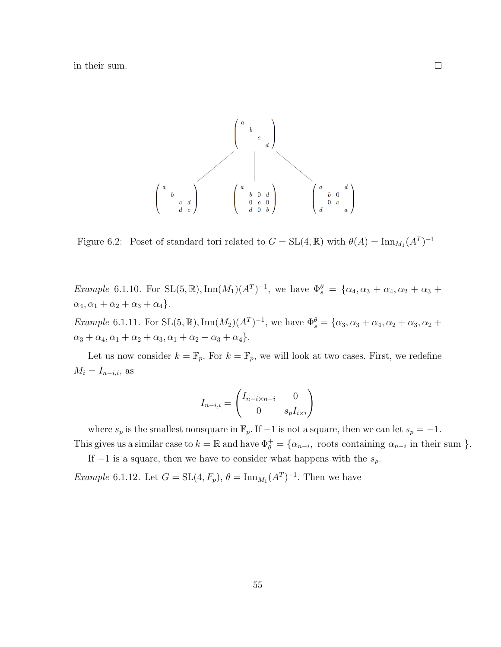in their sum.



Figure 6.2: Poset of standard tori related to  $G = SL(4, \mathbb{R})$  with  $\theta(A) = \text{Inn}_{M_1}(A^T)^{-1}$ 

*Example* 6.1.10. For  $SL(5, \mathbb{R})$ ,  $Inn(M_1)(A^T)^{-1}$ , we have  $\Phi_s^{\theta} = {\alpha_4, \alpha_3 + \alpha_4, \alpha_2 + \alpha_3 + \alpha_4}$  $\alpha_4, \alpha_1 + \alpha_2 + \alpha_3 + \alpha_4$ .

*Example* 6.1.11. For  $SL(5, \mathbb{R})$ ,  $\text{Inn}(M_2)(A^T)^{-1}$ , we have  $\Phi_s^{\theta} = {\alpha_3, \alpha_3 + \alpha_4, \alpha_2 + \alpha_3, \alpha_2 + \alpha_3}$  $\alpha_3 + \alpha_4, \alpha_1 + \alpha_2 + \alpha_3, \alpha_1 + \alpha_2 + \alpha_3 + \alpha_4$ .

Let us now consider  $k = \mathbb{F}_p$ . For  $k = \mathbb{F}_p$ , we will look at two cases. First, we redefine  $M_i = I_{n-i,i}$ , as

$$
I_{n-i,i} = \begin{pmatrix} I_{n-i \times n-i} & 0 \\ 0 & s_p I_{i \times i} \end{pmatrix}
$$

where  $s_p$  is the smallest nonsquare in  $\mathbb{F}_p$ . If  $-1$  is not a square, then we can let  $s_p = -1$ .

This gives us a similar case to  $k = \mathbb{R}$  and have  $\Phi_{\theta}^{+} = \{\alpha_{n-i}, \text{ roots containing } \alpha_{n-i} \text{ in their sum }\}.$ If  $-1$  is a square, then we have to consider what happens with the  $s_p$ .

*Example* 6.1.12. Let  $G = SL(4, F_p)$ ,  $\theta = \text{Inn}_{M_1}(A^T)^{-1}$ . Then we have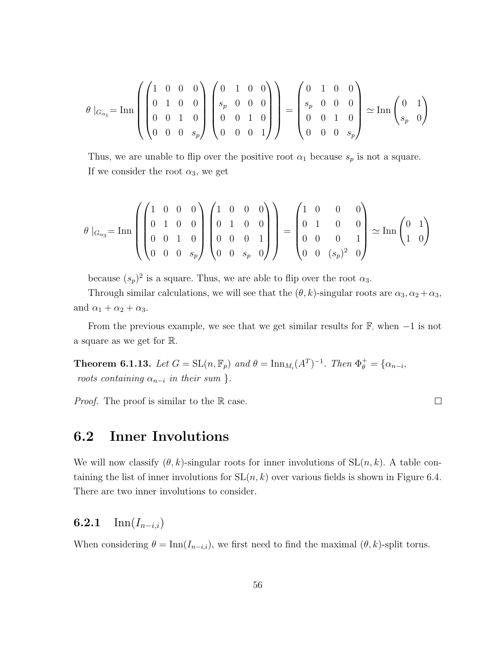$$
\theta |_{G_{\alpha_1}} = \text{Inn} \left( \begin{pmatrix} 1 & 0 & 0 & 0 \\ 0 & 1 & 0 & 0 \\ 0 & 0 & 1 & 0 \\ 0 & 0 & 0 & s_p \end{pmatrix} \begin{pmatrix} 0 & 1 & 0 & 0 \\ s_p & 0 & 0 & 0 \\ 0 & 0 & 1 & 0 \\ 0 & 0 & 0 & 1 \end{pmatrix} \right) = \begin{pmatrix} 0 & 1 & 0 & 0 \\ s_p & 0 & 0 & 0 \\ 0 & 0 & 1 & 0 \\ 0 & 0 & 0 & s_p \end{pmatrix} \simeq \text{Inn} \begin{pmatrix} 0 & 1 \\ s_p & 0 \end{pmatrix}
$$

Thus, we are unable to flip over the positive root  $\alpha_1$  because  $s_p$  is not a square. If we consider the root  $\alpha_3$ , we get

$$
\theta |_{G_{\alpha_3}} = \mathrm{Inn} \left( \begin{pmatrix} 1 & 0 & 0 & 0 \\ 0 & 1 & 0 & 0 \\ 0 & 0 & 1 & 0 \\ 0 & 0 & 0 & s_p \end{pmatrix} \begin{pmatrix} 1 & 0 & 0 & 0 \\ 0 & 1 & 0 & 0 \\ 0 & 0 & 0 & 1 \\ 0 & 0 & s_p & 0 \end{pmatrix} \right) = \begin{pmatrix} 1 & 0 & 0 & 0 \\ 0 & 1 & 0 & 0 \\ 0 & 0 & 0 & 1 \\ 0 & 0 & (s_p)^2 & 0 \end{pmatrix} \simeq \mathrm{Inn} \begin{pmatrix} 0 & 1 \\ 1 & 0 \end{pmatrix}
$$

because  $(s_p)^2$  is a square. Thus, we are able to flip over the root  $\alpha_3$ .

Through similar calculations, we will see that the  $(\theta, k)$ -singular roots are  $\alpha_3, \alpha_2 + \alpha_3$ , and  $\alpha_1 + \alpha_2 + \alpha_3$ .

From the previous example, we see that we get similar results for  $\mathbb{F}_{p}$  when  $-1$  is not a square as we get for R.

**Theorem 6.1.13.** Let  $G = SL(n, \mathbb{F}_p)$  and  $\theta = \text{Inn}_{M_i}(A^T)^{-1}$ . Then  $\Phi_{\theta}^+ = {\alpha_{n-i}}$ , roots containing  $\alpha_{n-i}$  in their sum }.

*Proof.* The proof is similar to the R case.

 $\Box$ 

#### 6.2 Inner Involutions

We will now classify  $(\theta, k)$ -singular roots for inner involutions of  $SL(n, k)$ . A table containing the list of inner involutions for  $SL(n, k)$  over various fields is shown in Figure 6.4. There are two inner involutions to consider.

#### 6.2.1 Inn $(I_{n-i,i})$

When considering  $\theta = \text{Inn}(I_{n-i,i})$ , we first need to find the maximal  $(\theta, k)$ -split torus.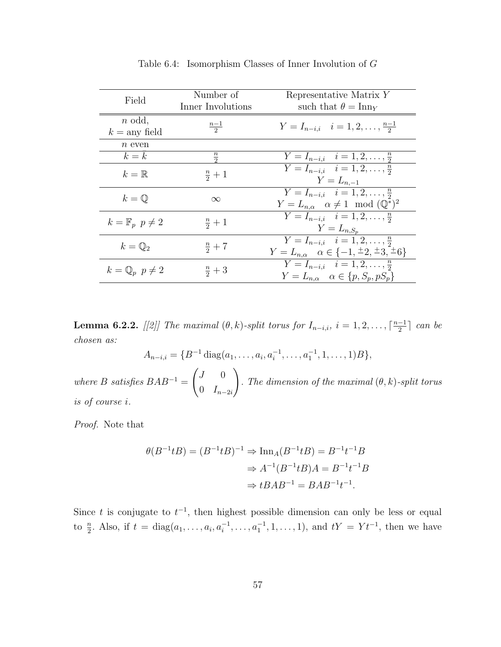| Field                              | Number of<br>Inner Involutions | Representative Matrix Y<br>such that $\theta = \text{Inn}_Y$                                                   |
|------------------------------------|--------------------------------|----------------------------------------------------------------------------------------------------------------|
| $n$ odd,<br>$k = \text{any field}$ | $\frac{n-1}{2}$                | $Y = I_{n-i,i}$ $i = 1, 2, \ldots, \frac{n-1}{2}$                                                              |
| $n$ even                           |                                |                                                                                                                |
| $k=k$                              | $\frac{n}{2}$                  | $Y = I_{n-i,i}$ $i = 1, 2, \ldots, \frac{n}{2}$                                                                |
| $k=\mathbb{R}$                     | $\frac{n}{2}+1$                | $Y = I_{n-i,i}$ $i = 1, 2, \ldots, \frac{n}{2}$<br>$Y = L_{n,-1}$                                              |
| $k = \mathbb{Q}$                   | $\infty$                       | $Y = I_{n-i,i}$ $i = 1, 2, \ldots, \frac{n}{2}$<br>$Y = L_{n,\alpha}$ $\alpha \neq 1 \mod (\mathbb{Q}^*)^2$    |
| $k=\mathbb{F}_p$ $p\neq 2$         | $rac{n}{2}+1$                  | $Y = I_{n-i,i}$ $i = 1, 2, \ldots, \frac{n}{2}$<br>$Y=L_{n,S_n}$                                               |
| $k=\mathbb{Q}_2$                   | $rac{n}{2}+7$                  | $Y = I_{n-i,i}$ $i = 1, 2, \ldots, \frac{n}{2}$<br>$Y = L_{n,\alpha}$ $\alpha \in \{-1, \pm 2, \pm 3, \pm 6\}$ |
| $k = \mathbb{Q}_p$ $p \neq 2$      | $\frac{n}{2}+3$                | $Y = I_{n-i,i}$ $i = 1, 2, \ldots, \frac{n}{2}$<br>$Y = L_{n,\alpha}$ $\alpha \in \{p, S_p, pS_p\}$            |

Table 6.4: Isomorphism Classes of Inner Involution of G

**Lemma 6.2.2.** [[2]] The maximal  $(\theta, k)$ -split torus for  $I_{n-i,i}$ ,  $i = 1, 2, \ldots, \lceil \frac{n-1}{2} \rceil$  $\frac{-1}{2}$  can be chosen as:

$$
A_{n-i,i} = \{B^{-1} \operatorname{diag}(a_1, \ldots, a_i, a_i^{-1}, \ldots, a_1^{-1}, 1, \ldots, 1)B\},\,
$$

where B satisfies  $BAB^{-1} =$  $\int J = 0$ 0  $I_{n-2i}$  $\setminus$ . The dimension of the maximal  $(\theta, k)$ -split torus is of course i.

Proof. Note that

$$
\theta(B^{-1}tB) = (B^{-1}tB)^{-1} \Rightarrow \operatorname{Inn}_A(B^{-1}tB) = B^{-1}t^{-1}B
$$

$$
\Rightarrow A^{-1}(B^{-1}tB)A = B^{-1}t^{-1}B
$$

$$
\Rightarrow tBAB^{-1} = BAB^{-1}t^{-1}.
$$

Since t is conjugate to  $t^{-1}$ , then highest possible dimension can only be less or equal to  $\frac{n}{2}$ . Also, if  $t = diag(a_1, \ldots, a_i, a_i^{-1}, \ldots, a_1^{-1}, 1, \ldots, 1)$ , and  $tY = Yt^{-1}$ , then we have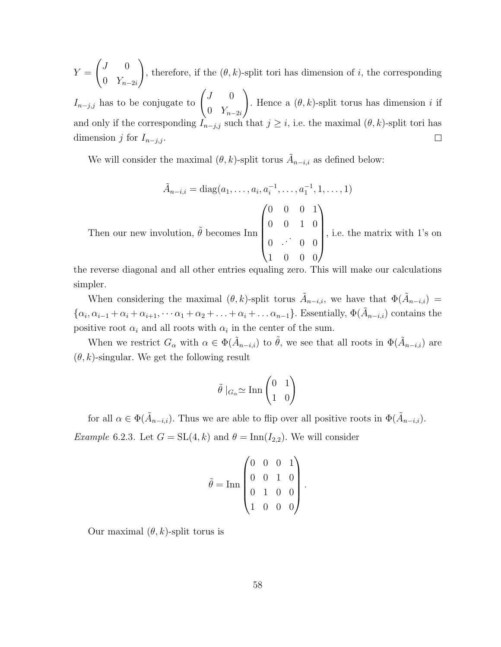$\int J = 0$  $\setminus$  $Y =$ , therefore, if the  $(\theta, k)$ -split tori has dimension of i, the corresponding 0  $Y_{n-2i}$  $I_{n-j,j}$  has to be conjugate to  $\begin{pmatrix} J & 0 \\ 0 & J \end{pmatrix}$  $\setminus$ . Hence a  $(\theta, k)$ -split torus has dimension i if 0  $Y_{n-2i}$ and only if the corresponding  $\hat{I}_{n-j,j}$  such that  $j \geq i$ , i.e. the maximal  $(\theta, k)$ -split tori has dimension j for  $I_{n-j,j}$ .  $\Box$ 

We will consider the maximal  $(\theta, k)$ -split torus  $\tilde{A}_{n-i,i}$  as defined below:

$$
\tilde{A}_{n-i,i} = \text{diag}(a_1, \dots, a_i, a_i^{-1}, \dots, a_1^{-1}, 1, \dots, 1)
$$
\nThen our new involution,  $\tilde{\theta}$  becomes  $\text{Inn}\begin{pmatrix} 0 & 0 & 0 & 1 \\ 0 & 0 & 1 & 0 \\ 0 & \cdots & 0 & 0 \\ 1 & 0 & 0 & 0 \end{pmatrix}$ , i.e. the matrix with 1's on the matrix.

the reverse diagonal and all other entries equaling zero. This will make our calculations simpler.

When considering the maximal  $(\theta, k)$ -split torus  $\tilde{A}_{n-i,i}$ , we have that  $\Phi(\tilde{A}_{n-i,i}) =$  $\{\alpha_i, \alpha_{i-1} + \alpha_i + \alpha_{i+1}, \cdots \alpha_1 + \alpha_2 + \ldots + \alpha_i + \ldots \alpha_{n-1}\}.$  Essentially,  $\Phi(\tilde{A}_{n-i,i})$  contains the positive root  $\alpha_i$  and all roots with  $\alpha_i$  in the center of the sum.

When we restrict  $G_{\alpha}$  with  $\alpha \in \Phi(\tilde{A}_{n-i,i})$  to  $\tilde{\theta}$ , we see that all roots in  $\Phi(\tilde{A}_{n-i,i})$  are  $(\theta, k)$ -singular. We get the following result

$$
\tilde{\theta} \mid_{G_{\alpha}} \simeq \text{Inn} \begin{pmatrix} 0 & 1 \\ 1 & 0 \end{pmatrix}
$$

for all  $\alpha \in \Phi(\tilde{A}_{n-i,i})$ . Thus we are able to flip over all positive roots in  $\Phi(\tilde{A}_{n-i,i})$ .

Example 6.2.3. Let  $G = SL(4, k)$  and  $\theta = \text{Inn}(I_{2,2})$ . We will consider

$$
\tilde{\theta} = \text{Inn} \begin{pmatrix} 0 & 0 & 0 & 1 \\ 0 & 0 & 1 & 0 \\ 0 & 1 & 0 & 0 \\ 1 & 0 & 0 & 0 \end{pmatrix}.
$$

Our maximal  $(\theta, k)$ -split torus is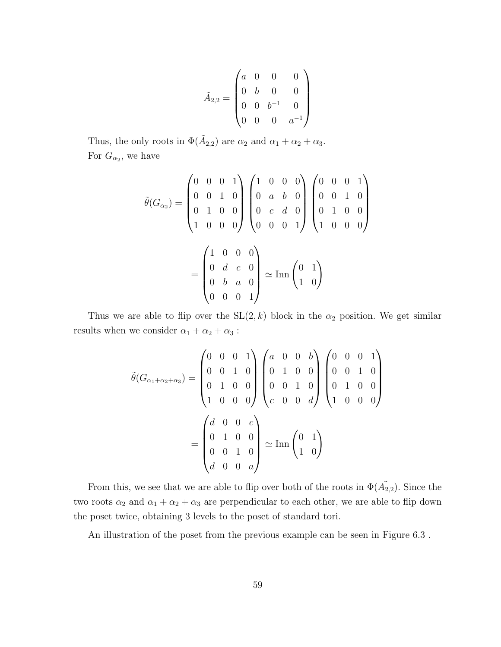$$
\tilde{A}_{2,2} = \begin{pmatrix} a & 0 & 0 & 0 \\ 0 & b & 0 & 0 \\ 0 & 0 & b^{-1} & 0 \\ 0 & 0 & 0 & a^{-1} \end{pmatrix}
$$

Thus, the only roots in  $\Phi(\tilde{A}_{2,2})$  are  $\alpha_2$  and  $\alpha_1 + \alpha_2 + \alpha_3$ . For  $G_{\alpha_2}$ , we have

$$
\tilde{\theta}(G_{\alpha_2}) = \begin{pmatrix} 0 & 0 & 0 & 1 \\ 0 & 0 & 1 & 0 \\ 0 & 1 & 0 & 0 \\ 1 & 0 & 0 & 0 \end{pmatrix} \begin{pmatrix} 1 & 0 & 0 & 0 \\ 0 & a & b & 0 \\ 0 & c & d & 0 \\ 0 & 0 & 0 & 1 \end{pmatrix} \begin{pmatrix} 0 & 0 & 0 & 1 \\ 0 & 0 & 1 & 0 \\ 0 & 1 & 0 & 0 \\ 1 & 0 & 0 & 0 \end{pmatrix}
$$

$$
= \begin{pmatrix} 1 & 0 & 0 & 0 \\ 0 & d & c & 0 \\ 0 & b & a & 0 \\ 0 & 0 & 0 & 1 \end{pmatrix} \simeq \text{Inn} \begin{pmatrix} 0 & 1 \\ 1 & 0 \end{pmatrix}
$$

Thus we are able to flip over the  $SL(2, k)$  block in the  $\alpha_2$  position. We get similar results when we consider  $\alpha_1 + \alpha_2 + \alpha_3$ :

$$
\tilde{\theta}(G_{\alpha_1+\alpha_2+\alpha_3}) = \begin{pmatrix} 0 & 0 & 0 & 1 \\ 0 & 0 & 1 & 0 \\ 0 & 1 & 0 & 0 \\ 1 & 0 & 0 & 0 \end{pmatrix} \begin{pmatrix} a & 0 & 0 & b \\ 0 & 1 & 0 & 0 \\ 0 & 0 & 1 & 0 \\ c & 0 & 0 & d \end{pmatrix} \begin{pmatrix} 0 & 0 & 0 & 1 \\ 0 & 0 & 1 & 0 \\ 0 & 1 & 0 & 0 \\ 1 & 0 & 0 & 0 \end{pmatrix}
$$

$$
= \begin{pmatrix} d & 0 & 0 & c \\ 0 & 1 & 0 & 0 \\ 0 & 0 & 1 & 0 \\ d & 0 & 0 & a \end{pmatrix} \simeq \text{Inn} \begin{pmatrix} 0 & 1 \\ 1 & 0 \end{pmatrix}
$$

From this, we see that we are able to flip over both of the roots in  $\Phi(\tilde{A}_{2,2})$ . Since the two roots  $\alpha_2$  and  $\alpha_1 + \alpha_2 + \alpha_3$  are perpendicular to each other, we are able to flip down the poset twice, obtaining 3 levels to the poset of standard tori.

An illustration of the poset from the previous example can be seen in Figure 6.3 .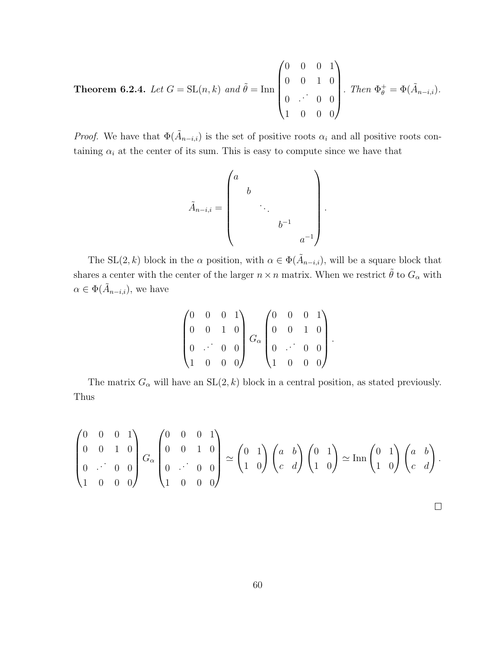**Theorem 6.2.4.** Let  $G = SL(n, k)$  and  $\tilde{\theta} = \text{Inn}$  $\sqrt{ }$  $\overline{\phantom{a}}$ 0 0 0 1 0 0 1 0  $0 \quad \cdots$ 0 0 1 0 0 0  $\setminus$  $\begin{array}{c} \hline \end{array}$ . Then  $\Phi_{\theta}^+ = \Phi(\tilde{A}_{n-i,i}).$ 

*Proof.* We have that  $\Phi(\tilde{A}_{n-i,i})$  is the set of positive roots  $\alpha_i$  and all positive roots containing  $\alpha_i$  at the center of its sum. This is easy to compute since we have that

$$
\tilde{A}_{n-i,i} = \begin{pmatrix} a & & & \\ & b & & \\ & & \ddots & \\ & & & b^{-1} \\ & & & & a^{-1} \end{pmatrix}.
$$

The SL(2, k) block in the  $\alpha$  position, with  $\alpha \in \Phi(\tilde{A}_{n-i,i})$ , will be a square block that shares a center with the center of the larger  $n \times n$  matrix. When we restrict  $\tilde{\theta}$  to  $G_{\alpha}$  with  $\alpha \in \Phi(\tilde{A}_{n-i,i}),$  we have

$$
\begin{pmatrix} 0 & 0 & 0 & 1 \ 0 & 0 & 1 & 0 \ 0 & \cdots & 0 & 0 \ 1 & 0 & 0 & 0 \end{pmatrix} G_{\alpha} \begin{pmatrix} 0 & 0 & 0 & 1 \ 0 & 0 & 1 & 0 \ 0 & \cdots & 0 & 0 \ 1 & 0 & 0 & 0 \end{pmatrix}.
$$

The matrix  $G_{\alpha}$  will have an  $SL(2, k)$  block in a central position, as stated previously. Thus

$$
\begin{pmatrix} 0 & 0 & 0 & 1 \ 0 & 0 & 1 & 0 \ 0 & \cdot & 0 & 0 \ 1 & 0 & 0 & 0 \end{pmatrix} G_{\alpha} \begin{pmatrix} 0 & 0 & 0 & 1 \ 0 & 0 & 1 & 0 \ 0 & \cdot & 0 & 0 \ 1 & 0 & 0 & 0 \end{pmatrix} \simeq \begin{pmatrix} 0 & 1 \ 1 & 0 \end{pmatrix} \begin{pmatrix} a & b \ c & d \end{pmatrix} \begin{pmatrix} 0 & 1 \ 1 & 0 \end{pmatrix} \simeq \text{Inn} \begin{pmatrix} 0 & 1 \ 1 & 0 \end{pmatrix} \begin{pmatrix} a & b \ c & d \end{pmatrix}.
$$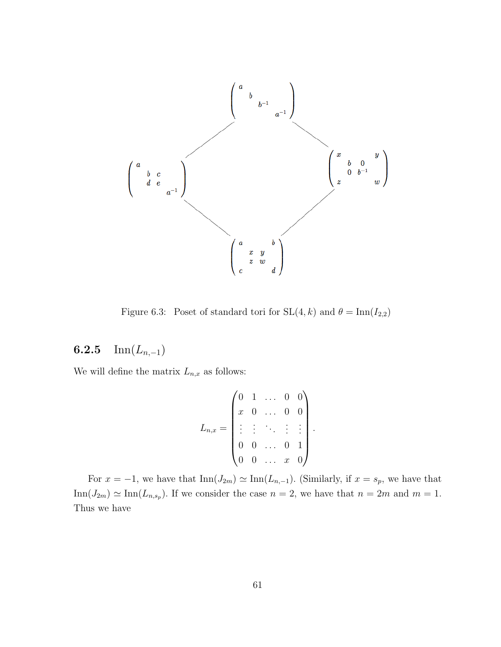

Figure 6.3: Poset of standard tori for  $SL(4, k)$  and  $\theta = \text{Inn}(I_{2,2})$ 

### 6.2.5 Inn $(L_{n,-1})$

We will define the matrix  $L_{n,x}$  as follows:

$$
L_{n,x} = \begin{pmatrix} 0 & 1 & \dots & 0 & 0 \\ x & 0 & \dots & 0 & 0 \\ \vdots & \vdots & \ddots & \vdots & \vdots \\ 0 & 0 & \dots & 0 & 1 \\ 0 & 0 & \dots & x & 0 \end{pmatrix}
$$

.

For  $x = -1$ , we have that  $\text{Inn}(J_{2m}) \simeq \text{Inn}(L_{n,-1})$ . (Similarly, if  $x = s_p$ , we have that  $\text{Inn}(J_{2m}) \simeq \text{Inn}(L_{n,s_p}).$  If we consider the case  $n = 2$ , we have that  $n = 2m$  and  $m = 1$ . Thus we have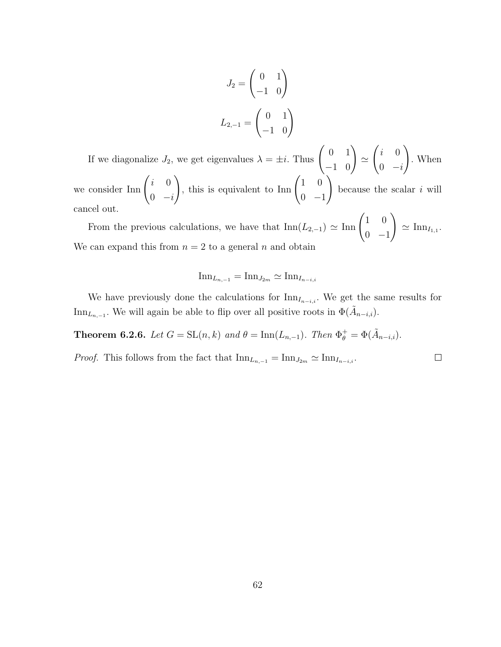$$
J_2 = \begin{pmatrix} 0 & 1 \\ -1 & 0 \end{pmatrix}
$$

$$
L_{2,-1} = \begin{pmatrix} 0 & 1 \\ -1 & 0 \end{pmatrix}
$$

If we diagonalize  $J_2$ , we get eigenvalues  $\lambda = \pm i$ . Thus  $\begin{pmatrix} 0 & 1 \\ -1 & 0 \end{pmatrix}$  $\simeq$  $\int i = 0$  $0 -i$  $\setminus$ . When we consider  $\text{Inn}\begin{pmatrix} i & 0 \\ 0 & i \end{pmatrix}$  $0 -i$ ), this is equivalent to Inn  $\begin{pmatrix} 1 & 0 \\ 0 & 0 \end{pmatrix}$  $0 -1$  $\setminus$ because the scalar  $i$  will cancel out.

From the previous calculations, we have that  $\text{Inn}(L_{2,-1}) \simeq \text{Inn} \begin{pmatrix} 1 & 0 \\ 0 & 1 \end{pmatrix}$  $0 -1$  $\setminus$  $\simeq$  Inn<sub>I<sub>1,1</sub></sub>. We can expand this from  $n = 2$  to a general n and obtain

$$
\text{Inn}_{L_{n,-1}} = \text{Inn}_{J_{2m}} \simeq \text{Inn}_{I_{n-i,i}}
$$

We have previously done the calculations for  $\text{Inn}_{I_{n-i,i}}$ . We get the same results for Inn<sub>L<sub>n,−1</sub></sub>. We will again be able to flip over all positive roots in  $\Phi(\tilde{A}_{n-i,i})$ .

**Theorem 6.2.6.** Let  $G = SL(n,k)$  and  $\theta = \text{Inn}(L_{n,-1})$ . Then  $\Phi_{\theta}^{+} = \Phi(\tilde{A}_{n-i,i})$ .

*Proof.* This follows from the fact that  $\text{Inn}_{L_{n,-1}} = \text{Inn}_{J_{2m}} \simeq \text{Inn}_{I_{n-i,i}}$ .  $\Box$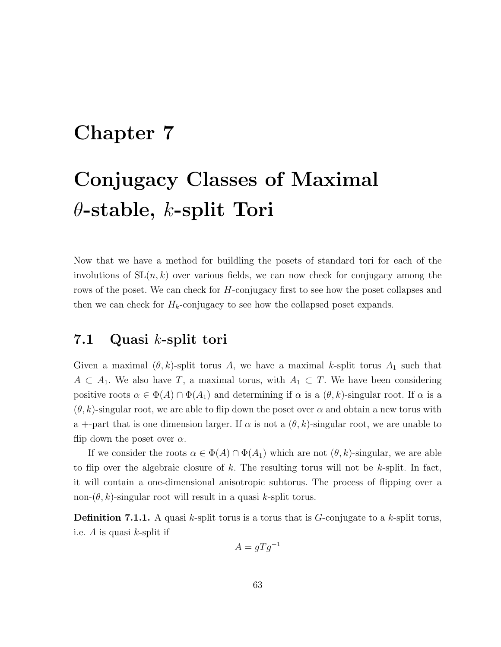## Chapter 7

# Conjugacy Classes of Maximal  $\theta$ -stable, k-split Tori

Now that we have a method for buildling the posets of standard tori for each of the involutions of  $SL(n, k)$  over various fields, we can now check for conjugacy among the rows of the poset. We can check for H-conjugacy first to see how the poset collapses and then we can check for  $H_k$ -conjugacy to see how the collapsed poset expands.

#### 7.1 Quasi k-split tori

Given a maximal  $(\theta, k)$ -split torus A, we have a maximal k-split torus  $A_1$  such that  $A \subset A_1$ . We also have T, a maximal torus, with  $A_1 \subset T$ . We have been considering positive roots  $\alpha \in \Phi(A) \cap \Phi(A_1)$  and determining if  $\alpha$  is a  $(\theta, k)$ -singular root. If  $\alpha$  is a  $(\theta, k)$ -singular root, we are able to flip down the poset over  $\alpha$  and obtain a new torus with a +-part that is one dimension larger. If  $\alpha$  is not a  $(\theta, k)$ -singular root, we are unable to flip down the poset over  $\alpha$ .

If we consider the roots  $\alpha \in \Phi(A) \cap \Phi(A_1)$  which are not  $(\theta, k)$ -singular, we are able to flip over the algebraic closure of k. The resulting torus will not be k-split. In fact, it will contain a one-dimensional anisotropic subtorus. The process of flipping over a non- $(\theta, k)$ -singular root will result in a quasi k-split torus.

**Definition 7.1.1.** A quasi k-split torus is a torus that is  $G$ -conjugate to a k-split torus, i.e. A is quasi k-split if

$$
A = gTg^{-1}
$$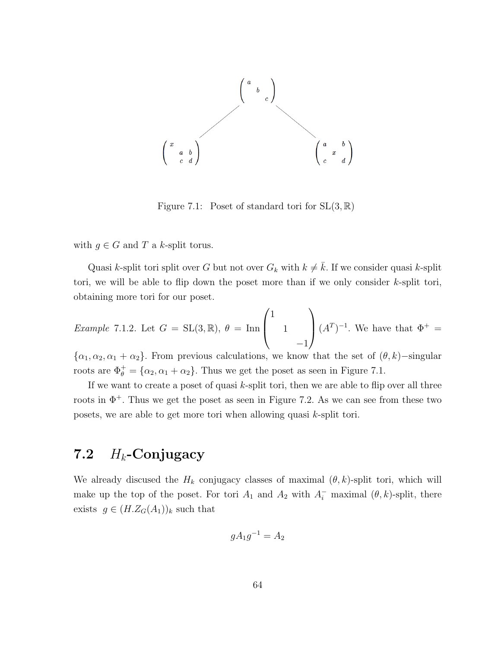

Figure 7.1: Poset of standard tori for  $SL(3, \mathbb{R})$ 

with  $g \in G$  and T a k-split torus.

Quasi k-split tori split over G but not over  $G_k$  with  $k \neq \overline{k}$ . If we consider quasi k-split tori, we will be able to flip down the poset more than if we only consider  $k$ -split tori, obtaining more tori for our poset.

*Example 7.1.2.* Let 
$$
G = SL(3, \mathbb{R}), \theta = \text{Inn} \begin{pmatrix} 1 & 0 \ 0 & 1 \end{pmatrix} (A^T)^{-1}
$$
. We have that  $\Phi^+ = -1$ .

 ${\alpha_1, \alpha_2, \alpha_1 + \alpha_2}$ . From previous calculations, we know that the set of  $(\theta, k)$ −singular roots are  $\Phi_{\theta}^{+} = {\alpha_2, \alpha_1 + \alpha_2}.$  Thus we get the poset as seen in Figure 7.1.

If we want to create a poset of quasi  $k$ -split tori, then we are able to flip over all three roots in  $\Phi^+$ . Thus we get the poset as seen in Figure 7.2. As we can see from these two posets, we are able to get more tori when allowing quasi k-split tori.

## 7.2  $H_k$ -Conjugacy

We already discused the  $H_k$  conjugacy classes of maximal  $(\theta, k)$ -split tori, which will make up the top of the poset. For tori  $A_1$  and  $A_2$  with  $A_i^-$  maximal  $(\theta, k)$ -split, there exists  $g \in (H.Z_G(A_1))_k$  such that

$$
gA_1g^{-1} = A_2
$$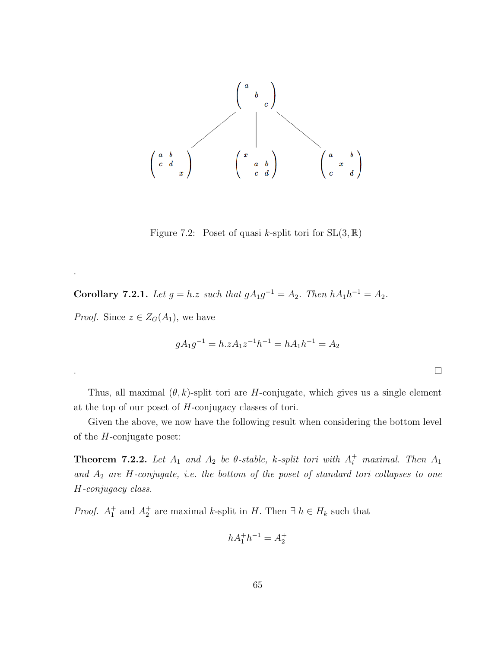

Figure 7.2: Poset of quasi k-split tori for  $SL(3, \mathbb{R})$ 

**Corollary 7.2.1.** Let  $g = h.z$  such that  $gA_1g^{-1} = A_2$ . Then  $hA_1h^{-1} = A_2$ .

*Proof.* Since  $z \in Z_G(A_1)$ , we have

.

.

$$
gA_1g^{-1} = h.zA_1z^{-1}h^{-1} = hA_1h^{-1} = A_2
$$

 $\Box$ 

Thus, all maximal  $(\theta, k)$ -split tori are H-conjugate, which gives us a single element at the top of our poset of H-conjugacy classes of tori.

Given the above, we now have the following result when considering the bottom level of the H-conjugate poset:

**Theorem 7.2.2.** Let  $A_1$  and  $A_2$  be  $\theta$ -stable, k-split tori with  $A_i^+$  maximal. Then  $A_1$ and  $A_2$  are  $H$ -conjugate, i.e. the bottom of the poset of standard tori collapses to one H-conjugacy class.

*Proof.*  $A_1^+$  and  $A_2^+$  are maximal k-split in H. Then  $\exists h \in H_k$  such that

$$
hA_1^+h^{-1} = A_2^+
$$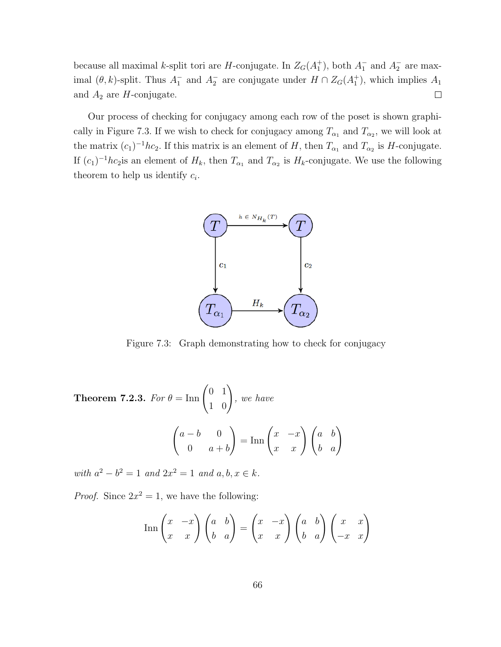because all maximal k-split tori are H-conjugate. In  $Z_G(A_1^+)$ , both  $A_1^-$  and  $A_2^-$  are maximal  $(\theta, k)$ -split. Thus  $A_1^-$  and  $A_2^-$  are conjugate under  $H \cap Z_G(A_1^+)$ , which implies  $A_1$ and  $A_2$  are H-conjugate.  $\Box$ 

Our process of checking for conjugacy among each row of the poset is shown graphically in Figure 7.3. If we wish to check for conjugacy among  $T_{\alpha_1}$  and  $T_{\alpha_2}$ , we will look at the matrix  $(c_1)^{-1}$ hc<sub>2</sub>. If this matrix is an element of H, then  $T_{\alpha_1}$  and  $T_{\alpha_2}$  is H-conjugate. If  $(c_1)^{-1}$ *hc*<sub>2</sub> is an element of  $H_k$ , then  $T_{\alpha_1}$  and  $T_{\alpha_2}$  is  $H_k$ -conjugate. We use the following theorem to help us identify  $c_i$ .



Figure 7.3: Graph demonstrating how to check for conjugacy

**Theorem 7.2.3.** For  $\theta = \text{Inn}\begin{pmatrix} 0 & 1 \\ 1 & 0 \end{pmatrix}$ , we have  $\int a - b = 0$ 0  $a + b$  $\bigg) = \mathrm{Inn}\begin{pmatrix} x & -x \\ x & x \end{pmatrix}\begin{pmatrix} a & b \\ b & a \end{pmatrix}$ 

with  $a^2 - b^2 = 1$  and  $2x^2 = 1$  and  $a, b, x \in k$ .

*Proof.* Since  $2x^2 = 1$ , we have the following:

$$
\operatorname{Inn}\begin{pmatrix} x & -x \\ x & x \end{pmatrix} \begin{pmatrix} a & b \\ b & a \end{pmatrix} = \begin{pmatrix} x & -x \\ x & x \end{pmatrix} \begin{pmatrix} a & b \\ b & a \end{pmatrix} \begin{pmatrix} x & x \\ -x & x \end{pmatrix}
$$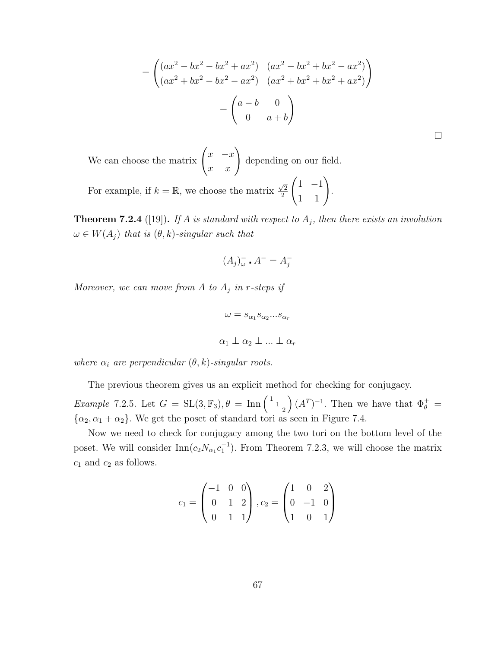$$
= \begin{pmatrix} (ax^2 - bx^2 - bx^2 + ax^2) & (ax^2 - bx^2 + bx^2 - ax^2) \\ (ax^2 + bx^2 - bx^2 - ax^2) & (ax^2 + bx^2 + bx^2 + ax^2) \end{pmatrix}
$$

$$
= \begin{pmatrix} a - b & 0 \\ 0 & a + b \end{pmatrix}
$$

We can choose the matrix  $\begin{pmatrix} x & -x \\ x & x \end{pmatrix}$ depending on our field. For example, if  $k = \mathbb{R}$ , we choose the matrix  $\frac{\sqrt{2}}{2}$ 2  $\begin{pmatrix} 1 & -1 \\ 1 & 1 \end{pmatrix}$ .

**Theorem 7.2.4** ([19]). If A is standard with respect to  $A_j$ , then there exists an involution  $\omega \in W(A_j)$  that is  $(\theta, k)$ -singular such that

$$
(A_j)_{\omega}^- \cdot A^- = A_j^-
$$

Moreover, we can move from  $A$  to  $A_j$  in r-steps if

$$
\omega = s_{\alpha_1} s_{\alpha_2} ... s_{\alpha_r}
$$

$$
\alpha_1 \perp \alpha_2 \perp ... \perp \alpha_r
$$

where  $\alpha_i$  are perpendicular  $(\theta, k)$ -singular roots.

The previous theorem gives us an explicit method for checking for conjugacy.

*Example* 7.2.5. Let  $G = SL(3, \mathbb{F}_3), \theta = \text{Inn} \begin{pmatrix} 1 & 1 \ 1 & 2 \end{pmatrix}$  $\left( A^{T}\right) ^{-1}$ . Then we have that  $\Phi_{\theta}^{+} =$  $\{\alpha_2, \alpha_1 + \alpha_2\}$ . We get the poset of standard tori as seen in Figure 7.4.

Now we need to check for conjugacy among the two tori on the bottom level of the poset. We will consider  $\text{Inn}(c_2N_{\alpha_1}c_1^{-1})$ . From Theorem 7.2.3, we will choose the matrix  $c_1$  and  $c_2$  as follows.

$$
c_1 = \begin{pmatrix} -1 & 0 & 0 \\ 0 & 1 & 2 \\ 0 & 1 & 1 \end{pmatrix}, c_2 = \begin{pmatrix} 1 & 0 & 2 \\ 0 & -1 & 0 \\ 1 & 0 & 1 \end{pmatrix}
$$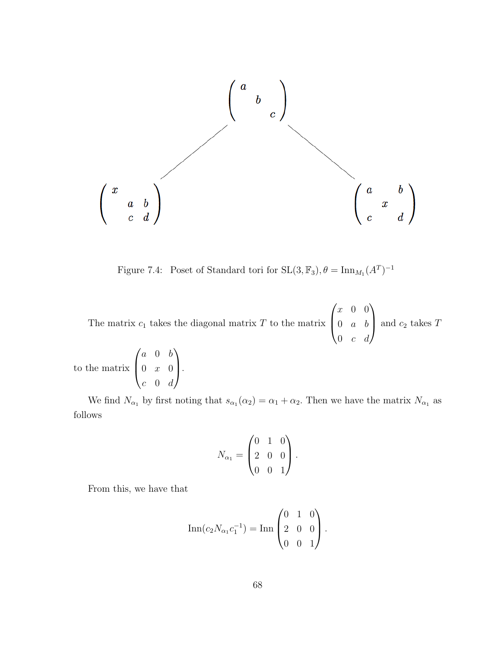

Figure 7.4: Poset of Standard tori for  $SL(3, \mathbb{F}_3)$ ,  $\theta = \text{Inn}_{M_1}(A^T)^{-1}$ 

The matrix  $c_1$  takes the diagonal matrix  $T$  to the matrix  $\sqrt{ }$  $\left\lfloor \right\rfloor$ x 0 0  $0 \quad a \quad b$  $0 \quad c \quad d$  $\setminus$ and  $c_2$  takes  $T$ 

to the matrix  $\sqrt{ }$  $\left\lfloor \right\rfloor$ a 0 b  $0 \quad x \quad 0$  $c \quad 0 \quad d$  $\setminus$  $\cdot$ 

We find  $N_{\alpha_1}$  by first noting that  $s_{\alpha_1}(\alpha_2) = \alpha_1 + \alpha_2$ . Then we have the matrix  $N_{\alpha_1}$  as follows

$$
N_{\alpha_1} = \begin{pmatrix} 0 & 1 & 0 \\ 2 & 0 & 0 \\ 0 & 0 & 1 \end{pmatrix}.
$$

From this, we have that

$$
\operatorname{Inn}(c_2 N_{\alpha_1} c_1^{-1}) = \operatorname{Inn}\begin{pmatrix} 0 & 1 & 0 \\ 2 & 0 & 0 \\ 0 & 0 & 1 \end{pmatrix}.
$$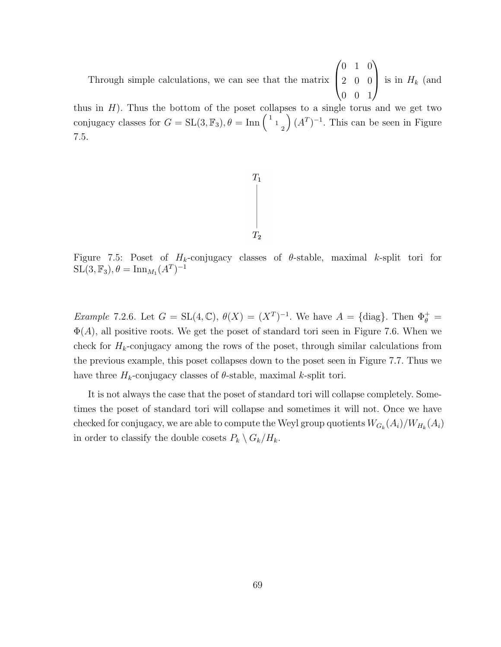Through simple calculations, we can see that the matrix  $\sqrt{ }$  $\left\lfloor \right\rfloor$ 0 1 0 2 0 0 0 0 1  $\setminus$ is in  $H_k$  (and

thus in  $H$ ). Thus the bottom of the poset collapses to a single torus and we get two conjugacy classes for  $G = SL(3, \mathbb{F}_3)$ ,  $\theta = \text{Inn} \begin{pmatrix} 1 & 1 \end{pmatrix}$  $\left( \right) (A^{T})^{-1}$ . This can be seen in Figure 7.5.



Figure 7.5: Poset of  $H_k$ -conjugacy classes of  $\theta$ -stable, maximal k-split tori for  $\mathrm{SL}(3,\mathbb{F}_3), \theta = \mathrm{Inn}_{M_1}(A^T)^{-1}$ 

*Example* 7.2.6. Let  $G = SL(4, \mathbb{C}), \theta(X) = (X^T)^{-1}$ . We have  $A = \{\text{diag}\}\$ . Then  $\Phi_{\theta}^+ =$  $\Phi(A)$ , all positive roots. We get the poset of standard tori seen in Figure 7.6. When we check for  $H_k$ -conjugacy among the rows of the poset, through similar calculations from the previous example, this poset collapses down to the poset seen in Figure 7.7. Thus we have three  $H_k$ -conjugacy classes of  $\theta$ -stable, maximal k-split tori.

It is not always the case that the poset of standard tori will collapse completely. Sometimes the poset of standard tori will collapse and sometimes it will not. Once we have checked for conjugacy, we are able to compute the Weyl group quotients  $W_{G_k}(A_i)/W_{H_k}(A_i)$ in order to classify the double cosets  $P_k \setminus G_k / H_k$ .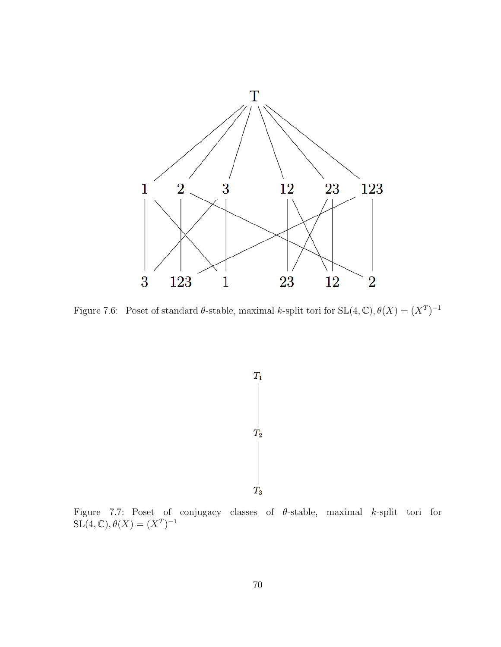

Figure 7.6: Poset of standard  $\theta$ -stable, maximal k-split tori for  $SL(4,\mathbb{C}), \theta(X) = (X^T)^{-1}$ 



Figure 7.7: Poset of conjugacy classes of  $\theta$ -stable, maximal k-split tori for  $\operatorname{SL}(4,\mathbb{C}), \theta(X) = (X^T)^{-1}$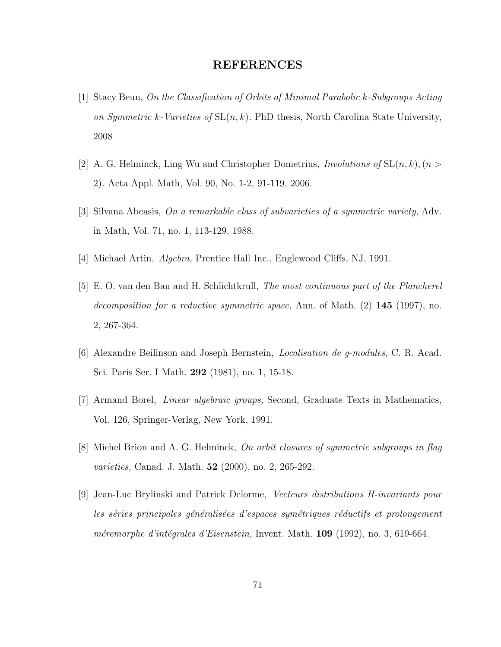## REFERENCES

- [1] Stacy Beun, On the Classification of Orbits of Minimal Parabolic k-Subgroups Acting on Symmetric k-Varieties of  $SL(n, k)$ . PhD thesis, North Carolina State University, 2008
- [2] A. G. Helminck, Ling Wu and Christopher Dometrius, *Involutions of*  $SL(n, k)$ ,  $(n >$ 2). Acta Appl. Math, Vol. 90, No. 1-2, 91-119, 2006.
- [3] Silvana Abeasis, On a remarkable class of subvarieties of a symmetric variety, Adv. in Math, Vol. 71, no. 1, 113-129, 1988.
- [4] Michael Artin, Algebra, Prentice Hall Inc., Englewood Cliffs, NJ, 1991.
- [5] E. O. van den Ban and H. Schlichtkrull, The most continuous part of the Plancherel decomposition for a reductive symmetric space, Ann. of Math.  $(2)$  145 (1997), no. 2, 267-364.
- [6] Alexandre Beilinson and Joseph Bernstein, Localisation de g-modules, C. R. Acad. Sci. Paris Ser. I Math. 292 (1981), no. 1, 15-18.
- [7] Armand Borel, Linear algebraic groups, Second, Graduate Texts in Mathematics, Vol. 126, Springer-Verlag, New York, 1991.
- [8] Michel Brion and A. G. Helminck, On orbit closures of symmetric subgroups in flag varieties, Canad. J. Math. 52 (2000), no. 2, 265-292.
- [9] Jean-Luc Brylinski and Patrick Delorme, Vecteurs distributions H-invariants pour les séries principales généralisées d'espaces symétriques réductifs et prolongement méremorphe d'intégrales d'Eisenstein, Invent. Math.  $109$  (1992), no. 3, 619-664.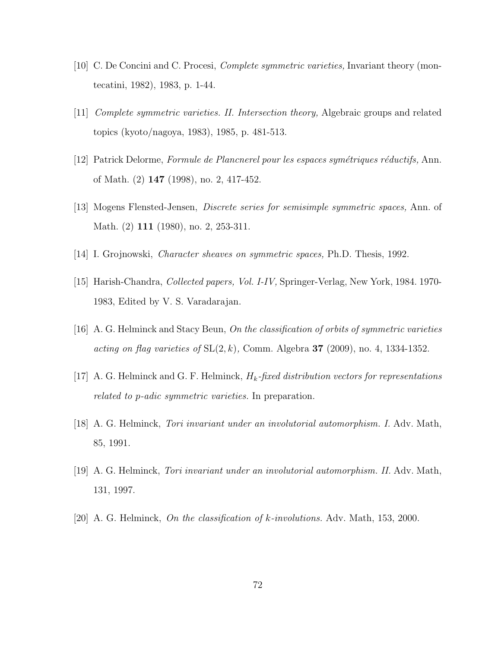- [10] C. De Concini and C. Procesi, Complete symmetric varieties, Invariant theory (montecatini, 1982), 1983, p. 1-44.
- [11] Complete symmetric varieties. II. Intersection theory, Algebraic groups and related topics (kyoto/nagoya, 1983), 1985, p. 481-513.
- $[12]$  Patrick Delorme, Formule de Plancnerel pour les espaces symétriques réductifs, Ann. of Math. (2) 147 (1998), no. 2, 417-452.
- [13] Mogens Flensted-Jensen, Discrete series for semisimple symmetric spaces, Ann. of Math. (2) **111** (1980), no. 2, 253-311.
- [14] I. Grojnowski, Character sheaves on symmetric spaces, Ph.D. Thesis, 1992.
- [15] Harish-Chandra, Collected papers, Vol. I-IV, Springer-Verlag, New York, 1984. 1970- 1983, Edited by V. S. Varadarajan.
- [16] A. G. Helminck and Stacy Beun, On the classification of orbits of symmetric varieties acting on flag varieties of  $SL(2, k)$ , Comm. Algebra 37 (2009), no. 4, 1334-1352.
- [17] A. G. Helminck and G. F. Helminck,  $H_k$ -fixed distribution vectors for representations related to p-adic symmetric varieties. In preparation.
- [18] A. G. Helminck, Tori invariant under an involutorial automorphism. I. Adv. Math, 85, 1991.
- [19] A. G. Helminck, Tori invariant under an involutorial automorphism. II. Adv. Math, 131, 1997.
- [20] A. G. Helminck, On the classification of k-involutions. Adv. Math, 153, 2000.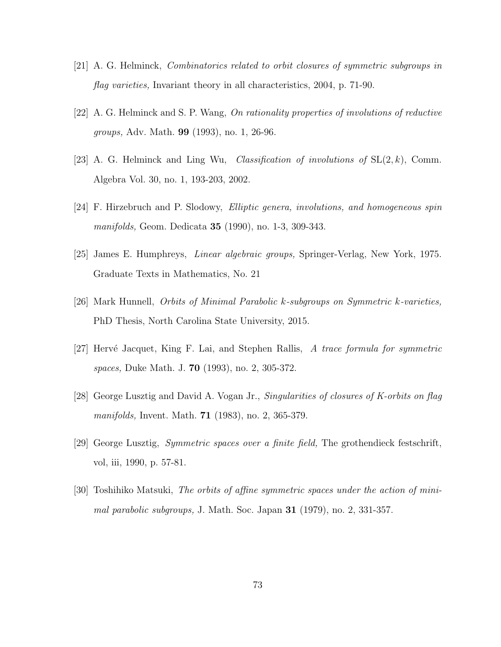- [21] A. G. Helminck, Combinatorics related to orbit closures of symmetric subgroups in flag varieties, Invariant theory in all characteristics, 2004, p. 71-90.
- [22] A. G. Helminck and S. P. Wang, On rationality properties of involutions of reductive groups, Adv. Math. 99 (1993), no. 1, 26-96.
- [23] A. G. Helminck and Ling Wu, *Classification of involutions of*  $SL(2, k)$ , Comm. Algebra Vol. 30, no. 1, 193-203, 2002.
- [24] F. Hirzebruch and P. Slodowy, *Elliptic genera, involutions, and homogeneous spin* manifolds, Geom. Dedicata 35 (1990), no. 1-3, 309-343.
- [25] James E. Humphreys, Linear algebraic groups, Springer-Verlag, New York, 1975. Graduate Texts in Mathematics, No. 21
- [26] Mark Hunnell, Orbits of Minimal Parabolic k-subgroups on Symmetric k-varieties, PhD Thesis, North Carolina State University, 2015.
- [27] Hervé Jacquet, King F. Lai, and Stephen Rallis, A trace formula for symmetric spaces, Duke Math. J. 70 (1993), no. 2, 305-372.
- [28] George Lusztig and David A. Vogan Jr., Singularities of closures of K-orbits on flag manifolds, Invent. Math. 71 (1983), no. 2, 365-379.
- [29] George Lusztig, Symmetric spaces over a finite field, The grothendieck festschrift, vol, iii, 1990, p. 57-81.
- [30] Toshihiko Matsuki, The orbits of affine symmetric spaces under the action of minimal parabolic subgroups, J. Math. Soc. Japan 31 (1979), no. 2, 331-357.